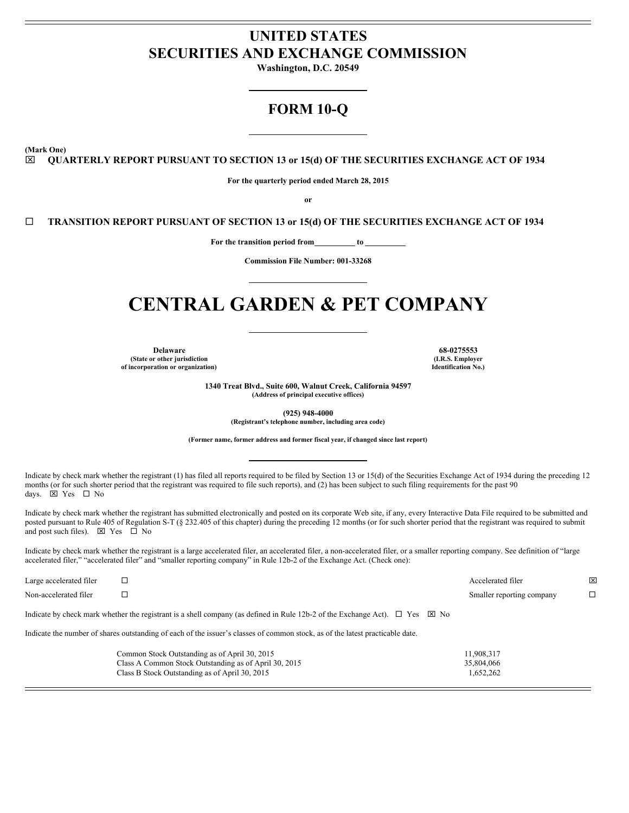# **UNITED STATES SECURITIES AND EXCHANGE COMMISSION**

**Washington, D.C. 20549**

# **FORM 10-Q**

**(Mark One)**

x **QUARTERLY REPORT PURSUANT TO SECTION 13 or 15(d) OF THE SECURITIES EXCHANGE ACT OF 1934**

**For the quarterly period ended March 28, 2015**

**or**

¨ **TRANSITION REPORT PURSUANT OF SECTION 13 or 15(d) OF THE SECURITIES EXCHANGE ACT OF 1934**

**For the transition period from to**

**Commission File Number: 001-33268**

# **CENTRAL GARDEN & PET COMPANY**

**(State or other jurisdiction of incorporation or organization)**

**Delaware 68-0275553 (I.R.S. Employer Identification No.)**

> **1340 Treat Blvd., Suite 600, Walnut Creek, California 94597 (Address of principal executive offices)**

> > **(925) 948-4000**

**(Registrant's telephone number, including area code)**

**(Former name, former address and former fiscal year, if changed since last report)**

Indicate by check mark whether the registrant (1) has filed all reports required to be filed by Section 13 or 15(d) of the Securities Exchange Act of 1934 during the preceding 12 months (or for such shorter period that the registrant was required to file such reports), and (2) has been subject to such filing requirements for the past 90 days.  $\boxtimes$  Yes  $\Box$  No

Indicate by check mark whether the registrant has submitted electronically and posted on its corporate Web site, if any, every Interactive Data File required to be submitted and posted pursuant to Rule 405 of Regulation S-T (§ 232.405 of this chapter) during the preceding 12 months (or for such shorter period that the registrant was required to submit and post such files).  $\boxtimes$  Yes  $\Box$  No

Indicate by check mark whether the registrant is a large accelerated filer, an accelerated filer, a non-accelerated filer, or a smaller reporting company. See definition of "large accelerated filer," "accelerated filer" and "smaller reporting company" in Rule 12b-2 of the Exchange Act. (Check one):

| Large accelerated filer | ◡                                                                                                                                          | Accelerated filer         | ×  |
|-------------------------|--------------------------------------------------------------------------------------------------------------------------------------------|---------------------------|----|
| Non-accelerated filer   |                                                                                                                                            | Smaller reporting company | □. |
|                         | Indicate by check mark whether the registrant is a shell company (as defined in Rule 12b-2 of the Exchange Act). $\Box$ Yes $\boxtimes$ No |                           |    |
|                         | Indicate the number of shares outstanding of each of the issuer's classes of common stock, as of the latest practicable date.              |                           |    |
|                         | Common Stock Outstanding as of April 30, 2015                                                                                              | 11.908.317                |    |

| Common Stock Outstanding as of April 30, 2015         | 11.908.317 |
|-------------------------------------------------------|------------|
| Class A Common Stock Outstanding as of April 30, 2015 | 35,804,066 |
| Class B Stock Outstanding as of April 30, 2015        | 1.652.262  |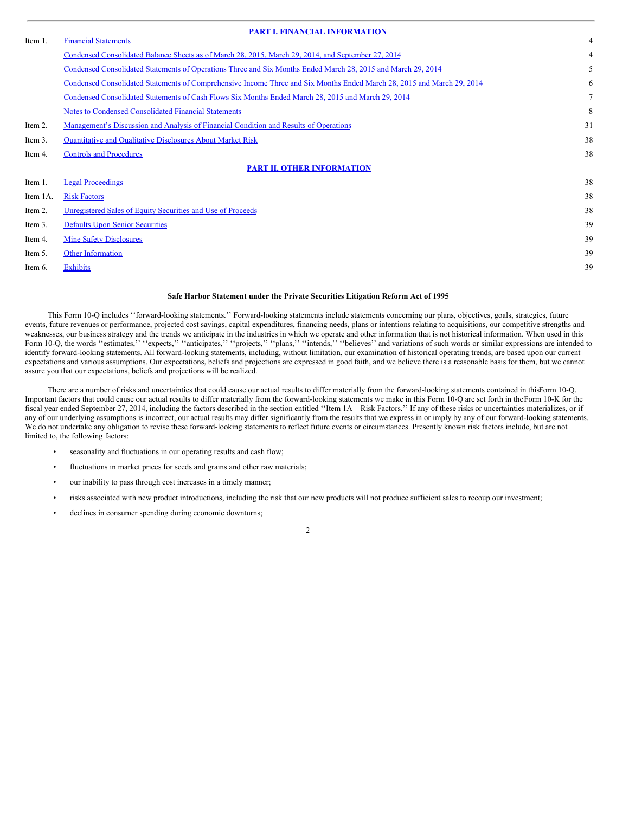| Item 1.  | <b>PART I. FINANCIAL INFORMATION</b><br><b>Financial Statements</b>                                                    | 4              |
|----------|------------------------------------------------------------------------------------------------------------------------|----------------|
|          | Condensed Consolidated Balance Sheets as of March 28, 2015, March 29, 2014, and September 27, 2014                     | $\overline{4}$ |
|          | Condensed Consolidated Statements of Operations Three and Six Months Ended March 28, 2015 and March 29, 2014           | 5              |
|          | Condensed Consolidated Statements of Comprehensive Income Three and Six Months Ended March 28, 2015 and March 29, 2014 | 6              |
|          | Condensed Consolidated Statements of Cash Flows Six Months Ended March 28, 2015 and March 29, 2014                     | $\tau$         |
|          | <b>Notes to Condensed Consolidated Financial Statements</b>                                                            | 8              |
| Item 2.  | <u>Management's Discussion and Analysis of Financial Condition and Results of Operations</u>                           | 31             |
| Item 3.  | Quantitative and Qualitative Disclosures About Market Risk                                                             | 38             |
| Item 4.  | <b>Controls and Procedures</b>                                                                                         | 38             |
|          | <b>PART II. OTHER INFORMATION</b>                                                                                      |                |
| Item 1.  | <b>Legal Proceedings</b>                                                                                               | 38             |
| Item 1A. | <b>Risk Factors</b>                                                                                                    | 38             |
| Item 2.  | Unregistered Sales of Equity Securities and Use of Proceeds                                                            | 38             |
| Item 3.  | <b>Defaults Upon Senior Securities</b>                                                                                 | 39             |
| Item 4.  | <b>Mine Safety Disclosures</b>                                                                                         | 39             |
| Item 5.  | <b>Other Information</b>                                                                                               | 39             |
| Item 6.  | Exhibits                                                                                                               | 39             |
|          |                                                                                                                        |                |

#### **Safe Harbor Statement under the Private Securities Litigation Reform Act of 1995**

This Form 10-Q includes ''forward-looking statements.'' Forward-looking statements include statements concerning our plans, objectives, goals, strategies, future events, future revenues or performance, projected cost savings, capital expenditures, financing needs, plans or intentions relating to acquisitions, our competitive strengths and weaknesses, our business strategy and the trends we anticipate in the industries in which we operate and other information that is not historical information. When used in this Form 10-Q, the words "estimates," "expects," "anticipates," "projects," "plans," "intends," "believes" and variations of such words or similar expressions are intended to identify forward-looking statements. All forward-looking statements, including, without limitation, our examination of historical operating trends, are based upon our current expectations and various assumptions. Our expectations, beliefs and projections are expressed in good faith, and we believe there is a reasonable basis for them, but we cannot assure you that our expectations, beliefs and projections will be realized.

There are a number of risks and uncertainties that could cause our actual results to differ materially from the forward-looking statements contained in thisForm 10-Q. Important factors that could cause our actual results to differ materially from the forward-looking statements we make in this Form 10-Q are set forth in theForm 10-K for the fiscal year ended September 27, 2014, including the factors described in the section entitled "Item 1A - Risk Factors." If any of these risks or uncertainties materializes, or if any of our underlying assumptions is incorrect, our actual results may differ significantly from the results that we express in or imply by any of our forward-looking statements. We do not undertake any obligation to revise these forward-looking statements to reflect future events or circumstances. Presently known risk factors include, but are not limited to, the following factors:

- seasonality and fluctuations in our operating results and cash flow;
- fluctuations in market prices for seeds and grains and other raw materials;
- our inability to pass through cost increases in a timely manner;
- risks associated with new product introductions, including the risk that our new products will not produce sufficient sales to recoup our investment;
- declines in consumer spending during economic downturns;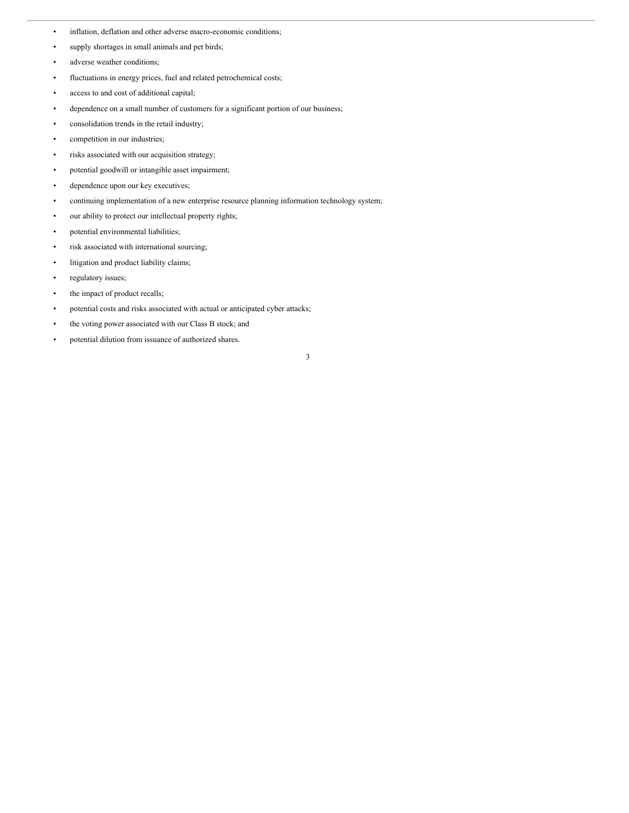- inflation, deflation and other adverse macro-economic conditions;
- supply shortages in small animals and pet birds;
- adverse weather conditions;
- fluctuations in energy prices, fuel and related petrochemical costs;
- access to and cost of additional capital;
- dependence on a small number of customers for a significant portion of our business;
- consolidation trends in the retail industry;
- competition in our industries;
- risks associated with our acquisition strategy;
- potential goodwill or intangible asset impairment;
- dependence upon our key executives;
- continuing implementation of a new enterprise resource planning information technology system;
- our ability to protect our intellectual property rights;
- potential environmental liabilities;
- risk associated with international sourcing;
- litigation and product liability claims;
- regulatory issues;
- the impact of product recalls;
- potential costs and risks associated with actual or anticipated cyber attacks;
- the voting power associated with our Class B stock; and
- potential dilution from issuance of authorized shares.
- 3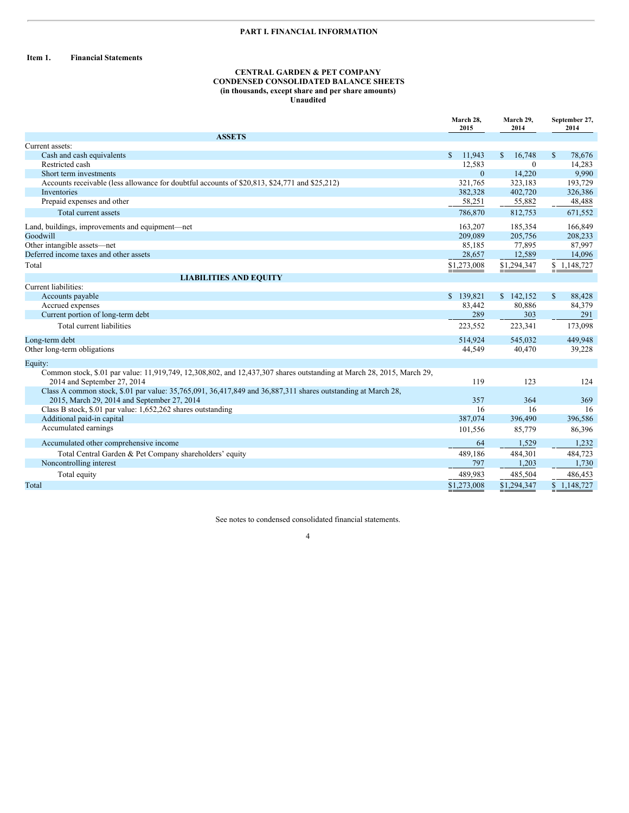# <span id="page-3-0"></span>**PART I. FINANCIAL INFORMATION**

<span id="page-3-1"></span>**Item 1. Financial Statements**

# <span id="page-3-2"></span>**CENTRAL GARDEN & PET COMPANY CONDENSED CONSOLIDATED BALANCE SHEETS (in thousands, except share and per share amounts) Unaudited**

|                                                                                                                       | March 28,<br>2015      | March 29,<br>2014      | September 27,<br>2014  |
|-----------------------------------------------------------------------------------------------------------------------|------------------------|------------------------|------------------------|
| <b>ASSETS</b>                                                                                                         |                        |                        |                        |
| Current assets:                                                                                                       |                        |                        |                        |
| Cash and cash equivalents                                                                                             | $\mathbf{s}$<br>11.943 | $\mathbb{S}$<br>16,748 | $\mathbb{S}$<br>78,676 |
| Restricted cash                                                                                                       | 12,583                 | $\theta$               | 14,283                 |
| Short term investments                                                                                                | $\Omega$               | 14.220                 | 9.990                  |
| Accounts receivable (less allowance for doubtful accounts of \$20,813, \$24,771 and \$25,212)                         | 321.765                | 323,183                | 193,729                |
| Inventories                                                                                                           | 382,328                | 402,720                | 326,386                |
| Prepaid expenses and other                                                                                            | 58,251                 | 55,882                 | 48,488                 |
| Total current assets                                                                                                  | 786,870                | 812,753                | 671,552                |
| Land, buildings, improvements and equipment—net                                                                       | 163,207                | 185,354                | 166,849                |
| Goodwill                                                                                                              | 209,089                | 205,756                | 208,233                |
| Other intangible assets-net                                                                                           | 85,185                 | 77,895                 | 87,997                 |
| Deferred income taxes and other assets                                                                                | 28,657                 | 12,589                 | 14,096                 |
| Total                                                                                                                 | \$1,273,008            | \$1,294,347            | \$1,148,727            |
| <b>LIABILITIES AND EQUITY</b>                                                                                         |                        |                        |                        |
| Current liabilities:                                                                                                  |                        |                        |                        |
| Accounts payable                                                                                                      | \$139,821              | \$142,152              | $\mathbb{S}$<br>88,428 |
| Accrued expenses                                                                                                      | 83,442                 | 80,886                 | 84,379                 |
| Current portion of long-term debt                                                                                     | 289                    | 303                    | 291                    |
| Total current liabilities                                                                                             | 223,552                | 223,341                | 173,098                |
| Long-term debt                                                                                                        | 514,924                | 545,032                | 449,948                |
| Other long-term obligations                                                                                           | 44,549                 | 40,470                 | 39,228                 |
| Equity:                                                                                                               |                        |                        |                        |
| Common stock, \$.01 par value: 11,919,749, 12,308,802, and 12,437,307 shares outstanding at March 28, 2015, March 29, |                        |                        |                        |
| 2014 and September 27, 2014                                                                                           | 119                    | 123                    | 124                    |
| Class A common stock, \$.01 par value: 35,765,091, 36,417,849 and 36,887,311 shares outstanding at March 28,          |                        |                        |                        |
| 2015, March 29, 2014 and September 27, 2014                                                                           | 357<br>16              | 364<br>16              | 369                    |
| Class B stock, \$.01 par value: 1,652,262 shares outstanding                                                          | 387,074                |                        | 16                     |
| Additional paid-in capital                                                                                            |                        | 396,490                | 396,586                |
| Accumulated earnings                                                                                                  | 101,556                | 85,779                 | 86,396                 |
| Accumulated other comprehensive income                                                                                | 64                     | 1,529                  | 1,232                  |
| Total Central Garden & Pet Company shareholders' equity                                                               | 489,186                | 484,301                | 484,723                |
| Noncontrolling interest                                                                                               | 797                    | 1,203                  | 1,730                  |
| Total equity                                                                                                          | 489,983                | 485,504                | 486,453                |
| Total                                                                                                                 | \$1,273,008            | \$1,294,347            | \$1.148,727            |

See notes to condensed consolidated financial statements.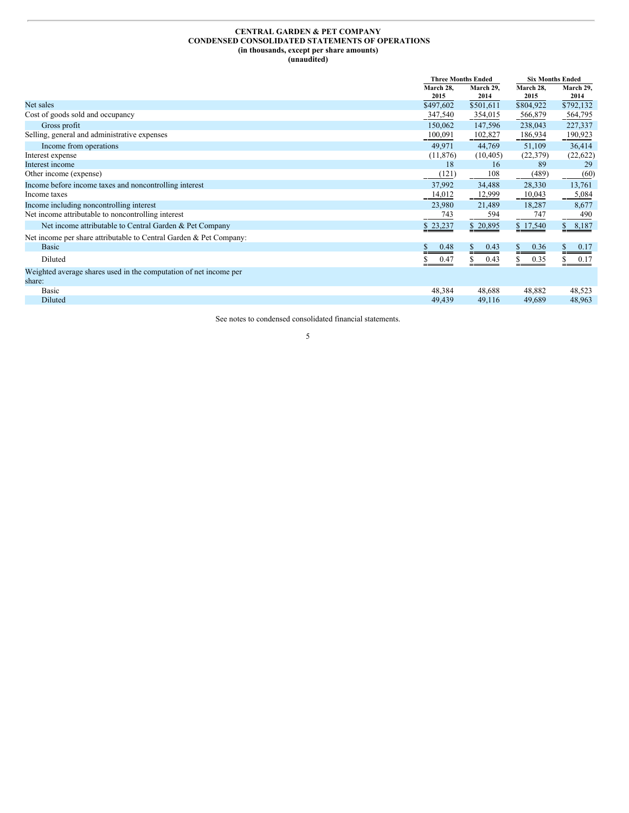## <span id="page-4-0"></span>**CENTRAL GARDEN & PET COMPANY CONDENSED CONSOLIDATED STATEMENTS OF OPERATIONS (in thousands, except per share amounts) (unaudited)**

|                                                                             |            | <b>Three Months Ended</b>       |                                 | <b>Six Months Ended</b> |  |
|-----------------------------------------------------------------------------|------------|---------------------------------|---------------------------------|-------------------------|--|
|                                                                             | March 28,  | March 29.                       | March 28,                       | March 29.               |  |
|                                                                             | 2015       | 2014                            | 2015                            | 2014                    |  |
| Net sales                                                                   | \$497,602  | \$501,611                       | \$804,922                       | \$792,132               |  |
| Cost of goods sold and occupancy                                            | 347,540    | 354,015                         | 566,879                         | 564,795                 |  |
| Gross profit                                                                | 150,062    | 147,596                         | 238,043                         | 227,337                 |  |
| Selling, general and administrative expenses                                | 100,091    | 102,827                         | 186,934                         | 190,923                 |  |
| Income from operations                                                      | 49,971     | 44,769                          | 51,109                          | 36,414                  |  |
| Interest expense                                                            | (11, 876)  | (10, 405)                       | (22, 379)                       | (22, 622)               |  |
| Interest income                                                             | 18         | 16                              | 89                              | 29                      |  |
| Other income (expense)                                                      | (121)      | 108                             | (489)                           | (60)                    |  |
| Income before income taxes and noncontrolling interest                      | 37,992     | 34,488                          | 28,330                          | 13,761                  |  |
| Income taxes                                                                | 14,012     | 12,999                          | 10,043                          | 5,084                   |  |
| Income including noncontrolling interest                                    | 23,980     | 21,489                          | 18,287                          | 8,677                   |  |
| Net income attributable to noncontrolling interest                          | 743        | 594                             | 747                             | 490                     |  |
| Net income attributable to Central Garden & Pet Company                     | \$23,237   | \$20,895                        | \$17,540                        | 8,187<br>$\mathbb{S}^-$ |  |
| Net income per share attributable to Central Garden & Pet Company:          |            |                                 |                                 |                         |  |
| Basic                                                                       | \$<br>0.48 | $\overline{\mathbb{S}}$<br>0.43 | $\overline{\mathbb{Z}}$<br>0.36 | 0.17<br>\$              |  |
| Diluted                                                                     | 0.47       | \$<br>0.43                      | 0.35<br>\$                      | 0.17                    |  |
| Weighted average shares used in the computation of net income per<br>share: |            |                                 |                                 |                         |  |
| Basic                                                                       | 48,384     | 48,688                          | 48,882                          | 48,523                  |  |
| Diluted                                                                     | 49,439     | 49,116                          | 49,689                          | 48,963                  |  |

See notes to condensed consolidated financial statements.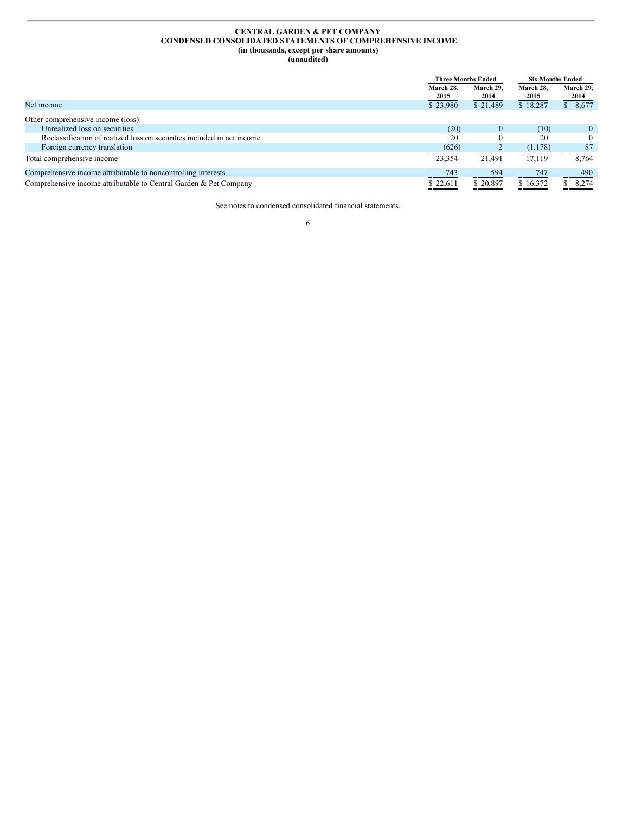# <span id="page-5-0"></span>**CENTRAL GARDEN & PET COMPANY CONDENSED CONSOLIDATED STATEMENTS OF COMPREHENSIVE INCOME (in thousands, except per share amounts)**

**(unaudited)**

|                                                                        | <b>Three Months Ended</b> |                   | <b>Six Months Ended</b> |                   |
|------------------------------------------------------------------------|---------------------------|-------------------|-------------------------|-------------------|
|                                                                        | March 28.<br>2015         | March 29.<br>2014 | March 28,<br>2015       | March 29,<br>2014 |
| Net income                                                             | \$23,980                  | \$21,489          | \$18,287                | \$8,677           |
| Other comprehensive income (loss):                                     |                           |                   |                         |                   |
| Unrealized loss on securities                                          | (20)                      | $\theta$          | (10)                    | $\Omega$          |
| Reclassification of realized loss on securities included in net income | 20                        |                   | 20                      |                   |
| Foreign currency translation                                           | (626)                     |                   | (1,178)                 | 87                |
| Total comprehensive income                                             | 23,354                    | 21.491            | 17,119                  | 8,764             |
| Comprehensive income attributable to noncontrolling interests          | 743                       | 594               | 747                     | 490               |
| Comprehensive income attributable to Central Garden & Pet Company      | \$22,611                  | \$20,897          | \$16,372                | \$8,274           |

See notes to condensed consolidated financial statements.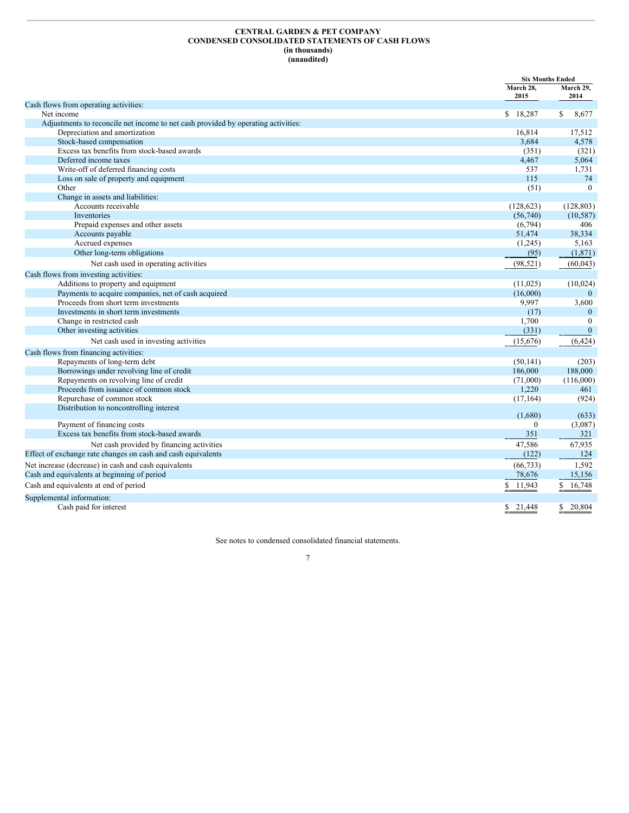#### <span id="page-6-0"></span>**CENTRAL GARDEN & PET COMPANY CONDENSED CONSOLIDATED STATEMENTS OF CASH FLOWS (in thousands) (unaudited)**

|                                                                                   | <b>Six Months Ended</b> |                   |  |
|-----------------------------------------------------------------------------------|-------------------------|-------------------|--|
|                                                                                   | March 28,<br>2015       | March 29,<br>2014 |  |
| Cash flows from operating activities:                                             |                         |                   |  |
| Net income                                                                        | \$18,287                | 8,677<br>\$       |  |
| Adjustments to reconcile net income to net cash provided by operating activities: |                         |                   |  |
| Depreciation and amortization                                                     | 16,814                  | 17,512            |  |
| Stock-based compensation                                                          | 3,684                   | 4,578             |  |
| Excess tax benefits from stock-based awards                                       | (351)                   | (321)             |  |
| Deferred income taxes                                                             | 4,467                   | 5,064             |  |
| Write-off of deferred financing costs                                             | 537                     | 1,731             |  |
| Loss on sale of property and equipment                                            | 115                     | 74                |  |
| Other                                                                             | (51)                    | $\theta$          |  |
| Change in assets and liabilities:                                                 |                         |                   |  |
| Accounts receivable                                                               | (128, 623)              | (128, 803)        |  |
| Inventories                                                                       | (56,740)                | (10, 587)         |  |
| Prepaid expenses and other assets                                                 | (6,794)                 | 406               |  |
| Accounts payable                                                                  | 51,474                  | 38,334            |  |
| Accrued expenses                                                                  | (1,245)                 | 5,163             |  |
| Other long-term obligations                                                       | (95)                    | (1,871)           |  |
| Net cash used in operating activities                                             | (98, 521)               | (60, 043)         |  |
| Cash flows from investing activities:                                             |                         |                   |  |
| Additions to property and equipment                                               | (11, 025)               | (10,024)          |  |
| Payments to acquire companies, net of cash acquired                               | (16,000)                | $\theta$          |  |
| Proceeds from short term investments                                              | 9,997                   | 3,600             |  |
| Investments in short term investments                                             | (17)                    | $\mathbf{0}$      |  |
| Change in restricted cash                                                         | 1,700                   | $\mathbf{0}$      |  |
| Other investing activities                                                        | (331)                   | $\mathbf{0}$      |  |
| Net cash used in investing activities                                             | (15,676)                | (6, 424)          |  |
| Cash flows from financing activities:                                             |                         |                   |  |
| Repayments of long-term debt                                                      | (50, 141)               | (203)             |  |
| Borrowings under revolving line of credit                                         | 186,000                 | 188,000           |  |
| Repayments on revolving line of credit                                            | (71,000)                | (116,000)         |  |
| Proceeds from issuance of common stock                                            | 1,220                   | 461               |  |
| Repurchase of common stock                                                        | (17, 164)               | (924)             |  |
| Distribution to noncontrolling interest                                           |                         |                   |  |
|                                                                                   | (1,680)                 | (633)             |  |
| Payment of financing costs                                                        | $\mathbf{0}$            | (3,087)           |  |
| Excess tax benefits from stock-based awards                                       | 351                     | 321               |  |
| Net cash provided by financing activities                                         | 47,586                  | 67,935            |  |
| Effect of exchange rate changes on cash and cash equivalents                      | (122)                   | 124               |  |
| Net increase (decrease) in cash and cash equivalents                              | (66, 733)               | 1,592             |  |
| Cash and equivalents at beginning of period                                       | 78,676                  | 15,156            |  |
| Cash and equivalents at end of period                                             | \$<br>11,943            | \$<br>16,748      |  |
| Supplemental information:                                                         |                         |                   |  |
| Cash paid for interest                                                            | \$21,448                | 20,804<br>S.      |  |

See notes to condensed consolidated financial statements.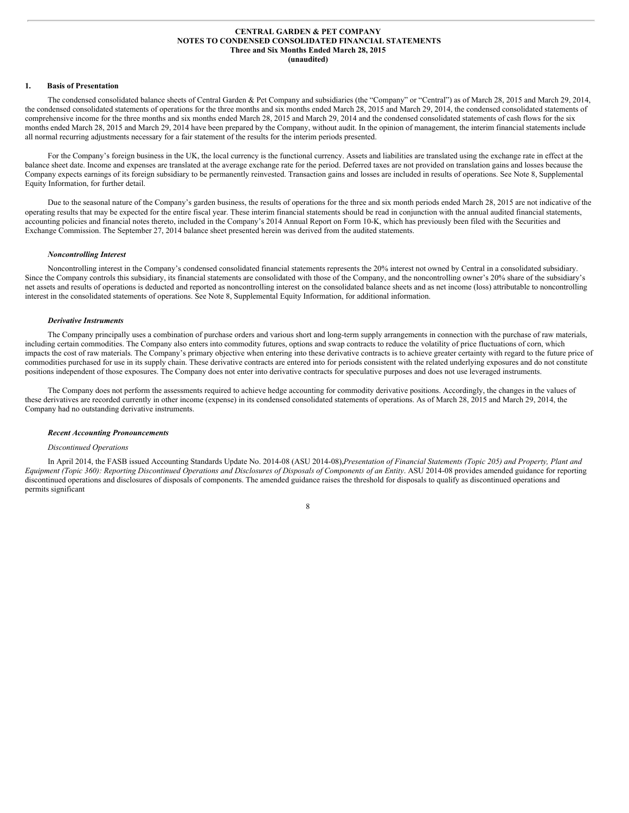#### <span id="page-7-0"></span>**CENTRAL GARDEN & PET COMPANY NOTES TO CONDENSED CONSOLIDATED FINANCIAL STATEMENTS Three and Six Months Ended March 28, 2015 (unaudited)**

#### **1. Basis of Presentation**

The condensed consolidated balance sheets of Central Garden & Pet Company and subsidiaries (the "Company" or "Central") as of March 28, 2015 and March 29, 2014, the condensed consolidated statements of operations for the three months and six months ended March 28, 2015 and March 29, 2014, the condensed consolidated statements of comprehensive income for the three months and six months ended March 28, 2015 and March 29, 2014 and the condensed consolidated statements of cash flows for the six months ended March 28, 2015 and March 29, 2014 have been prepared by the Company, without audit. In the opinion of management, the interim financial statements include all normal recurring adjustments necessary for a fair statement of the results for the interim periods presented.

For the Company's foreign business in the UK, the local currency is the functional currency. Assets and liabilities are translated using the exchange rate in effect at the balance sheet date. Income and expenses are translated at the average exchange rate for the period. Deferred taxes are not provided on translation gains and losses because the Company expects earnings of its foreign subsidiary to be permanently reinvested. Transaction gains and losses are included in results of operations. See Note 8, Supplemental Equity Information, for further detail.

Due to the seasonal nature of the Company's garden business, the results of operations for the three and six month periods ended March 28, 2015 are not indicative of the operating results that may be expected for the entire fiscal year. These interim financial statements should be read in conjunction with the annual audited financial statements, accounting policies and financial notes thereto, included in the Company's 2014 Annual Report on Form 10-K, which has previously been filed with the Securities and Exchange Commission. The September 27, 2014 balance sheet presented herein was derived from the audited statements.

## *Noncontrolling Interest*

Noncontrolling interest in the Company's condensed consolidated financial statements represents the 20% interest not owned by Central in a consolidated subsidiary. Since the Company controls this subsidiary, its financial statements are consolidated with those of the Company, and the noncontrolling owner's 20% share of the subsidiary's net assets and results of operations is deducted and reported as noncontrolling interest on the consolidated balance sheets and as net income (loss) attributable to noncontrolling interest in the consolidated statements of operations. See Note 8, Supplemental Equity Information, for additional information.

#### *Derivative Instruments*

The Company principally uses a combination of purchase orders and various short and long-term supply arrangements in connection with the purchase of raw materials, including certain commodities. The Company also enters into commodity futures, options and swap contracts to reduce the volatility of price fluctuations of corn, which impacts the cost of raw materials. The Company's primary objective when entering into these derivative contracts is to achieve greater certainty with regard to the future price of commodities purchased for use in its supply chain. These derivative contracts are entered into for periods consistent with the related underlying exposures and do not constitute positions independent of those exposures. The Company does not enter into derivative contracts for speculative purposes and does not use leveraged instruments.

The Company does not perform the assessments required to achieve hedge accounting for commodity derivative positions. Accordingly, the changes in the values of these derivatives are recorded currently in other income (expense) in its condensed consolidated statements of operations. As of March 28, 2015 and March 29, 2014, the Company had no outstanding derivative instruments.

#### *Recent Accounting Pronouncements*

#### *Discontinued Operations*

In April 2014, the FASB issued Accounting Standards Update No. 2014-08 (ASU 2014-08), Presentation of Financial Statements (Topic 205) and Property, Plant and Equipment (Topic 360): Reporting Discontinued Operations and Disclosures of Disposals of Components of an Entity. ASU 2014-08 provides amended guidance for reporting discontinued operations and disclosures of disposals of components. The amended guidance raises the threshold for disposals to qualify as discontinued operations and permits significant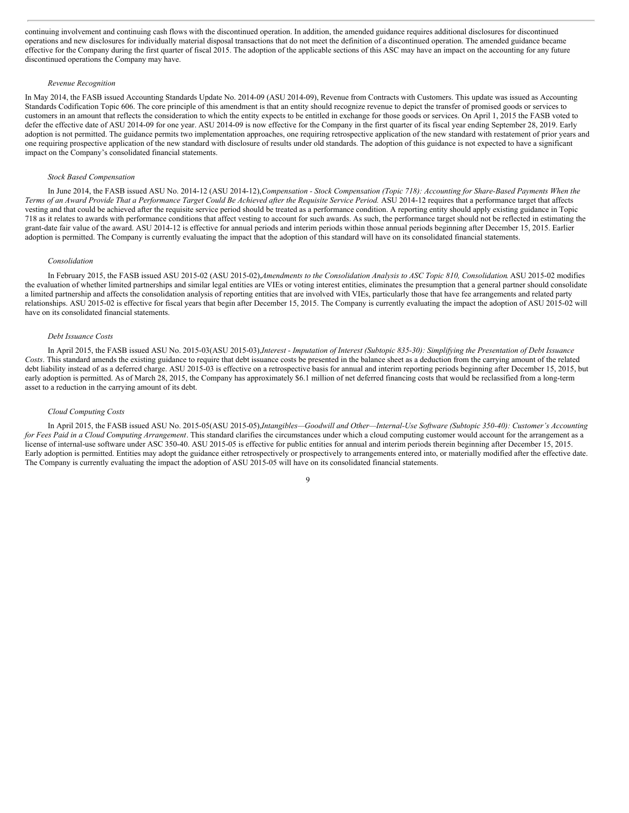continuing involvement and continuing cash flows with the discontinued operation. In addition, the amended guidance requires additional disclosures for discontinued operations and new disclosures for individually material disposal transactions that do not meet the definition of a discontinued operation. The amended guidance became effective for the Company during the first quarter of fiscal 2015. The adoption of the applicable sections of this ASC may have an impact on the accounting for any future discontinued operations the Company may have.

#### *Revenue Recognition*

In May 2014, the FASB issued Accounting Standards Update No. 2014-09 (ASU 2014-09), Revenue from Contracts with Customers. This update was issued as Accounting Standards Codification Topic 606. The core principle of this amendment is that an entity should recognize revenue to depict the transfer of promised goods or services to customers in an amount that reflects the consideration to which the entity expects to be entitled in exchange for those goods or services. On April 1, 2015 the FASB voted to defer the effective date of ASU 2014-09 for one year. ASU 2014-09 is now effective for the Company in the first quarter of its fiscal year ending September 28, 2019. Early adoption is not permitted. The guidance permits two implementation approaches, one requiring retrospective application of the new standard with restatement of prior years and one requiring prospective application of the new standard with disclosure of results under old standards. The adoption of this guidance is not expected to have a significant impact on the Company's consolidated financial statements.

#### *Stock Based Compensation*

In June 2014, the FASB issued ASU No. 2014-12 (ASU 2014-12), Compensation - Stock Compensation (Topic 718): Accounting for Share-Based Payments When the Terms of an Award Provide That a Performance Target Could Be Achieved after the Requisite Service Period. ASU 2014-12 requires that a performance target that affects vesting and that could be achieved after the requisite service period should be treated as a performance condition. A reporting entity should apply existing guidance in Topic 718 as it relates to awards with performance conditions that affect vesting to account for such awards. As such, the performance target should not be reflected in estimating the grant-date fair value of the award. ASU 2014-12 is effective for annual periods and interim periods within those annual periods beginning after December 15, 2015. Earlier adoption is permitted. The Company is currently evaluating the impact that the adoption of this standard will have on its consolidated financial statements.

#### *Consolidation*

In February 2015, the FASB issued ASU 2015-02 (ASU 2015-02),*Amendments to the Consolidation Analysis to ASC Topic 810, Consolidation*. ASU 2015-02 modifies the evaluation of whether limited partnerships and similar legal entities are VIEs or voting interest entities, eliminates the presumption that a general partner should consolidate a limited partnership and affects the consolidation analysis of reporting entities that are involved with VIEs, particularly those that have fee arrangements and related party relationships. ASU 2015-02 is effective for fiscal years that begin after December 15, 2015. The Company is currently evaluating the impact the adoption of ASU 2015-02 will have on its consolidated financial statements.

#### *Debt Issuance Costs*

In April 2015, the FASB issued ASU No. 2015-03(ASU 2015-03), Interest - Imputation of Interest (Subtopic 835-30): Simplifying the Presentation of Debt Issuance *Costs*. This standard amends the existing guidance to require that debt issuance costs be presented in the balance sheet as a deduction from the carrying amount of the related debt liability instead of as a deferred charge. ASU 2015-03 is effective on a retrospective basis for annual and interim reporting periods beginning after December 15, 2015, but early adoption is permitted. As of March 28, 2015, the Company has approximately \$6.1 million of net deferred financing costs that would be reclassified from a long-term asset to a reduction in the carrying amount of its debt.

#### *Cloud Computing Costs*

In April 2015, the FASB issued ASU No. 2015-05(ASU 2015-05),*Intangibles—Goodwill and Other—Internal-Use Software (Subtopic 350-40): Customer's Accounting for Fees Paid in a Cloud Computing Arrangement*. This standard clarifies the circumstances under which a cloud computing customer would account for the arrangement as a license of internal-use software under ASC 350-40. ASU 2015-05 is effective for public entities for annual and interim periods therein beginning after December 15, 2015. Early adoption is permitted. Entities may adopt the guidance either retrospectively or prospectively to arrangements entered into, or materially modified after the effective date. The Company is currently evaluating the impact the adoption of ASU 2015-05 will have on its consolidated financial statements.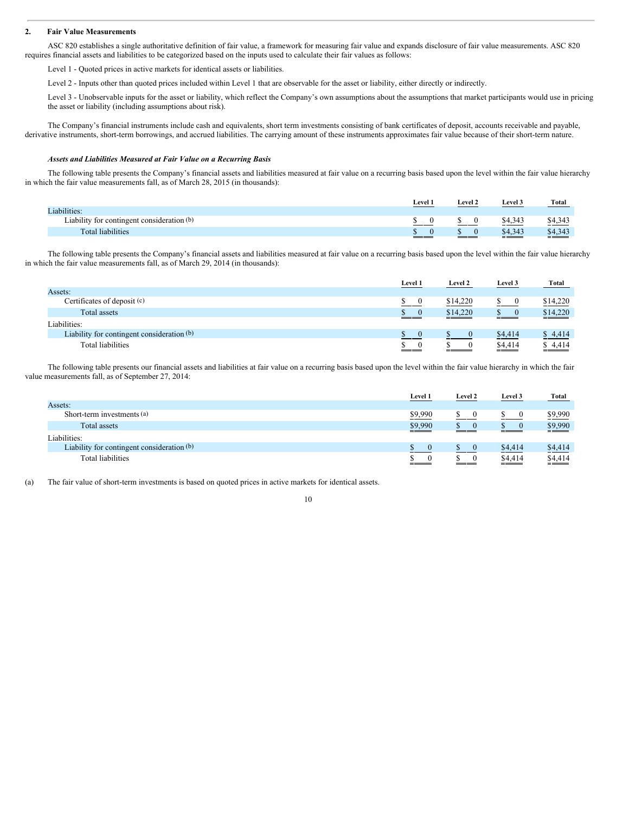#### **2. Fair Value Measurements**

ASC 820 establishes a single authoritative definition of fair value, a framework for measuring fair value and expands disclosure of fair value measurements. ASC 820 requires financial assets and liabilities to be categorized based on the inputs used to calculate their fair values as follows:

Level 1 - Quoted prices in active markets for identical assets or liabilities.

Level 2 - Inputs other than quoted prices included within Level 1 that are observable for the asset or liability, either directly or indirectly.

Level 3 - Unobservable inputs for the asset or liability, which reflect the Company's own assumptions about the assumptions that market participants would use in pricing the asset or liability (including assumptions about risk).

The Company's financial instruments include cash and equivalents, short term investments consisting of bank certificates of deposit, accounts receivable and payable, derivative instruments, short-term borrowings, and accrued liabilities. The carrying amount of these instruments approximates fair value because of their short-term nature.

#### *Assets and Liabilities Measured at Fair Value on a Recurring Basis*

The following table presents the Company's financial assets and liabilities measured at fair value on a recurring basis based upon the level within the fair value hierarchy in which the fair value measurements fall, as of March 28, 2015 (in thousands):

|                                            | <b>Level</b> 1                                      | <b>Level 2</b> | Level 3                                                                                                                                                                                                                                         | <b>Total</b>                                           |
|--------------------------------------------|-----------------------------------------------------|----------------|-------------------------------------------------------------------------------------------------------------------------------------------------------------------------------------------------------------------------------------------------|--------------------------------------------------------|
| <b>Liabilities:</b>                        |                                                     |                |                                                                                                                                                                                                                                                 |                                                        |
| Liability for contingent consideration (b) | <u> The Common Section of the Common Section of</u> |                | \$4,343                                                                                                                                                                                                                                         | \$4,343                                                |
| <b>Total liabilities</b>                   | $ -$                                                |                | \$4.343<br><u> The Common Section of the Common Section of the Common Section of the Common Section of the Common Section of the Common Section of the Common Section of the Common Section of the Common Section of the Common Section of </u> | \$4,343<br><u>e station and the station of the sta</u> |

The following table presents the Company's financial assets and liabilities measured at fair value on a recurring basis based upon the level within the fair value hierarchy in which the fair value measurements fall, as of March 29, 2014 (in thousands):

|                                            | Level 1         | Level 2  | Level 3                           | <b>Total</b>      |
|--------------------------------------------|-----------------|----------|-----------------------------------|-------------------|
| Assets:                                    |                 |          |                                   |                   |
| Certificates of deposit (c)                |                 | \$14,220 |                                   | \$14,220          |
| Total assets                               | $\mathbf{0}$    | \$14,220 | <sup>\$</sup><br>$\theta$<br>____ | \$14,220          |
| Liabilities:                               |                 |          |                                   |                   |
| Liability for contingent consideration (b) | $\mathbf{0}$    |          | \$4,414                           | \$4,414           |
| Total liabilities                          | $\Omega$<br>___ |          | $\frac{$4,414}{}$                 | $\frac{$4,414}{}$ |

The following table presents our financial assets and liabilities at fair value on a recurring basis based upon the level within the fair value hierarchy in which the fair value measurements fall, as of September 27, 2014:

|                                            | Level 1 | Level 2  | Level 3  | Total   |
|--------------------------------------------|---------|----------|----------|---------|
| Assets:                                    |         |          |          |         |
| Short-term investments (a)                 | \$9,990 |          |          | \$9,990 |
| Total assets                               | \$9,990 |          | $\theta$ | \$9,990 |
| Liabilities:                               |         |          |          |         |
| Liability for contingent consideration (b) |         | $\theta$ | \$4,414  | \$4,414 |
| Total liabilities                          |         |          | \$4,414  | \$4,414 |

10

(a) The fair value of short-term investments is based on quoted prices in active markets for identical assets.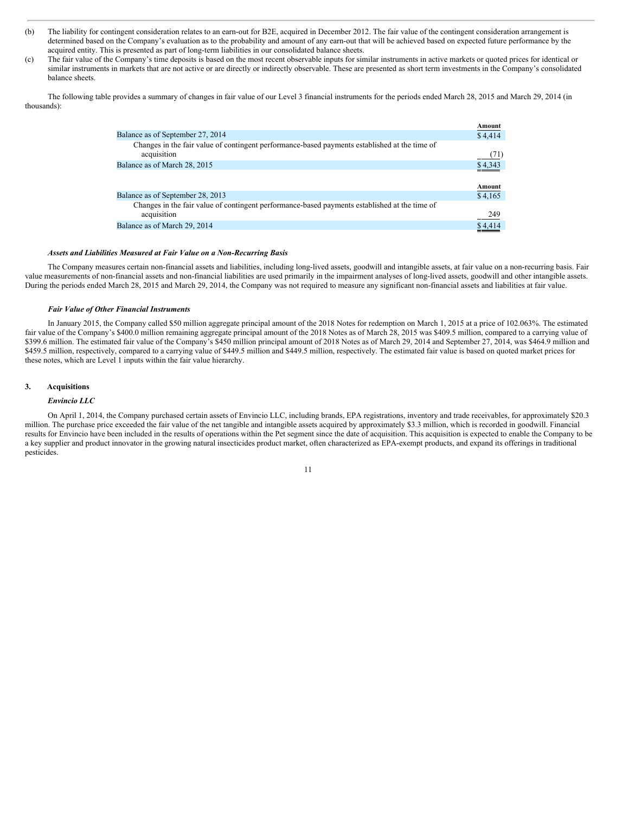- (b) The liability for contingent consideration relates to an earn-out for B2E, acquired in December 2012. The fair value of the contingent consideration arrangement is determined based on the Company's evaluation as to the probability and amount of any earn-out that will be achieved based on expected future performance by the acquired entity. This is presented as part of long-term liabilities in our consolidated balance sheets.
- (c) The fair value of the Company's time deposits is based on the most recent observable inputs for similar instruments in active markets or quoted prices for identical or similar instruments in markets that are not active or are directly or indirectly observable. These are presented as short term investments in the Company's consolidated balance sheets.

The following table provides a summary of changes in fair value of our Level 3 financial instruments for the periods ended March 28, 2015 and March 29, 2014 (in thousands):

|                                                                                                              | Amount          |
|--------------------------------------------------------------------------------------------------------------|-----------------|
| Balance as of September 27, 2014                                                                             | \$4,414         |
| Changes in the fair value of contingent performance-based payments established at the time of<br>acquisition | (71)            |
| Balance as of March 28, 2015                                                                                 | \$4,343         |
|                                                                                                              | Amount          |
| Balance as of September 28, 2013                                                                             | \$4,165         |
| Changes in the fair value of contingent performance-based payments established at the time of                |                 |
| acquisition                                                                                                  | $\frac{249}{2}$ |
| Balance as of March 29, 2014                                                                                 | \$4,414         |
|                                                                                                              |                 |

#### *Assets and Liabilities Measured at Fair Value on a Non-Recurring Basis*

The Company measures certain non-financial assets and liabilities, including long-lived assets, goodwill and intangible assets, at fair value on a non-recurring basis. Fair value measurements of non-financial assets and non-financial liabilities are used primarily in the impairment analyses of long-lived assets, goodwill and other intangible assets. During the periods ended March 28, 2015 and March 29, 2014, the Company was not required to measure any significant non-financial assets and liabilities at fair value.

#### *Fair Value of Other Financial Instruments*

In January 2015, the Company called \$50 million aggregate principal amount of the 2018 Notes for redemption on March 1, 2015 at a price of 102.063%. The estimated fair value of the Company's \$400.0 million remaining aggregate principal amount of the 2018 Notes as of March 28, 2015 was \$409.5 million, compared to a carrying value of \$399.6 million. The estimated fair value of the Company's \$450 million principal amount of 2018 Notes as of March 29, 2014 and September 27, 2014, was \$464.9 million and \$459.5 million, respectively, compared to a carrying value of \$449.5 million and \$449.5 million, respectively. The estimated fair value is based on quoted market prices for these notes, which are Level 1 inputs within the fair value hierarchy.

#### **3. Acquisitions**

## *Envincio LLC*

On April 1, 2014, the Company purchased certain assets of Envincio LLC, including brands, EPA registrations, inventory and trade receivables, for approximately \$20.3 million. The purchase price exceeded the fair value of the net tangible and intangible assets acquired by approximately \$3.3 million, which is recorded in goodwill. Financial results for Envincio have been included in the results of operations within the Pet segment since the date of acquisition. This acquisition is expected to enable the Company to be a key supplier and product innovator in the growing natural insecticides product market, often characterized as EPA-exempt products, and expand its offerings in traditional pesticides.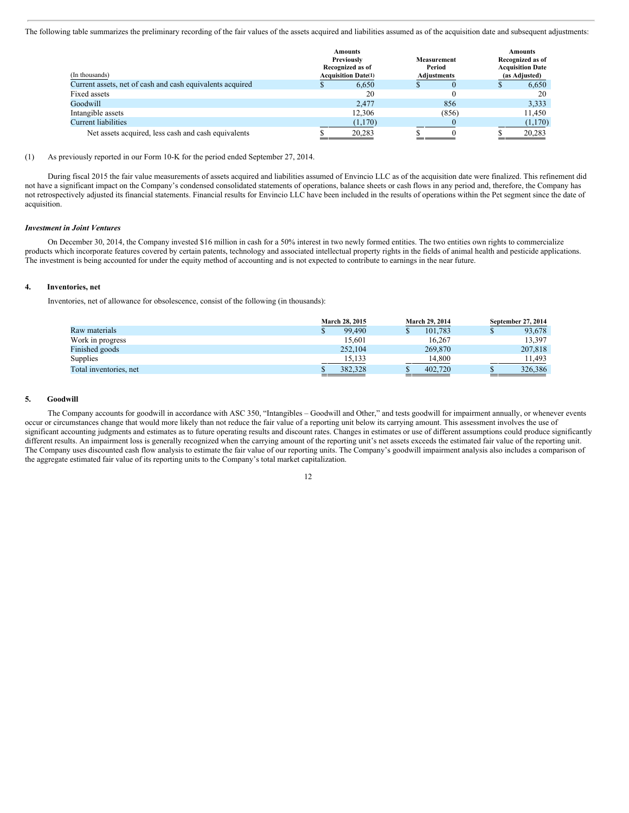The following table summarizes the preliminary recording of the fair values of the assets acquired and liabilities assumed as of the acquisition date and subsequent adjustments:

|                                                           |            | <b>Amounts</b>             |                    |  | <b>Amounts</b>          |  |
|-----------------------------------------------------------|------------|----------------------------|--------------------|--|-------------------------|--|
|                                                           | Previously |                            | Measurement        |  | Recognized as of        |  |
|                                                           |            | Recognized as of           | Period             |  | <b>Acquisition Date</b> |  |
| (In thousands)                                            |            | <b>Acquisition Date(1)</b> | <b>Adjustments</b> |  | (as Adjusted)           |  |
| Current assets, net of cash and cash equivalents acquired |            | 6.650                      | v                  |  | 6.650                   |  |
| Fixed assets                                              |            | 20                         |                    |  | 20                      |  |
| Goodwill                                                  |            | 2.477                      | 856                |  | 3,333                   |  |
| Intangible assets                                         |            | 12,306                     | (856)              |  | 11.450                  |  |
| Current liabilities                                       |            | (1,170)                    |                    |  | (1,170)                 |  |
| Net assets acquired, less cash and cash equivalents       |            | 20,283                     |                    |  | 20,283                  |  |

# (1) As previously reported in our Form 10-K for the period ended September 27, 2014.

During fiscal 2015 the fair value measurements of assets acquired and liabilities assumed of Envincio LLC as of the acquisition date were finalized. This refinement did not have a significant impact on the Company's condensed consolidated statements of operations, balance sheets or cash flows in any period and, therefore, the Company has not retrospectively adjusted its financial statements. Financial results for Envincio LLC have been included in the results of operations within the Pet segment since the date of acquisition.

#### *Investment in Joint Ventures*

On December 30, 2014, the Company invested \$16 million in cash for a 50% interest in two newly formed entities. The two entities own rights to commercialize products which incorporate features covered by certain patents, technology and associated intellectual property rights in the fields of animal health and pesticide applications. The investment is being accounted for under the equity method of accounting and is not expected to contribute to earnings in the near future.

## **4. Inventories, net**

Inventories, net of allowance for obsolescence, consist of the following (in thousands):

|                        | March 28, 2015 | March 29, 2014 | September 27, 2014 |
|------------------------|----------------|----------------|--------------------|
| Raw materials          | 99.490         | 101.783        | 93,678             |
| Work in progress       | 15.601         | 16.267         | 13,397             |
| Finished goods         | 252,104        | 269,870        | 207,818            |
| Supplies               | 15,133         | 14.800         | 11.493             |
| Total inventories, net | 382,328        | 402,720        | 326,386            |

### **5. Goodwill**

The Company accounts for goodwill in accordance with ASC 350, "Intangibles – Goodwill and Other," and tests goodwill for impairment annually, or whenever events occur or circumstances change that would more likely than not reduce the fair value of a reporting unit below its carrying amount. This assessment involves the use of significant accounting judgments and estimates as to future operating results and discount rates. Changes in estimates or use of different assumptions could produce significantly different results. An impairment loss is generally recognized when the carrying amount of the reporting unit's net assets exceeds the estimated fair value of the reporting unit. The Company uses discounted cash flow analysis to estimate the fair value of our reporting units. The Company's goodwill impairment analysis also includes a comparison of the aggregate estimated fair value of its reporting units to the Company's total market capitalization.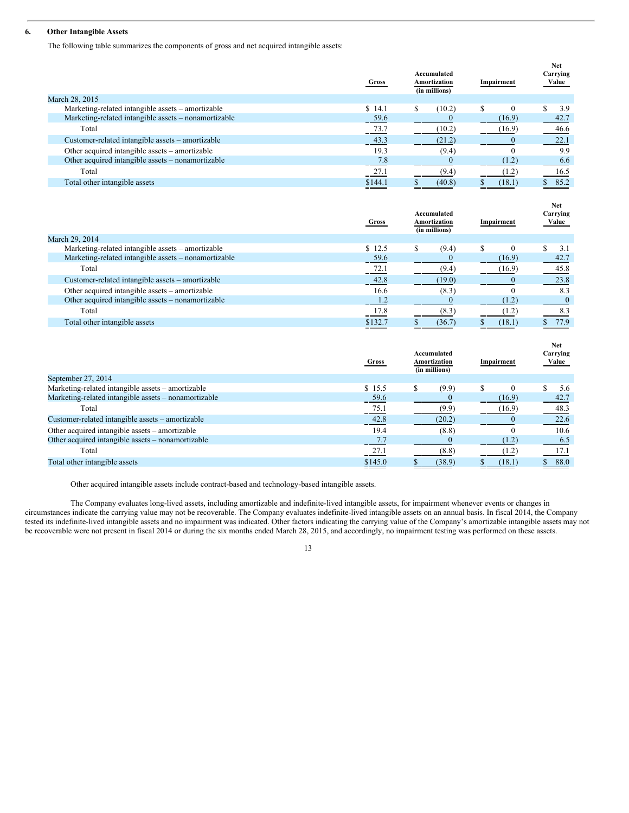# **6. Other Intangible Assets**

The following table summarizes the components of gross and net acquired intangible assets:

|                                                      | <b>Gross</b> | Accumulated<br>Amortization<br>(in millions) | Impairment | тег<br>Carrying<br>Value |  |
|------------------------------------------------------|--------------|----------------------------------------------|------------|--------------------------|--|
| March 28, 2015                                       |              |                                              |            |                          |  |
| Marketing-related intangible assets – amortizable    | \$14.1       | S<br>(10.2)                                  | S          | 3.9                      |  |
| Marketing-related intangible assets - nonamortizable | 59.6         |                                              | (16.9)     | 42.7                     |  |
| Total                                                | <u>73.7</u>  | (10.2)                                       | (16.9)     | 46.6                     |  |
| Customer-related intangible assets – amortizable     | 43.3         | (21.2)                                       |            | 22.1                     |  |
| Other acquired intangible assets - amortizable       | 19.3         | (9.4)                                        |            | 9.9                      |  |
| Other acquired intangible assets – nonamortizable    | 7.8          |                                              | (1.2)      | 6.6                      |  |
| Total                                                | 27.1         | (9.4)                                        | (1.2)      | 16.5                     |  |
| Total other intangible assets                        | \$144.1      | (40.8)                                       | (18.1)     | 85.2                     |  |

**Net**

**Net**

|                                                      | Gross   | Accumulated<br>Amortization<br>(in millions) | Impairment | Carrying<br>Value |  |  |
|------------------------------------------------------|---------|----------------------------------------------|------------|-------------------|--|--|
| March 29, 2014                                       |         |                                              |            |                   |  |  |
| Marketing-related intangible assets – amortizable    | \$12.5  | S<br>(9.4)                                   | S          | 3.1               |  |  |
| Marketing-related intangible assets – nonamortizable | 59.6    |                                              | (16.9)     | 42.7              |  |  |
| Total                                                | 72.1    | (9.4)                                        | (16.9)     | 45.8              |  |  |
| Customer-related intangible assets – amortizable     | 42.8    | (19.0)                                       |            | 23.8              |  |  |
| Other acquired intangible assets – amortizable       | 16.6    | (8.3)                                        |            | 8.3               |  |  |
| Other acquired intangible assets – nonamortizable    |         |                                              | (1.2)      |                   |  |  |
| Total                                                | 17.8    | (8.3)                                        | (1.2)      | 8.3               |  |  |
| Total other intangible assets                        | \$132.7 | (36.7)                                       | (18.1)     | 77.9              |  |  |

|                                                      | Gross          | Accumulated<br>Amortization<br>(in millions) | Impairment | <b>Net</b><br>Carrying<br>Value |  |
|------------------------------------------------------|----------------|----------------------------------------------|------------|---------------------------------|--|
| September 27, 2014                                   |                |                                              |            |                                 |  |
| Marketing-related intangible assets – amortizable    | \$15.5         | (9.9)<br>S                                   |            | 5.6                             |  |
| Marketing-related intangible assets – nonamortizable | 59.6           |                                              | (16.9)     | 42.7                            |  |
| Total                                                | 75.1           | (9.9)                                        | (16.9)     | 48.3                            |  |
| Customer-related intangible assets – amortizable     | 42.8           | (20.2)                                       |            | 22.6                            |  |
| Other acquired intangible assets – amortizable       | 19.4           | (8.8)                                        | $\Omega$   | 10.6                            |  |
| Other acquired intangible assets - nonamortizable    | 7.7            |                                              | (1.2)      | 6.5                             |  |
| Total                                                | 27.1           | (8.8)                                        | (1.2)      | 17.1                            |  |
| Total other intangible assets                        | \$145.0<br>=== | (38.9)                                       | (18.1)     | 88.0                            |  |

Other acquired intangible assets include contract-based and technology-based intangible assets.

The Company evaluates long-lived assets, including amortizable and indefinite-lived intangible assets, for impairment whenever events or changes in circumstances indicate the carrying value may not be recoverable. The Company evaluates indefinite-lived intangible assets on an annual basis. In fiscal 2014, the Company tested its indefinite-lived intangible assets and no impairment was indicated. Other factors indicating the carrying value of the Company's amortizable intangible assets may not be recoverable were not present in fiscal 2014 or during the six months ended March 28, 2015, and accordingly, no impairment testing was performed on these assets.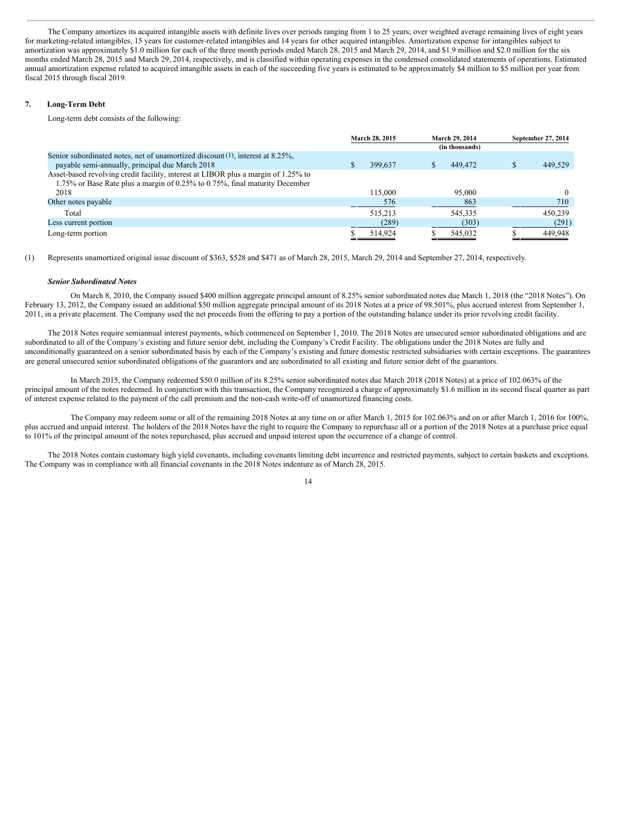The Company amortizes its acquired intangible assets with definite lives over periods ranging from 1 to 25 years; over weighted average remaining lives of eight years for marketing-related intangibles, 15 years for customer-related intangibles and 14 years for other acquired intangibles. Amortization expense for intangibles subject to amortization was approximately \$1.0 million for each of the three month periods ended March 28, 2015 and March 29, 2014, and \$1.9 million and \$2.0 million for the six months ended March 28, 2015 and March 29, 2014, respectively, and is classified within operating expenses in the condensed consolidated statements of operations. Estimated annual amortization expense related to acquired intangible assets in each of the succeeding five years is estimated to be approximately \$4 million to \$5 million per year from fiscal 2015 through fiscal 2019.

#### **7. Long-Term Debt**

Long-term debt consists of the following:

|                                                                                    | <b>March 28, 2015</b> |         | March 29, 2014 | September 27, 2014 |
|------------------------------------------------------------------------------------|-----------------------|---------|----------------|--------------------|
|                                                                                    |                       |         | (in thousands) |                    |
| Senior subordinated notes, net of unamortized discount $(1)$ , interest at 8.25%,  |                       |         |                |                    |
| payable semi-annually, principal due March 2018                                    |                       | 399.637 | 449,472        | 449.529            |
| Asset-based revolving credit facility, interest at LIBOR plus a margin of 1.25% to |                       |         |                |                    |
| 1.75% or Base Rate plus a margin of 0.25% to 0.75%, final maturity December        |                       |         |                |                    |
| 2018                                                                               |                       | 115,000 | 95,000         |                    |
| Other notes payable                                                                |                       | 576     | 863            | 710                |
| Total                                                                              |                       | 515.213 | 545.335        | 450,239            |
| Less current portion                                                               |                       | (289)   | (303)          | (291)              |
| Long-term portion                                                                  |                       | 514,924 | 545,032        | 449,948            |

(1) Represents unamortized original issue discount of \$363, \$528 and \$471 as of March 28, 2015, March 29, 2014 and September 27, 2014, respectively.

#### *Senior Subordinated Notes*

On March 8, 2010, the Company issued \$400 million aggregate principal amount of 8.25% senior subordinated notes due March 1, 2018 (the "2018 Notes"). On February 13, 2012, the Company issued an additional \$50 million aggregate principal amount of its 2018 Notes at a price of 98.501%, plus accrued interest from September 1, 2011, in a private placement. The Company used the net proceeds from the offering to pay a portion of the outstanding balance under its prior revolving credit facility.

The 2018 Notes require semiannual interest payments, which commenced on September 1, 2010. The 2018 Notes are unsecured senior subordinated obligations and are subordinated to all of the Company's existing and future senior debt, including the Company's Credit Facility. The obligations under the 2018 Notes are fully and unconditionally guaranteed on a senior subordinated basis by each of the Company's existing and future domestic restricted subsidiaries with certain exceptions. The guarantees are general unsecured senior subordinated obligations of the guarantors and are subordinated to all existing and future senior debt of the guarantors.

In March 2015, the Company redeemed \$50.0 million of its 8.25% senior subordinated notes due March 2018 (2018 Notes) at a price of 102.063% of the principal amount of the notes redeemed. In conjunction with this transaction, the Company recognized a charge of approximately \$1.6 million in its second fiscal quarter as part of interest expense related to the payment of the call premium and the non-cash write-off of unamortized financing costs.

The Company may redeem some or all of the remaining 2018 Notes at any time on or after March 1, 2015 for 102.063% and on or after March 1, 2016 for 100%, plus accrued and unpaid interest. The holders of the 2018 Notes have the right to require the Company to repurchase all or a portion of the 2018 Notes at a purchase price equal to 101% of the principal amount of the notes repurchased, plus accrued and unpaid interest upon the occurrence of a change of control.

The 2018 Notes contain customary high yield covenants, including covenants limiting debt incurrence and restricted payments, subject to certain baskets and exceptions. The Company was in compliance with all financial covenants in the 2018 Notes indenture as of March 28, 2015.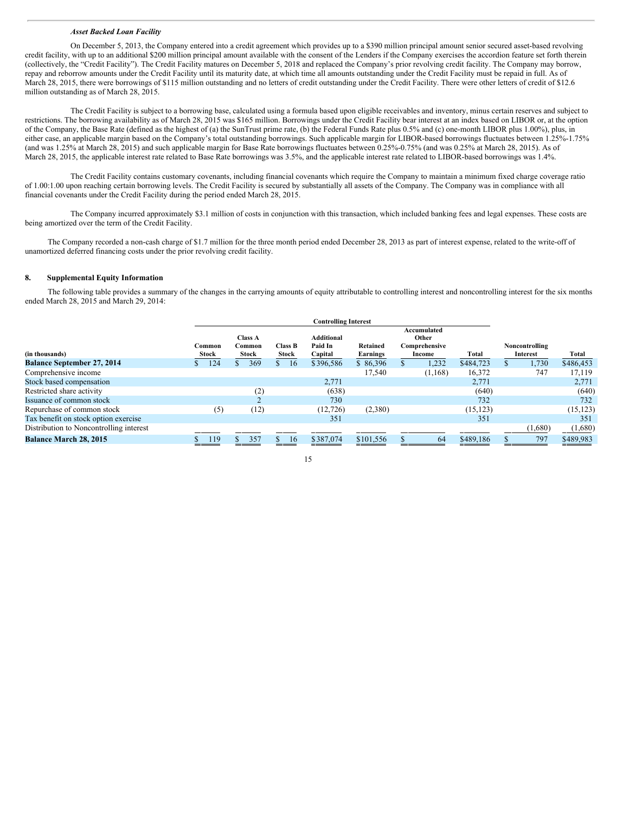#### *Asset Backed Loan Facility*

On December 5, 2013, the Company entered into a credit agreement which provides up to a \$390 million principal amount senior secured asset-based revolving credit facility, with up to an additional \$200 million principal amount available with the consent of the Lenders if the Company exercises the accordion feature set forth therein (collectively, the "Credit Facility"). The Credit Facility matures on December 5, 2018 and replaced the Company's prior revolving credit facility. The Company may borrow, repay and reborrow amounts under the Credit Facility until its maturity date, at which time all amounts outstanding under the Credit Facility must be repaid in full. As of March 28, 2015, there were borrowings of \$115 million outstanding and no letters of credit outstanding under the Credit Facility. There were other letters of credit of \$12.6 million outstanding as of March 28, 2015.

The Credit Facility is subject to a borrowing base, calculated using a formula based upon eligible receivables and inventory, minus certain reserves and subject to restrictions. The borrowing availability as of March 28, 2015 was \$165 million. Borrowings under the Credit Facility bear interest at an index based on LIBOR or, at the option of the Company, the Base Rate (defined as the highest of (a) the SunTrust prime rate, (b) the Federal Funds Rate plus 0.5% and (c) one-month LIBOR plus 1.00%), plus, in either case, an applicable margin based on the Company's total outstanding borrowings. Such applicable margin for LIBOR-based borrowings fluctuates between 1.25%-1.75% (and was 1.25% at March 28, 2015) and such applicable margin for Base Rate borrowings fluctuates between 0.25%-0.75% (and was 0.25% at March 28, 2015). As of March 28, 2015, the applicable interest rate related to Base Rate borrowings was 3.5%, and the applicable interest rate related to LIBOR-based borrowings was 1.4%.

The Credit Facility contains customary covenants, including financial covenants which require the Company to maintain a minimum fixed charge coverage ratio of 1.00:1.00 upon reaching certain borrowing levels. The Credit Facility is secured by substantially all assets of the Company. The Company was in compliance with all financial covenants under the Credit Facility during the period ended March 28, 2015.

The Company incurred approximately \$3.1 million of costs in conjunction with this transaction, which included banking fees and legal expenses. These costs are being amortized over the term of the Credit Facility.

The Company recorded a non-cash charge of \$1.7 million for the three month period ended December 28, 2013 as part of interest expense, related to the write-off of unamortized deferred financing costs under the prior revolving credit facility.

### **8. Supplemental Equity Information**

The following table provides a summary of the changes in the carrying amounts of equity attributable to controlling interest and noncontrolling interest for the six months ended March 28, 2015 and March 29, 2014:

|                                         |              |                          |                             | <b>Controlling Interest</b>  |                             |                                       |                    |                            |                    |
|-----------------------------------------|--------------|--------------------------|-----------------------------|------------------------------|-----------------------------|---------------------------------------|--------------------|----------------------------|--------------------|
| (in thousands)                          | Common       | <b>Class A</b><br>Common | Class B                     | <b>Additional</b><br>Paid In | Retained                    | Accumulated<br>Other<br>Comprehensive |                    | Noncontrolling<br>Interest |                    |
| <b>Balance September 27, 2014</b>       | Stock<br>124 | <b>Stock</b><br>369      | Stock<br>$\mathbb{S}$<br>16 | Capital<br>\$396,586         | <b>Earnings</b><br>\$86,396 | Income<br>1,232                       | Total<br>\$484,723 | 1,730                      | Total<br>\$486,453 |
| Comprehensive income                    |              |                          |                             |                              | 17,540                      | (1, 168)                              | 16,372             | 747                        | 17,119             |
| Stock based compensation                |              |                          |                             | 2,771                        |                             |                                       | 2,771              |                            | 2,771              |
| Restricted share activity               |              | (2)                      |                             | (638)                        |                             |                                       | (640)              |                            | (640)              |
| Issuance of common stock                |              | $\bigcap$                |                             | 730                          |                             |                                       | 732                |                            | 732                |
| Repurchase of common stock              | (5)          | (12)                     |                             | (12, 726)                    | (2,380)                     |                                       | (15, 123)          |                            | (15, 123)          |
| Tax benefit on stock option exercise    |              |                          |                             | 351                          |                             |                                       | 351                |                            | 351                |
| Distribution to Noncontrolling interest |              |                          |                             |                              |                             |                                       |                    | (1,680)                    | (1,680)            |
| <b>Balance March 28, 2015</b>           | 119          | 357                      | 16                          | \$387,074                    | \$101,556                   | 64                                    | \$489,186          | 797                        | \$489,983          |

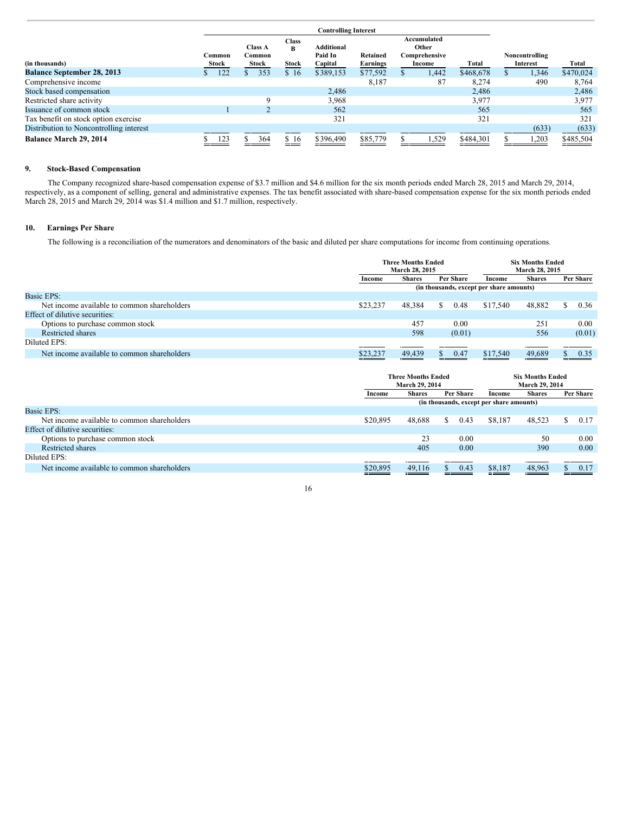|                                         | <b>Controlling Interest</b> |                 |  |                                   |                            |                                         |                      |  |                                                 |           |                            |           |
|-----------------------------------------|-----------------------------|-----------------|--|-----------------------------------|----------------------------|-----------------------------------------|----------------------|--|-------------------------------------------------|-----------|----------------------------|-----------|
| (in thousands)                          |                             | Common<br>Stock |  | <b>Class A</b><br>Common<br>Stock | <b>Class</b><br>в<br>Stock | <b>Additional</b><br>Paid In<br>Capital | Retained<br>Earnings |  | Accumulated<br>Other<br>Comprehensive<br>Income | Total     | Noncontrolling<br>Interest | Total     |
| <b>Balance September 28, 2013</b>       |                             | 122             |  | 353                               | \$16                       | \$389,153                               | \$77,592             |  | 1.442                                           | \$468,678 | 1,346                      | \$470,024 |
| Comprehensive income                    |                             |                 |  |                                   |                            |                                         | 8,187                |  | 87                                              | 8,274     | 490                        | 8,764     |
| Stock based compensation                |                             |                 |  |                                   |                            | 2,486                                   |                      |  |                                                 | 2,486     |                            | 2,486     |
| Restricted share activity               |                             |                 |  | Q                                 |                            | 3,968                                   |                      |  |                                                 | 3,977     |                            | 3,977     |
| Issuance of common stock                |                             |                 |  |                                   |                            | 562                                     |                      |  |                                                 | 565       |                            | 565       |
| Tax benefit on stock option exercise    |                             |                 |  |                                   |                            | 321                                     |                      |  |                                                 | 321       |                            | 321       |
| Distribution to Noncontrolling interest |                             |                 |  |                                   |                            |                                         |                      |  |                                                 |           | (633)                      | (633)     |
| Balance March 29, 2014                  |                             |                 |  | 364                               | \$16                       | \$396,490                               | \$85,779             |  | .529                                            | \$484,301 | .203                       | \$485,504 |

# **9. Stock-Based Compensation**

The Company recognized share-based compensation expense of \$3.7 million and \$4.6 million for the six month periods ended March 28, 2015 and March 29, 2014, respectively, as a component of selling, general and administrative expenses. The tax benefit associated with share-based compensation expense for the six month periods ended March 28, 2015 and March 29, 2014 was \$1.4 million and \$1.7 million, respectively.

# **10. Earnings Per Share**

The following is a reconciliation of the numerators and denominators of the basic and diluted per share computations for income from continuing operations.

|                                             |          | <b>Three Months Ended</b><br>March 28, 2015 |                                          |           |                                           | <b>Six Months Ended</b><br>March 28, 2015 |    |           |
|---------------------------------------------|----------|---------------------------------------------|------------------------------------------|-----------|-------------------------------------------|-------------------------------------------|----|-----------|
|                                             | Income   | <b>Shares</b>                               |                                          | Per Share | Income                                    | <b>Shares</b>                             |    | Per Share |
|                                             |          |                                             |                                          |           | (in thousands, except per share amounts)  |                                           |    |           |
| <b>Basic EPS:</b>                           |          |                                             |                                          |           |                                           |                                           |    |           |
| Net income available to common shareholders | \$23,237 | 48,384                                      | S.                                       | 0.48      | \$17,540                                  | 48,882                                    | S  | 0.36      |
| Effect of dilutive securities:              |          |                                             |                                          |           |                                           |                                           |    |           |
| Options to purchase common stock            |          | 457                                         |                                          | 0.00      |                                           | 251                                       |    | 0.00      |
| <b>Restricted shares</b>                    |          | 598                                         |                                          | (0.01)    |                                           | 556                                       |    | (0.01)    |
| Diluted EPS:                                |          |                                             |                                          |           |                                           |                                           |    |           |
| Net income available to common shareholders | \$23,237 | 49,439                                      | S.                                       | 0.47      | \$17,540                                  | 49,689                                    |    | 0.35      |
|                                             |          | <b>Three Months Ended</b><br>March 29, 2014 |                                          |           | <b>Six Months Ended</b><br>March 29, 2014 |                                           |    |           |
|                                             | Income   | <b>Shares</b>                               |                                          | Per Share | <b>Income</b>                             | <b>Shares</b>                             |    | Per Share |
|                                             |          |                                             | (in thousands, except per share amounts) |           |                                           |                                           |    |           |
| <b>Basic EPS:</b>                           |          |                                             |                                          |           |                                           |                                           |    |           |
| Net income available to common shareholders | \$20,895 | 48,688                                      | S.                                       | 0.43      | \$8,187                                   | 48,523                                    | S. | 0.17      |
| Effect of dilutive securities:              |          |                                             |                                          |           |                                           |                                           |    |           |
| Options to purchase common stock            |          | 23                                          |                                          | 0.00      |                                           | 50                                        |    | 0.00      |
| <b>Restricted shares</b>                    |          | 405                                         |                                          | 0.00      |                                           | 390                                       |    | 0.00      |
| Diluted EPS:                                |          |                                             |                                          |           |                                           |                                           |    |           |
| Net income available to common shareholders | \$20,895 | 49,116                                      |                                          | 0.43      | \$8,187                                   | 48,963                                    |    | 0.17      |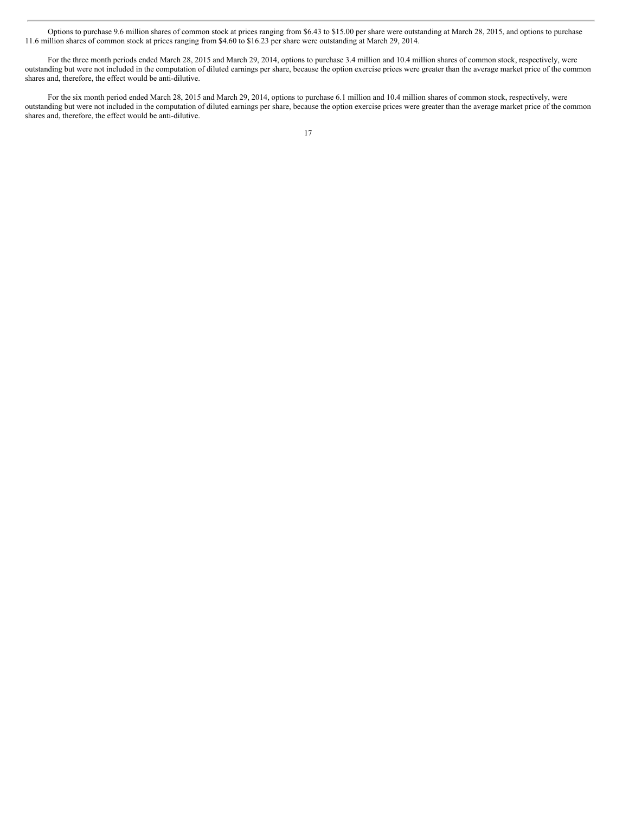Options to purchase 9.6 million shares of common stock at prices ranging from \$6.43 to \$15.00 per share were outstanding at March 28, 2015, and options to purchase 11.6 million shares of common stock at prices ranging from \$4.60 to \$16.23 per share were outstanding at March 29, 2014.

For the three month periods ended March 28, 2015 and March 29, 2014, options to purchase 3.4 million and 10.4 million shares of common stock, respectively, were outstanding but were not included in the computation of diluted earnings per share, because the option exercise prices were greater than the average market price of the common shares and, therefore, the effect would be anti-dilutive.

For the six month period ended March 28, 2015 and March 29, 2014, options to purchase 6.1 million and 10.4 million shares of common stock, respectively, were outstanding but were not included in the computation of diluted earnings per share, because the option exercise prices were greater than the average market price of the common shares and, therefore, the effect would be anti-dilutive.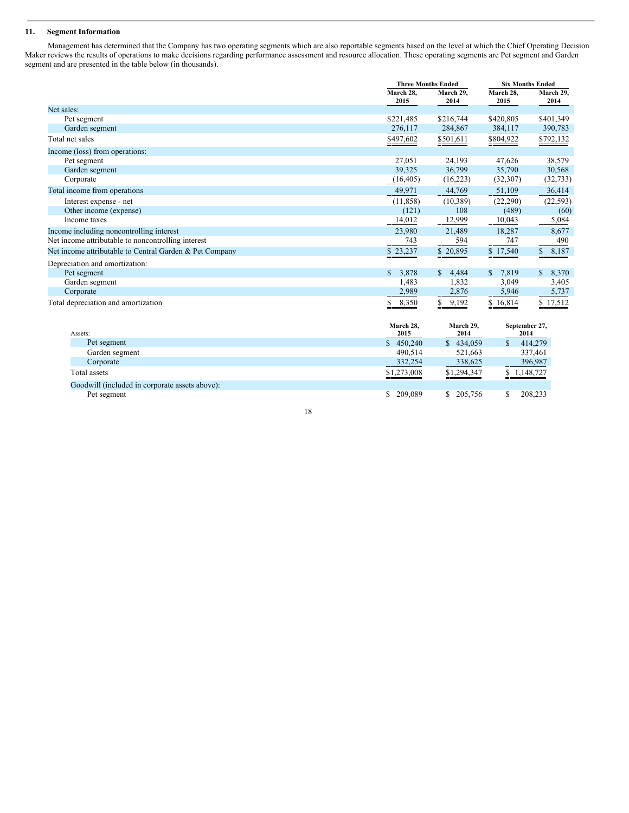# **11. Segment Information**

Management has determined that the Company has two operating segments which are also reportable segments based on the level at which the Chief Operating Decision Maker reviews the results of operations to make decisions regarding performance assessment and resource allocation. These operating segments are Pet segment and Garden segment and are presented in the table below (in thousands).

|                                                         | <b>Three Months Ended</b> |                       | <b>Six Months Ended</b> |                         |  |
|---------------------------------------------------------|---------------------------|-----------------------|-------------------------|-------------------------|--|
|                                                         | March 28,                 | March 29,             | March 28,               | March 29,               |  |
|                                                         | 2015                      | 2014                  | 2015                    | 2014                    |  |
| Net sales:                                              |                           |                       |                         |                         |  |
| Pet segment                                             | \$221,485                 | \$216,744             | \$420,805               | \$401,349               |  |
| Garden segment                                          | 276,117                   | 284,867               | 384,117                 | 390,783                 |  |
| Total net sales                                         | \$497,602                 | \$501,611             | \$804,922               | \$792,132               |  |
| Income (loss) from operations:                          |                           |                       |                         |                         |  |
| Pet segment                                             | 27,051                    | 24,193                | 47,626                  | 38,579                  |  |
| Garden segment                                          | 39,325                    | 36,799                | 35,790                  | 30,568                  |  |
| Corporate                                               | (16, 405)                 | (16,223)              | (32,307)                | (32, 733)               |  |
| Total income from operations                            | 49,971                    | 44,769                | 51,109                  | 36,414                  |  |
| Interest expense - net                                  | (11, 858)                 | (10, 389)             | (22,290)                | (22, 593)               |  |
| Other income (expense)                                  | (121)                     | 108                   | (489)                   | (60)                    |  |
| Income taxes                                            | 14,012                    | 12,999                | 10,043                  | 5,084                   |  |
| Income including noncontrolling interest                | 23,980                    | 21,489                | 18,287                  | 8,677                   |  |
| Net income attributable to noncontrolling interest      | 743                       | 594                   | 747                     | 490                     |  |
| Net income attributable to Central Garden & Pet Company | \$23,237                  | \$20,895              | \$17,540                | \$8,187                 |  |
| Depreciation and amortization:                          |                           |                       |                         |                         |  |
| Pet segment                                             | 3,878<br>\$.              | $\mathbb{S}$<br>4,484 | 7,819<br><sup>\$</sup>  | 8,370<br>$\mathbb{S}^-$ |  |
| Garden segment                                          | 1,483                     | 1,832                 | 3,049                   | 3,405                   |  |
| Corporate                                               | 2,989                     | 2,876                 | 5,946                   | 5,737                   |  |
| Total depreciation and amortization                     | 8,350                     | 9,192                 | \$16,814                | \$17,512                |  |

| Assets:                                        | March 28.<br>2015 | March 29.<br>2014 | September 27,<br>2014 |
|------------------------------------------------|-------------------|-------------------|-----------------------|
| Pet segment                                    | \$450,240         | \$434,059         | 414,279               |
| Garden segment                                 | 490.514           | 521,663           | 337,461               |
| Corporate                                      | 332,254           | 338,625           | 396,987               |
| Total assets                                   | \$1,273,008       | \$1,294,347       | \$1,148,727           |
| Goodwill (included in corporate assets above): |                   |                   |                       |
| Pet segment                                    | \$209,089         | \$ 205,756        | 208.233               |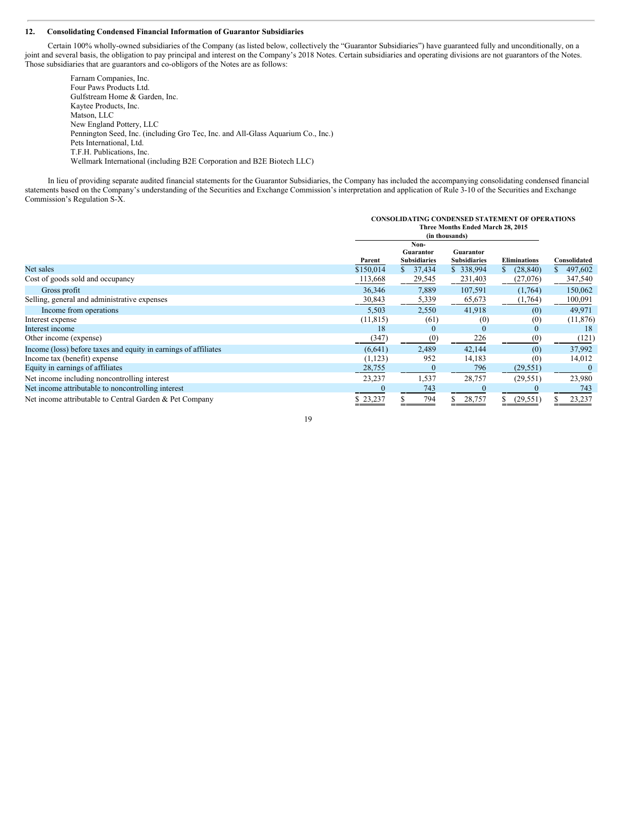#### **12. Consolidating Condensed Financial Information of Guarantor Subsidiaries**

Certain 100% wholly-owned subsidiaries of the Company (as listed below, collectively the "Guarantor Subsidiaries") have guaranteed fully and unconditionally, on a joint and several basis, the obligation to pay principal and interest on the Company's 2018 Notes. Certain subsidiaries and operating divisions are not guarantors of the Notes. Those subsidiaries that are guarantors and co-obligors of the Notes are as follows:

Farnam Companies, Inc. Four Paws Products Ltd. Gulfstream Home & Garden, Inc. Kaytee Products, Inc. Matson, LLC New England Pottery, LLC Pennington Seed, Inc. (including Gro Tec, Inc. and All-Glass Aquarium Co., Inc.) Pets International, Ltd. T.F.H. Publications, Inc. Wellmark International (including B2E Corporation and B2E Biotech LLC)

In lieu of providing separate audited financial statements for the Guarantor Subsidiaries, the Company has included the accompanying consolidating condensed financial statements based on the Company's understanding of the Securities and Exchange Commission's interpretation and application of Rule 3-10 of the Securities and Exchange Commission's Regulation S-X.

|                                                                 |           | <b>CONSOLIDATING CONDENSED STATEMENT OF OPERATIONS</b> |                     |                     |              |
|-----------------------------------------------------------------|-----------|--------------------------------------------------------|---------------------|---------------------|--------------|
|                                                                 |           | Three Months Ended March 28, 2015                      |                     |                     |              |
|                                                                 |           |                                                        |                     |                     |              |
|                                                                 |           | Non-                                                   |                     |                     |              |
|                                                                 |           | Guarantor                                              | Guarantor           |                     |              |
| Net sales                                                       | Parent    | <b>Subsidiaries</b>                                    | <b>Subsidiaries</b> | <b>Eliminations</b> | Consolidated |
|                                                                 | \$150,014 | 37,434                                                 | \$338,994           | (28, 840)           | 497,602      |
| Cost of goods sold and occupancy                                | 113,668   | 29,545                                                 | 231,403             | (27,076)            | 347,540      |
| Gross profit                                                    | 36,346    | 7,889                                                  | 107,591             | (1,764)             | 150,062      |
| Selling, general and administrative expenses                    | 30,843    | 5,339                                                  | 65,673              | (1,764)             | 100,091      |
| Income from operations                                          | 5,503     | 2,550                                                  | 41,918              | (0)                 | 49,971       |
| Interest expense                                                | (11, 815) | (61)                                                   | (0)                 | (0)                 | (11, 876)    |
| Interest income                                                 | 18        | $\theta$                                               | $\Omega$            |                     | 18           |
| Other income (expense)                                          | (347)     | (0)                                                    | 226                 | (0)                 | (121)        |
| Income (loss) before taxes and equity in earnings of affiliates | (6,641)   | 2,489                                                  | 42,144              | (0)                 | 37,992       |
| Income tax (benefit) expense                                    | (1,123)   | 952                                                    | 14,183              | (0)                 | 14,012       |
| Equity in earnings of affiliates                                | 28,755    | $\theta$                                               | 796                 | (29, 551)           |              |
| Net income including noncontrolling interest                    | 23,237    | 1,537                                                  | 28,757              | (29, 551)           | 23,980       |
| Net income attributable to noncontrolling interest              |           | 743                                                    |                     |                     | 743          |
| Net income attributable to Central Garden & Pet Company         | 23,237    | 794                                                    | 28,757              | (29, 551)           | 23,237       |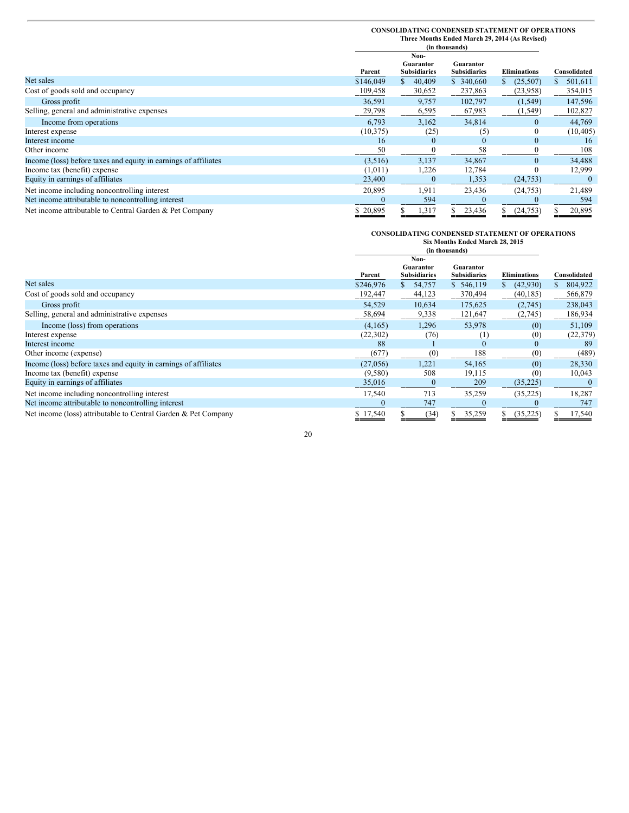|                                                                 |           |                                  |                                  | <b>CONSOLIDATING CONDENSED STATEMENT OF OPERATIONS</b><br>Three Months Ended March 29, 2014 (As Revised) |              |  |  |
|-----------------------------------------------------------------|-----------|----------------------------------|----------------------------------|----------------------------------------------------------------------------------------------------------|--------------|--|--|
|                                                                 |           | (in thousands)                   |                                  |                                                                                                          |              |  |  |
|                                                                 |           | Non-                             |                                  |                                                                                                          |              |  |  |
|                                                                 | Parent    | Guarantor<br><b>Subsidiaries</b> | Guarantor<br><b>Subsidiaries</b> | <b>Eliminations</b>                                                                                      | Consolidated |  |  |
| Net sales                                                       | \$146,049 | 40,409                           | \$ 340,660                       | (25, 507)                                                                                                | 501,611      |  |  |
| Cost of goods sold and occupancy                                | 109,458   | 30,652                           | 237,863                          | (23,958)                                                                                                 | 354,015      |  |  |
| Gross profit                                                    | 36,591    | 9,757                            | 102,797                          | (1, 549)                                                                                                 | 147,596      |  |  |
| Selling, general and administrative expenses                    | 29,798    | 6,595                            | 67,983                           | (1, 549)                                                                                                 | 102,827      |  |  |
| Income from operations                                          | 6,793     | 3,162                            | 34,814                           | $\theta$                                                                                                 | 44,769       |  |  |
| Interest expense                                                | (10, 375) | (25)                             | (5)                              |                                                                                                          | (10, 405)    |  |  |
| Interest income                                                 | 16        | $\theta$                         | $\theta$                         |                                                                                                          | 16           |  |  |
| Other income                                                    | 50        |                                  | 58                               |                                                                                                          | 108          |  |  |
| Income (loss) before taxes and equity in earnings of affiliates | (3,516)   | 3,137                            | 34,867                           |                                                                                                          | 34,488       |  |  |
| Income tax (benefit) expense                                    | (1,011)   | 1,226                            | 12,784                           |                                                                                                          | 12,999       |  |  |
| Equity in earnings of affiliates                                | 23,400    |                                  | 1,353                            | (24, 753)                                                                                                |              |  |  |
| Net income including noncontrolling interest                    | 20,895    | 1,911                            | 23,436                           | (24, 753)                                                                                                | 21,489       |  |  |
| Net income attributable to noncontrolling interest              |           | 594                              |                                  |                                                                                                          | 594          |  |  |
| Net income attributable to Central Garden & Pet Company         | \$20,895  | 1,317                            | 23,436                           | (24, 753)                                                                                                | 20,895       |  |  |

# **CONSOLIDATING CONDENSED STATEMENT OF OPERATIONS Six Months Ended March 28, 2015**

|                                                                 |           | Non-                |                     |                     |              |
|-----------------------------------------------------------------|-----------|---------------------|---------------------|---------------------|--------------|
|                                                                 |           | Guarantor           | Guarantor           |                     |              |
|                                                                 | Parent    | <b>Subsidiaries</b> | <b>Subsidiaries</b> | <b>Eliminations</b> | Consolidated |
| Net sales                                                       | \$246,976 | 54,757              | \$546,119           | (42, 930)           | 804,922      |
| Cost of goods sold and occupancy                                | 192,447   | 44,123              | 370,494             | (40, 185)           | 566,879      |
| Gross profit                                                    | 54,529    | 10,634              | 175,625             | (2,745)             | 238,043      |
| Selling, general and administrative expenses                    | 58,694    | 9,338               | 121,647             | (2,745)             | 186,934      |
| Income (loss) from operations                                   | (4,165)   | 1,296               | 53,978              | (0)                 | 51,109       |
| Interest expense                                                | (22,302)  | (76)                | [1]                 | (0)                 | (22, 379)    |
| Interest income                                                 | 88        |                     |                     |                     | 89           |
| Other income (expense)                                          | (677)     | (0)                 | 188                 | (0)                 | (489)        |
| Income (loss) before taxes and equity in earnings of affiliates | (27,056)  | 1,221               | 54,165              | (0)                 | 28,330       |
| Income tax (benefit) expense                                    | (9,580)   | 508                 | 19,115              | (0)                 | 10,043       |
| Equity in earnings of affiliates                                | 35,016    | $\theta$            | 209                 | (35, 225)           |              |
| Net income including noncontrolling interest                    | 17,540    | 713                 | 35,259              | (35, 225)           | 18,287       |
| Net income attributable to noncontrolling interest              |           | 747                 |                     |                     | 747          |
| Net income (loss) attributable to Central Garden & Pet Company  | \$17,540  | (34)                | 35,259              | (35, 225)           | 17,540       |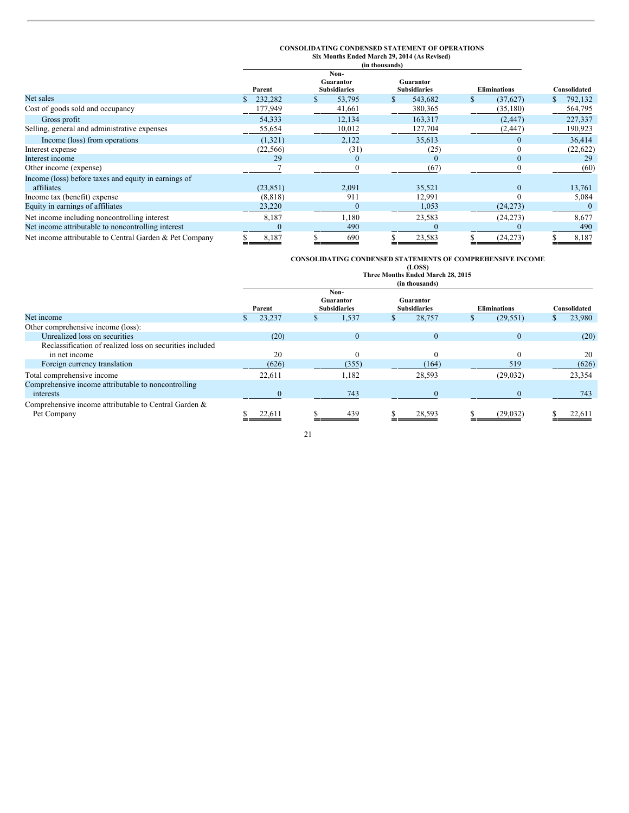# **CONSOLIDATING CONDENSED STATEMENT OF OPERATIONS Six Months Ended March 29, 2014 (As Revised)**

|                                                         |           |                                          | (in thousands)                   |                     |              |
|---------------------------------------------------------|-----------|------------------------------------------|----------------------------------|---------------------|--------------|
|                                                         | Parent    | Non-<br>Guarantor<br><b>Subsidiaries</b> | Guarantor<br><b>Subsidiaries</b> | <b>Eliminations</b> | Consolidated |
| Net sales                                               | 232,282   | 53,795                                   | 543,682                          | (37,627)            | 792,132      |
| Cost of goods sold and occupancy                        | 177,949   | 41,661                                   | 380,365                          | (35, 180)           | 564,795      |
| Gross profit                                            | 54,333    | 12,134                                   | 163,317                          | (2, 447)            | 227,337      |
| Selling, general and administrative expenses            | 55,654    | 10,012                                   | 127,704                          | (2, 447)            | 190,923      |
| Income (loss) from operations                           | (1,321)   | 2,122                                    | 35,613                           | $\Omega$            | 36,414       |
| Interest expense                                        | (22, 566) | (31)                                     | (25)                             |                     | (22, 622)    |
| Interest income                                         | 29        | $\Omega$                                 | $\Omega$                         | $\Omega$            | 29           |
| Other income (expense)                                  |           |                                          | (67)                             |                     | (60)         |
| Income (loss) before taxes and equity in earnings of    |           |                                          |                                  |                     |              |
| affiliates                                              | (23, 851) | 2,091                                    | 35,521                           | $\Omega$            | 13,761       |
| Income tax (benefit) expense                            | (8,818)   | 911                                      | 12,991                           | $\Omega$            | 5,084        |
| Equity in earnings of affiliates                        | 23,220    |                                          | 1,053                            | (24, 273)           |              |
| Net income including noncontrolling interest            | 8,187     | 1,180                                    | 23,583                           | (24, 273)           | 8,677        |
| Net income attributable to noncontrolling interest      |           | 490                                      |                                  |                     | 490          |
| Net income attributable to Central Garden & Pet Company | 8,187     | 690                                      | 23,583<br>S                      | (24, 273)           | 8,187        |

# **CONSOLIDATING CONDENSED STATEMENTS OF COMPREHENSIVE INCOME (LOSS) Three Months Ended March 28, 2015**

|                                                                      |        |      |                                          | (in thousands)                   |          |                     |              |
|----------------------------------------------------------------------|--------|------|------------------------------------------|----------------------------------|----------|---------------------|--------------|
|                                                                      | Parent |      | Non-<br>Guarantor<br><b>Subsidiaries</b> | Guarantor<br><b>Subsidiaries</b> |          | <b>Eliminations</b> | Consolidated |
| Net income                                                           | 23,237 |      | 1,537                                    |                                  | 28,757   | (29, 551)           | 23,980       |
| Other comprehensive income (loss):                                   |        |      |                                          |                                  |          |                     |              |
| Unrealized loss on securities                                        |        | (20) | $\mathbf{0}$                             |                                  | $\theta$ | $\Omega$            | (20)         |
| Reclassification of realized loss on securities included             |        |      |                                          |                                  |          |                     |              |
| in net income                                                        |        | 20   | $\Omega$                                 |                                  |          | $\Omega$            | 20           |
| Foreign currency translation                                         | (626)  |      | (355)                                    |                                  | (164)    | 519                 | (626)        |
| Total comprehensive income                                           | 22,611 |      | 1,182                                    |                                  | 28,593   | (29, 032)           | 23,354       |
| Comprehensive income attributable to noncontrolling                  |        |      |                                          |                                  |          |                     |              |
| interests                                                            |        |      | 743                                      |                                  |          |                     | 743          |
| Comprehensive income attributable to Central Garden &<br>Pet Company | 22,611 |      | 439                                      |                                  | 28,593   | (29, 032)           | 22.611       |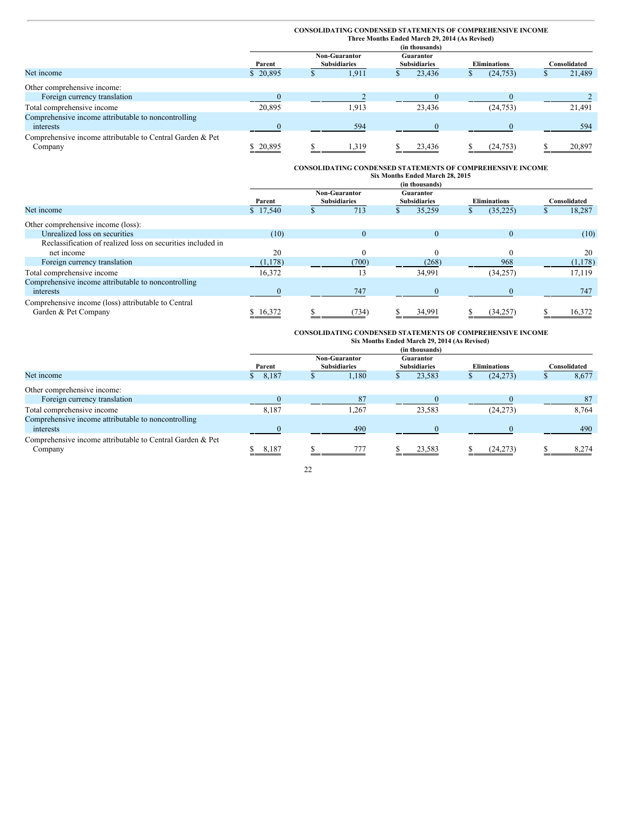|                                                                      |                                                |  | <b>CONSOLIDATING CONDENSED STATEMENTS OF COMPREHENSIVE INCOME</b> |  | Three Months Ended March 29, 2014 (As Revised)<br>(in thousands) |   |              |  |        |
|----------------------------------------------------------------------|------------------------------------------------|--|-------------------------------------------------------------------|--|------------------------------------------------------------------|---|--------------|--|--------|
|                                                                      | Non-Guarantor<br><b>Subsidiaries</b><br>Parent |  | Guarantor<br><b>Subsidiaries</b>                                  |  | <b>Eliminations</b>                                              |   | Consolidated |  |        |
| Net income                                                           | \$20,895                                       |  | 1,911                                                             |  | 23,436                                                           | Ф | (24, 753)    |  | 21,489 |
| Other comprehensive income:                                          |                                                |  |                                                                   |  |                                                                  |   |              |  |        |
| Foreign currency translation                                         |                                                |  |                                                                   |  |                                                                  |   |              |  |        |
| Total comprehensive income                                           | 20,895                                         |  | 1,913                                                             |  | 23,436                                                           |   | (24, 753)    |  | 21,491 |
| Comprehensive income attributable to noncontrolling                  |                                                |  |                                                                   |  |                                                                  |   |              |  |        |
| interests                                                            |                                                |  | 594                                                               |  | $\Omega$                                                         |   | $\Omega$     |  | 594    |
| Comprehensive income attributable to Central Garden & Pet<br>Company | \$20,895                                       |  | 1.319                                                             |  | 23.436                                                           |   | (24, 753)    |  | 20,897 |

# **CONSOLIDATING CONDENSED STATEMENTS OF COMPREHENSIVE INCOME Six Months Ended March 28, 2015**

|                                                                             |          |                     |                     | (in thousands) |                     |           |              |          |
|-----------------------------------------------------------------------------|----------|---------------------|---------------------|----------------|---------------------|-----------|--------------|----------|
|                                                                             |          | Non-Guarantor       |                     | Guarantor      |                     |           |              |          |
|                                                                             | Parent   | <b>Subsidiaries</b> | <b>Subsidiaries</b> |                | <b>Eliminations</b> |           | Consolidated |          |
| Net income                                                                  | \$17,540 | 713                 |                     | 35,259         |                     | (35, 225) |              | 18,287   |
| Other comprehensive income (loss):                                          |          |                     |                     |                |                     |           |              |          |
| Unrealized loss on securities                                               | (10)     | $\mathbf{0}$        |                     | $\mathbf{0}$   |                     | $\Omega$  |              | (10)     |
| Reclassification of realized loss on securities included in                 |          |                     |                     |                |                     |           |              |          |
| net income                                                                  | 20       |                     |                     |                |                     |           |              | 20       |
| Foreign currency translation                                                | (1,178)  | (700)               |                     | (268)          |                     | 968       |              | (1, 178) |
| Total comprehensive income                                                  | 16,372   | 13                  |                     | 34,991         |                     | (34, 257) |              | 17,119   |
| Comprehensive income attributable to noncontrolling                         |          |                     |                     |                |                     |           |              |          |
| interests                                                                   |          | 747                 |                     |                |                     |           |              | 747      |
| Comprehensive income (loss) attributable to Central<br>Garden & Pet Company | \$16,372 | (734)               |                     | 34,991         |                     | (34, 257) |              | 16,372   |

|                                                                      |        | <b>CONSOLIDATING CONDENSED STATEMENTS OF COMPREHENSIVE INCOME</b> | Six Months Ended March 29, 2014 (As Revised)<br>(in thousands) |                     |              |
|----------------------------------------------------------------------|--------|-------------------------------------------------------------------|----------------------------------------------------------------|---------------------|--------------|
|                                                                      | Parent | Non-Guarantor<br><b>Subsidiaries</b>                              | Guarantor<br><b>Subsidiaries</b>                               | <b>Eliminations</b> | Consolidated |
| Net income                                                           | 8,187  | 1,180                                                             | 23,583                                                         | (24, 273)           | 8,677        |
| Other comprehensive income:                                          |        |                                                                   |                                                                |                     |              |
| Foreign currency translation                                         |        | 87                                                                |                                                                |                     | 87           |
| Total comprehensive income                                           | 8,187  | 1,267                                                             | 23,583                                                         | (24,273)            | 8,764        |
| Comprehensive income attributable to noncontrolling                  |        |                                                                   |                                                                |                     |              |
| interests                                                            |        | 490                                                               |                                                                |                     | 490          |
| Comprehensive income attributable to Central Garden & Pet<br>Company | 8.187  | 777                                                               | 23,583                                                         | (24, 273)           | 8.274        |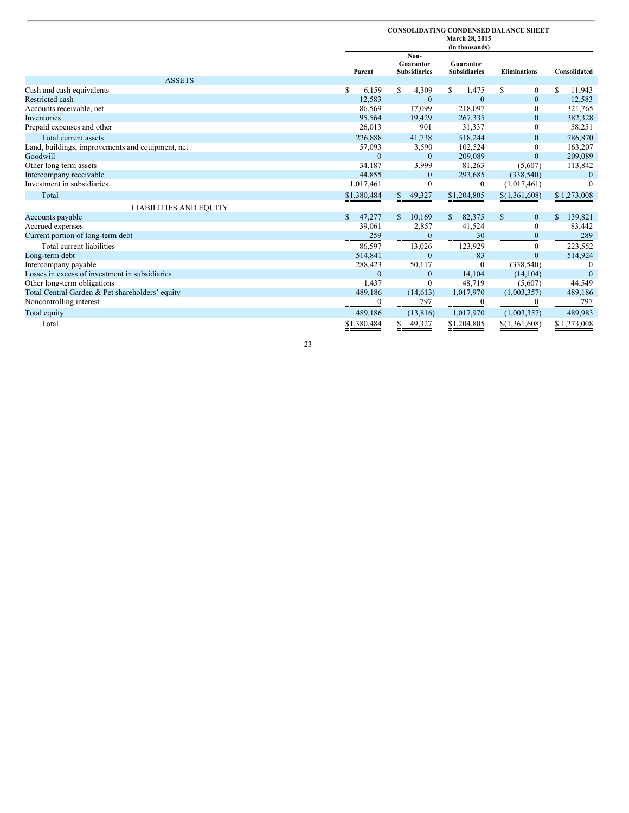|                                                  | <b>CONSOLIDATING CONDENSED BALANCE SHEET</b><br>March 28, 2015 |                                          |                                                    |                                 |              |  |  |  |
|--------------------------------------------------|----------------------------------------------------------------|------------------------------------------|----------------------------------------------------|---------------------------------|--------------|--|--|--|
|                                                  | Parent                                                         | Non-<br>Guarantor<br><b>Subsidiaries</b> | (in thousands)<br>Guarantor<br><b>Subsidiaries</b> | <b>Eliminations</b>             | Consolidated |  |  |  |
| <b>ASSETS</b>                                    |                                                                |                                          |                                                    |                                 |              |  |  |  |
| Cash and cash equivalents                        | 6.159<br>\$                                                    | 4,309<br>S                               | 1,475<br>S                                         | S<br>$\theta$                   | 11,943<br>S  |  |  |  |
| Restricted cash                                  | 12,583                                                         | $\mathbf{0}$                             | $\mathbf{0}$                                       | $\overline{0}$                  | 12,583       |  |  |  |
| Accounts receivable, net                         | 86,569                                                         | 17,099                                   | 218,097                                            | $\theta$                        | 321,765      |  |  |  |
| <b>Inventories</b>                               | 95,564                                                         | 19,429                                   | 267,335                                            | $\mathbf{0}$                    | 382,328      |  |  |  |
| Prepaid expenses and other                       | 26,013                                                         | 901                                      | 31,337                                             | $\overline{0}$                  | 58,251       |  |  |  |
| Total current assets                             | 226,888                                                        | 41,738                                   | 518,244                                            | $\mathbf{0}$                    | 786,870      |  |  |  |
| Land, buildings, improvements and equipment, net | 57,093                                                         | 3,590                                    | 102,524                                            | 0                               | 163,207      |  |  |  |
| Goodwill                                         | $\Omega$                                                       | $\theta$                                 | 209,089                                            | $\Omega$                        | 209,089      |  |  |  |
| Other long term assets                           | 34,187                                                         | 3,999                                    | 81,263                                             | (5,607)                         | 113,842      |  |  |  |
| Intercompany receivable                          | 44,855                                                         | $\mathbf{0}$                             | 293,685                                            | (338, 540)                      | $\Omega$     |  |  |  |
| Investment in subsidiaries                       | 1,017,461                                                      | $\mathbf{0}$                             | $\bf{0}$                                           | (1,017,461)                     | $\theta$     |  |  |  |
| Total                                            | \$1,380,484                                                    | 49,327<br>S.                             | \$1,204,805                                        | \$(1,361,608)                   | \$1,273,008  |  |  |  |
| <b>LIABILITIES AND EQUITY</b>                    |                                                                |                                          |                                                    |                                 |              |  |  |  |
| Accounts payable                                 | 47,277                                                         | 10,169<br>S.                             | 82,375                                             | <sup>\$</sup><br>$\overline{0}$ | 139,821<br>S |  |  |  |
| Accrued expenses                                 | 39,061                                                         | 2,857                                    | 41,524                                             | $\boldsymbol{0}$                | 83,442       |  |  |  |
| Current portion of long-term debt                | 259                                                            | $\mathbf{0}$                             | 30                                                 | $\theta$                        | 289          |  |  |  |
| Total current liabilities                        | 86,597                                                         | 13,026                                   | 123,929                                            | $\theta$                        | 223,552      |  |  |  |
| Long-term debt                                   | 514,841                                                        | $\overline{0}$                           | 83                                                 | $\mathbf{0}$                    | 514,924      |  |  |  |
| Intercompany payable                             | 288,423                                                        | 50,117                                   | $\theta$                                           | (338, 540)                      | $\Omega$     |  |  |  |
| Losses in excess of investment in subsidiaries   | $\Omega$                                                       | $\theta$                                 | 14,104                                             | (14, 104)                       | $\Omega$     |  |  |  |
| Other long-term obligations                      | 1,437                                                          | 0                                        | 48,719                                             | (5,607)                         | 44,549       |  |  |  |
| Total Central Garden & Pet shareholders' equity  | 489,186                                                        | (14,613)                                 | 1,017,970                                          | (1,003,357)                     | 489,186      |  |  |  |
| Noncontrolling interest                          | $\boldsymbol{0}$                                               | 797                                      | $\boldsymbol{0}$                                   | $\mathbf{0}$                    | 797          |  |  |  |
| Total equity                                     | 489,186                                                        | (13, 816)                                | 1,017,970                                          | (1,003,357)                     | 489,983      |  |  |  |
| Total                                            | \$1,380,484                                                    | 49,327<br>S                              | \$1,204,805                                        | \$(1,361,608)                   | \$1,273,008  |  |  |  |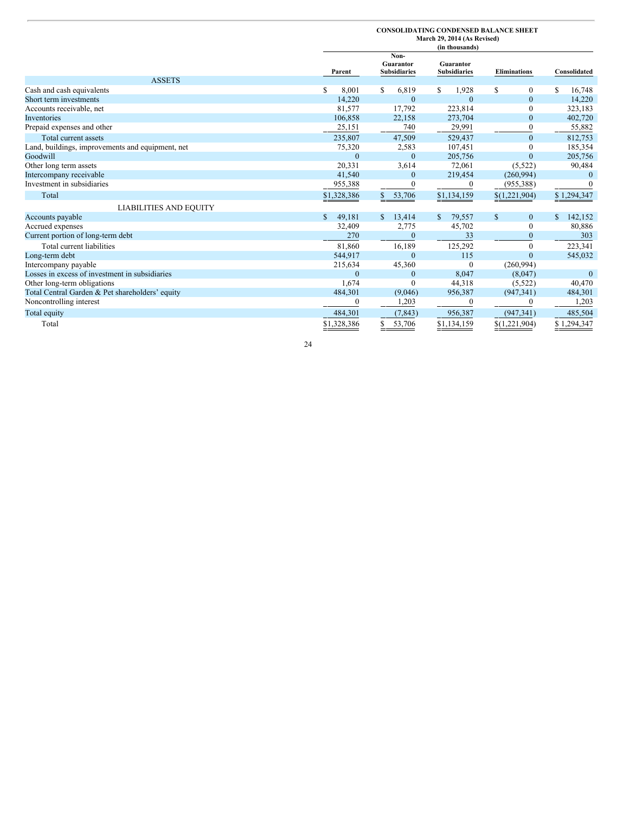|                                                  | <b>CONSOLIDATING CONDENSED BALANCE SHEET</b><br>March 29, 2014 (As Revised)<br>(in thousands) |                                          |                                  |                              |                         |  |  |  |
|--------------------------------------------------|-----------------------------------------------------------------------------------------------|------------------------------------------|----------------------------------|------------------------------|-------------------------|--|--|--|
|                                                  | Parent                                                                                        | Non-<br>Guarantor<br><b>Subsidiaries</b> | Guarantor<br><b>Subsidiaries</b> | <b>Eliminations</b>          | Consolidated            |  |  |  |
| <b>ASSETS</b>                                    |                                                                                               |                                          |                                  |                              |                         |  |  |  |
| Cash and cash equivalents                        | S<br>8,001                                                                                    | S<br>6,819                               | \$<br>1,928                      | \$<br>$\boldsymbol{0}$       | S<br>16,748             |  |  |  |
| Short term investments                           | 14,220                                                                                        | $\theta$                                 | $\Omega$                         | $\mathbf{0}$                 | 14,220                  |  |  |  |
| Accounts receivable, net                         | 81,577                                                                                        | 17,792                                   | 223,814                          | $\mathbf{0}$                 | 323,183                 |  |  |  |
| Inventories                                      | 106,858                                                                                       | 22,158                                   | 273,704                          | $\mathbf{0}$                 | 402,720                 |  |  |  |
| Prepaid expenses and other                       | 25,151                                                                                        | 740                                      | 29,991                           | $\mathbf{0}$                 | 55,882                  |  |  |  |
| Total current assets                             | 235,807                                                                                       | 47,509                                   | 529,437                          | $\mathbf{0}$                 | 812,753                 |  |  |  |
| Land, buildings, improvements and equipment, net | 75,320                                                                                        | 2,583                                    | 107,451                          | $\mathbf{0}$                 | 185,354                 |  |  |  |
| Goodwill                                         | $\Omega$                                                                                      | $\theta$                                 | 205,756                          | $\mathbf{0}$                 | 205,756                 |  |  |  |
| Other long term assets                           | 20,331                                                                                        | 3,614                                    | 72,061                           | (5, 522)                     | 90,484                  |  |  |  |
| Intercompany receivable                          | 41,540                                                                                        | $\mathbf{0}$                             | 219,454                          | (260, 994)                   | $\Omega$                |  |  |  |
| Investment in subsidiaries                       | 955,388                                                                                       | $\boldsymbol{0}$                         | $\bf{0}$                         | (955, 388)                   |                         |  |  |  |
| Total                                            | \$1,328,386                                                                                   | 53,706<br>S.                             | \$1,134,159                      | \$(1,221,904)                | \$1,294,347             |  |  |  |
| <b>LIABILITIES AND EQUITY</b>                    |                                                                                               |                                          |                                  |                              |                         |  |  |  |
| Accounts payable                                 | \$<br>49,181                                                                                  | $\mathbb{S}$<br>13,414                   | $\mathbb{S}$<br>79,557           | $\mathbb{S}$<br>$\mathbf{0}$ | $\mathbb{S}$<br>142,152 |  |  |  |
| Accrued expenses                                 | 32,409                                                                                        | 2,775                                    | 45,702                           | $\mathbf{0}$                 | 80,886                  |  |  |  |
| Current portion of long-term debt                | 270                                                                                           | $\mathbf{0}$                             | 33                               | $\mathbf{0}$                 | 303                     |  |  |  |
| Total current liabilities                        | 81.860                                                                                        | 16,189                                   | 125,292                          | $\overline{0}$               | 223,341                 |  |  |  |
| Long-term debt                                   | 544,917                                                                                       | $\Omega$                                 | 115                              | $\mathbf{0}$                 | 545,032                 |  |  |  |
| Intercompany payable                             | 215,634                                                                                       | 45,360                                   | $\Omega$                         | (260, 994)                   |                         |  |  |  |
| Losses in excess of investment in subsidiaries   | $\overline{0}$                                                                                | $\overline{0}$                           | 8,047                            | (8,047)                      | $\mathbf{0}$            |  |  |  |
| Other long-term obligations                      | 1,674                                                                                         | $\Omega$                                 | 44,318                           | (5,522)                      | 40,470                  |  |  |  |
| Total Central Garden & Pet shareholders' equity  | 484,301                                                                                       | (9,046)                                  | 956,387                          | (947, 341)                   | 484,301                 |  |  |  |
| Noncontrolling interest                          | $\boldsymbol{0}$                                                                              | 1,203                                    | $\boldsymbol{0}$                 | $\boldsymbol{0}$             | 1,203                   |  |  |  |
| Total equity                                     | 484,301                                                                                       | (7, 843)                                 | 956,387                          | (947, 341)                   | 485,504                 |  |  |  |
| Total                                            | \$1,328,386                                                                                   | 53,706                                   | \$1,134,159                      | \$(1,221,904)                | \$1,294,347             |  |  |  |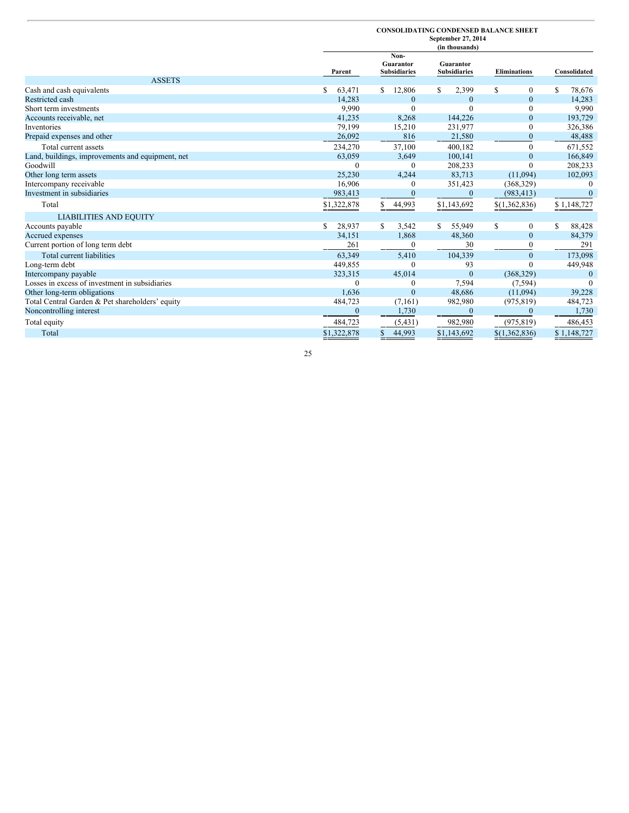|                                                       |                    | <b>CONSOLIDATING CONDENSED BALANCE SHEET</b><br>September 27, 2014<br>(in thousands) |                                  |                              |                  |  |  |  |
|-------------------------------------------------------|--------------------|--------------------------------------------------------------------------------------|----------------------------------|------------------------------|------------------|--|--|--|
|                                                       | Parent             | Non-<br>Guarantor<br><b>Subsidiaries</b>                                             | Guarantor<br><b>Subsidiaries</b> | <b>Eliminations</b>          | Consolidated     |  |  |  |
| <b>ASSETS</b>                                         |                    |                                                                                      |                                  |                              |                  |  |  |  |
| Cash and cash equivalents                             | 63,471<br>S        | 12,806<br>S.                                                                         | 2,399<br>S                       | S<br>$\mathbf{0}$            | S<br>78,676      |  |  |  |
| Restricted cash<br>Short term investments             | 14,283             | $\mathbf{0}$<br>$\theta$                                                             | $\mathbf{0}$<br>$\Omega$         | $\mathbf{0}$                 | 14,283           |  |  |  |
|                                                       | 9,990<br>41,235    | 8,268                                                                                | 144,226                          | $\mathbf{0}$<br>$\mathbf{0}$ | 9,990<br>193,729 |  |  |  |
| Accounts receivable, net<br><b>Inventories</b>        | 79,199             | 15,210                                                                               | 231,977                          | $\boldsymbol{0}$             | 326,386          |  |  |  |
| Prepaid expenses and other                            | 26,092             | 816                                                                                  | 21,580                           | $\boldsymbol{0}$             | 48,488           |  |  |  |
|                                                       |                    |                                                                                      |                                  |                              |                  |  |  |  |
| Total current assets                                  | 234,270            | 37,100                                                                               | 400,182                          | $\mathbf{0}$                 | 671,552          |  |  |  |
| Land, buildings, improvements and equipment, net      | 63,059<br>$\Omega$ | 3,649<br>$\Omega$                                                                    | 100,141                          | $\mathbf{0}$                 | 166,849          |  |  |  |
| Goodwill                                              | 25,230             | 4,244                                                                                | 208,233<br>83,713                | $\mathbf{0}$                 | 208,233          |  |  |  |
| Other long term assets                                | 16,906             |                                                                                      |                                  | (11,094)                     | 102,093          |  |  |  |
| Intercompany receivable<br>Investment in subsidiaries | 983,413            | 0<br>$\mathbf{0}$                                                                    | 351,423<br>$\bf{0}$              | (368, 329)<br>(983, 413)     | 0<br>$\theta$    |  |  |  |
|                                                       |                    |                                                                                      |                                  |                              |                  |  |  |  |
| Total                                                 | \$1,322,878        | S<br>44,993                                                                          | \$1,143,692                      | \$(1,362,836)                | \$1,148,727      |  |  |  |
| <b>LIABILITIES AND EQUITY</b>                         |                    |                                                                                      |                                  |                              |                  |  |  |  |
| Accounts payable                                      | S<br>28,937        | S<br>3,542                                                                           | 55,949<br>S                      | \$<br>$\mathbf{0}$           | S<br>88,428      |  |  |  |
| Accrued expenses                                      | 34,151             | 1,868                                                                                | 48,360                           | $\mathbf{0}$                 | 84,379           |  |  |  |
| Current portion of long term debt                     | 261                | $\mathbf{0}$                                                                         | 30                               | $\mathbf{0}$                 | 291              |  |  |  |
| Total current liabilities                             | 63,349             | 5,410                                                                                | 104,339                          | $\mathbf{0}$                 | 173,098          |  |  |  |
| Long-term debt                                        | 449,855            | $\Omega$                                                                             | 93                               | $\theta$                     | 449,948          |  |  |  |
| Intercompany payable                                  | 323,315            | 45,014                                                                               | $\mathbf{0}$                     | (368, 329)                   | $\theta$         |  |  |  |
| Losses in excess of investment in subsidiaries        | $\theta$           | $\Omega$                                                                             | 7,594                            | (7, 594)                     | $\Omega$         |  |  |  |
| Other long-term obligations                           | 1.636              | $\mathbf{0}$                                                                         | 48,686                           | (11,094)                     | 39,228           |  |  |  |
| Total Central Garden & Pet shareholders' equity       | 484,723            | (7,161)                                                                              | 982,980                          | (975, 819)                   | 484,723          |  |  |  |
| Noncontrolling interest                               | $\mathbf{0}$       | 1,730                                                                                | $\mathbf{0}$                     | $\mathbf{0}$                 | 1,730            |  |  |  |
| Total equity                                          | 484,723            | (5, 431)                                                                             | 982,980                          | (975, 819)                   | 486,453          |  |  |  |
| Total                                                 | \$1,322,878        | 44,993                                                                               | \$1,143,692                      | \$(1,362,836)                | \$1,148,727      |  |  |  |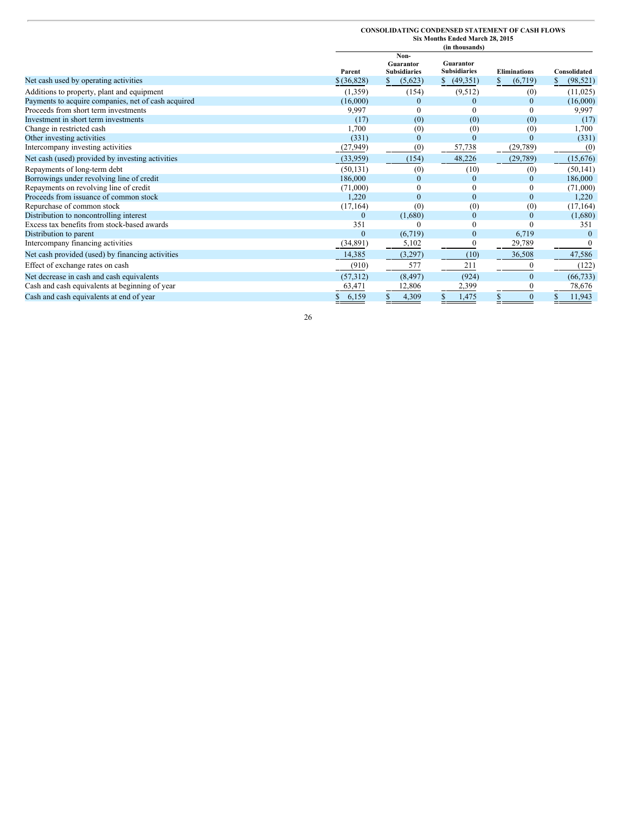|                                                     |              | <b>CONSOLIDATING CONDENSED STATEMENT OF CASH FLOWS</b><br>Six Months Ended March 28, 2015<br>(in thousands) |                                  |                     |                 |  |  |  |
|-----------------------------------------------------|--------------|-------------------------------------------------------------------------------------------------------------|----------------------------------|---------------------|-----------------|--|--|--|
|                                                     | Parent       | Non-<br>Guarantor<br><b>Subsidiaries</b>                                                                    | Guarantor<br><b>Subsidiaries</b> | <b>Eliminations</b> | Consolidated    |  |  |  |
| Net cash used by operating activities               | \$ (36,828)  | \$<br>(5,623)                                                                                               | (49,351)                         | (6,719)<br>\$       | (98, 521)<br>\$ |  |  |  |
| Additions to property, plant and equipment          | (1,359)      | (154)                                                                                                       | (9,512)                          | (0)                 | (11, 025)       |  |  |  |
| Payments to acquire companies, net of cash acquired | (16,000)     | $\Omega$                                                                                                    | $\Omega$                         | $\mathbf{0}$        | (16,000)        |  |  |  |
| Proceeds from short term investments                | 9,997        | 0                                                                                                           |                                  | $\mathbf{0}$        | 9,997           |  |  |  |
| Investment in short term investments                | (17)         | (0)                                                                                                         | (0)                              | (0)                 | (17)            |  |  |  |
| Change in restricted cash                           | 1,700        | (0)                                                                                                         | (0)                              | (0)                 | 1,700           |  |  |  |
| Other investing activities                          | (331)        | $\mathbf{0}$                                                                                                | $\theta$                         | $\mathbf{0}$        | (331)           |  |  |  |
| Intercompany investing activities                   | (27, 949)    | (0)                                                                                                         | 57,738                           | (29, 789)           | (0)             |  |  |  |
| Net cash (used) provided by investing activities    | (33,959)     | (154)                                                                                                       | 48,226                           | (29, 789)           | (15,676)        |  |  |  |
| Repayments of long-term debt                        | (50, 131)    | (0)                                                                                                         | (10)                             | (0)                 | (50, 141)       |  |  |  |
| Borrowings under revolving line of credit           | 186,000      | $\Omega$                                                                                                    | $\Omega$                         | $\mathbf{0}$        | 186,000         |  |  |  |
| Repayments on revolving line of credit              | (71,000)     |                                                                                                             | 0                                | $\mathbf{0}$        | (71,000)        |  |  |  |
| Proceeds from issuance of common stock              | 1,220        | $\Omega$                                                                                                    | $\theta$                         | $\mathbf{0}$        | 1,220           |  |  |  |
| Repurchase of common stock                          | (17, 164)    | (0)                                                                                                         | (0)                              | (0)                 | (17, 164)       |  |  |  |
| Distribution to noncontrolling interest             | $\Omega$     | (1,680)                                                                                                     | $\Omega$                         | $\bf{0}$            | (1,680)         |  |  |  |
| Excess tax benefits from stock-based awards         | 351          | 0                                                                                                           |                                  | 0                   | 351             |  |  |  |
| Distribution to parent                              | $\mathbf{0}$ | (6,719)                                                                                                     | $\mathbf{0}$                     | 6,719               | $\Omega$        |  |  |  |
| Intercompany financing activities                   | (34,891)     | 5,102                                                                                                       |                                  | 29,789              |                 |  |  |  |
| Net cash provided (used) by financing activities    | 14,385       | (3,297)                                                                                                     | (10)                             | 36,508              | 47,586          |  |  |  |
| Effect of exchange rates on cash                    | (910)        | 577                                                                                                         | 211                              | $\mathbf{0}$        | (122)           |  |  |  |
| Net decrease in cash and cash equivalents           | (57, 312)    | (8, 497)                                                                                                    | (924)                            | $\mathbf{0}$        | (66, 733)       |  |  |  |
| Cash and cash equivalents at beginning of year      | 63,471       | 12,806                                                                                                      | 2,399                            | $\mathbf{0}$        | 78,676          |  |  |  |
| Cash and cash equivalents at end of year            | 6,159        | \$<br>4,309                                                                                                 | \$<br>1,475                      | $\mathbf{0}$<br>\$  | \$<br>11,943    |  |  |  |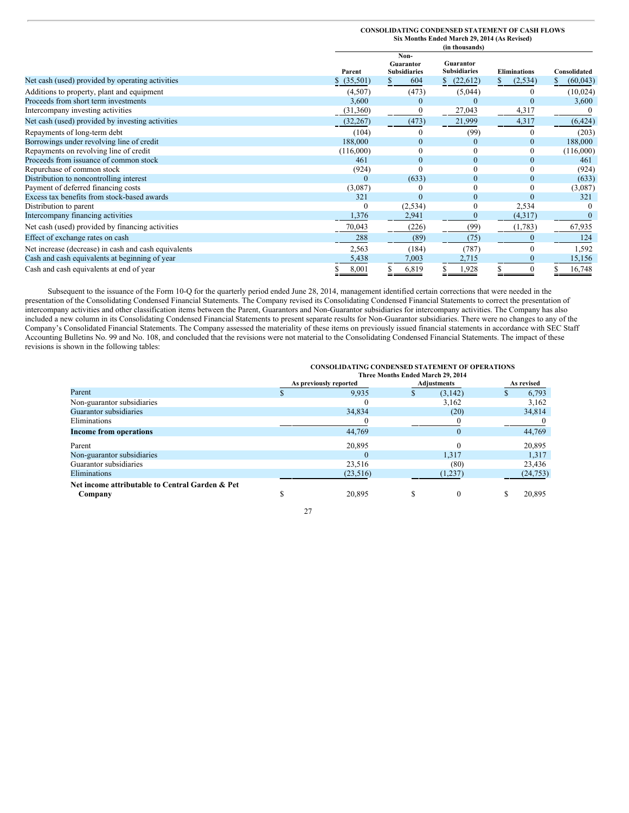|                                                      |             | <b>CONSOLIDATING CONDENSED STATEMENT OF CASH FLOWS</b><br>Six Months Ended March 29, 2014 (As Revised) |                                  |                     |                 |  |  |  |  |
|------------------------------------------------------|-------------|--------------------------------------------------------------------------------------------------------|----------------------------------|---------------------|-----------------|--|--|--|--|
|                                                      |             |                                                                                                        | (in thousands)                   |                     |                 |  |  |  |  |
|                                                      | Parent      | Non-<br>Guarantor<br><b>Subsidiaries</b>                                                               | Guarantor<br><b>Subsidiaries</b> | <b>Eliminations</b> | Consolidated    |  |  |  |  |
| Net cash (used) provided by operating activities     | \$ (35,501) | 604<br>\$                                                                                              | (22, 612)<br>S                   | (2, 534)<br>S.      | (60, 043)<br>\$ |  |  |  |  |
| Additions to property, plant and equipment           | (4,507)     | (473)                                                                                                  | (5,044)                          |                     | (10, 024)       |  |  |  |  |
| Proceeds from short term investments                 | 3,600       |                                                                                                        | 0                                | $\mathbf{0}$        | 3,600           |  |  |  |  |
| Intercompany investing activities                    | (31,360)    |                                                                                                        | 27,043                           | 4,317               |                 |  |  |  |  |
| Net cash (used) provided by investing activities     | (32, 267)   | (473)                                                                                                  | 21,999                           | 4,317               | (6, 424)        |  |  |  |  |
| Repayments of long-term debt                         | (104)       |                                                                                                        | (99)                             | $\theta$            | (203)           |  |  |  |  |
| Borrowings under revolving line of credit            | 188,000     |                                                                                                        | $\Omega$                         | $\mathbf{0}$        | 188,000         |  |  |  |  |
| Repayments on revolving line of credit               | (116,000)   |                                                                                                        | 0                                | $\mathbf{0}$        | (116,000)       |  |  |  |  |
| Proceeds from issuance of common stock               | 461         | $\Omega$                                                                                               | $\mathbf{0}$                     | $\mathbf{0}$        | 461             |  |  |  |  |
| Repurchase of common stock                           | (924)       |                                                                                                        | 0                                | $\theta$            | (924)           |  |  |  |  |
| Distribution to noncontrolling interest              | $\sqrt{ }$  | (633)                                                                                                  | 0                                | $\boldsymbol{0}$    | (633)           |  |  |  |  |
| Payment of deferred financing costs                  | (3,087)     |                                                                                                        | 0                                | $\mathbf{0}$        | (3,087)         |  |  |  |  |
| Excess tax benefits from stock-based awards          | 321         | $\theta$                                                                                               | $\Omega$                         | $\Omega$            | 321             |  |  |  |  |
| Distribution to parent                               | $\theta$    | (2, 534)                                                                                               | $\Omega$                         | 2,534               |                 |  |  |  |  |
| Intercompany financing activities                    | 1,376       | 2,941                                                                                                  | 0                                | (4,317)             |                 |  |  |  |  |
| Net cash (used) provided by financing activities     | 70,043      | (226)                                                                                                  | (99)                             | (1,783)             | 67,935          |  |  |  |  |
| Effect of exchange rates on cash                     | 288         | (89)                                                                                                   | (75)                             | $\bf{0}$            | 124             |  |  |  |  |
| Net increase (decrease) in cash and cash equivalents | 2,563       | (184)                                                                                                  | (787)                            |                     | 1,592           |  |  |  |  |
| Cash and cash equivalents at beginning of year       | 5,438       | 7,003                                                                                                  | 2,715                            |                     | 15,156          |  |  |  |  |
| Cash and cash equivalents at end of year             | 8,001       | 6,819                                                                                                  | 1,928<br>\$<br>--                | $\mathbf{0}$<br>S   | 16,748<br>S     |  |  |  |  |

Subsequent to the issuance of the Form 10-Q for the quarterly period ended June 28, 2014, management identified certain corrections that were needed in the presentation of the Consolidating Condensed Financial Statements. The Company revised its Consolidating Condensed Financial Statements to correct the presentation of intercompany activities and other classification items between the Parent, Guarantors and Non-Guarantor subsidiaries for intercompany activities. The Company has also included a new column in its Consolidating Condensed Financial Statements to present separate results for Non-Guarantor subsidiaries. There were no changes to any of the Company's Consolidated Financial Statements. The Company assessed the materiality of these items on previously issued financial statements in accordance with SEC Staff Accounting Bulletins No. 99 and No. 108, and concluded that the revisions were not material to the Consolidating Condensed Financial Statements. The impact of these revisions is shown in the following tables:

|                                                 | <b>CONSOLIDATING CONDENSED STATEMENT OF OPERATIONS</b> |                        |   |                                   |            |           |  |  |  |
|-------------------------------------------------|--------------------------------------------------------|------------------------|---|-----------------------------------|------------|-----------|--|--|--|
|                                                 |                                                        |                        |   | Three Months Ended March 29, 2014 |            |           |  |  |  |
|                                                 |                                                        | As previously reported |   | <b>Adjustments</b>                | As revised |           |  |  |  |
| Parent                                          |                                                        | 9,935                  |   | (3,142)                           |            | 6,793     |  |  |  |
| Non-guarantor subsidiaries                      |                                                        |                        |   | 3,162                             |            | 3,162     |  |  |  |
| Guarantor subsidiaries                          |                                                        | 34.834                 |   | (20)                              |            | 34.814    |  |  |  |
| Eliminations                                    |                                                        |                        |   |                                   |            |           |  |  |  |
| <b>Income from operations</b>                   |                                                        | 44,769                 |   | $\Omega$                          |            | 44,769    |  |  |  |
| Parent                                          |                                                        | 20,895                 |   | $\theta$                          |            | 20,895    |  |  |  |
| Non-guarantor subsidiaries                      |                                                        | $\mathbf{0}$           |   | 1.317                             |            | 1.317     |  |  |  |
| Guarantor subsidiaries                          |                                                        | 23.516                 |   | (80)                              |            | 23,436    |  |  |  |
| Eliminations                                    |                                                        | (23,516)               |   | (1,237)                           |            | (24, 753) |  |  |  |
| Net income attributable to Central Garden & Pet |                                                        |                        |   |                                   |            |           |  |  |  |
| Company                                         |                                                        | 20.895                 | Ф | $\theta$                          |            | 20.895    |  |  |  |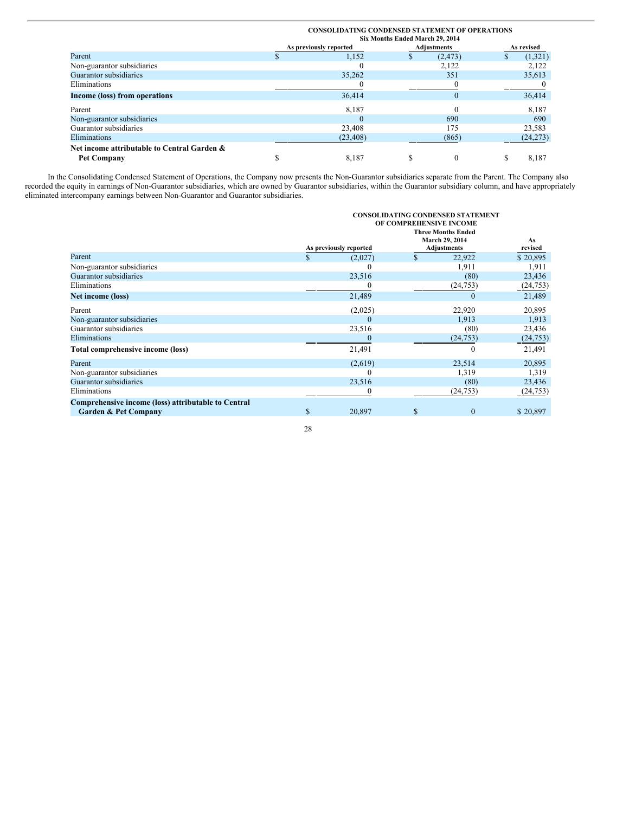|                                             | <b>CONSOLIDATING CONDENSED STATEMENT OF OPERATIONS</b><br>Six Months Ended March 29, 2014 |                        |  |             |   |                   |
|---------------------------------------------|-------------------------------------------------------------------------------------------|------------------------|--|-------------|---|-------------------|
|                                             |                                                                                           | As previously reported |  | Adjustments |   | <b>As revised</b> |
| Parent                                      |                                                                                           | 1.152                  |  | (2, 473)    | Ф | (1,321)           |
| Non-guarantor subsidiaries                  |                                                                                           |                        |  | 2,122       |   | 2,122             |
| Guarantor subsidiaries                      |                                                                                           | 35,262                 |  | 351         |   | 35,613            |
| Eliminations                                |                                                                                           |                        |  |             |   |                   |
| Income (loss) from operations               |                                                                                           | 36,414                 |  | $\theta$    |   | 36,414            |
| Parent                                      |                                                                                           | 8,187                  |  |             |   | 8,187             |
| Non-guarantor subsidiaries                  |                                                                                           | 0                      |  | 690         |   | 690               |
| Guarantor subsidiaries                      |                                                                                           | 23,408                 |  | 175         |   | 23,583            |
| Eliminations                                |                                                                                           | (23, 408)              |  | (865)       |   | (24, 273)         |
| Net income attributable to Central Garden & |                                                                                           |                        |  |             |   |                   |
| <b>Pet Company</b>                          |                                                                                           | 8.187                  |  | 0           |   | 8,187             |

In the Consolidating Condensed Statement of Operations, the Company now presents the Non-Guarantor subsidiaries separate from the Parent. The Company also recorded the equity in earnings of Non-Guarantor subsidiaries, which are owned by Guarantor subsidiaries, within the Guarantor subsidiary column, and have appropriately eliminated intercompany earnings between Non-Guarantor and Guarantor subsidiaries.

|                                                     | <b>CONSOLIDATING CONDENSED STATEMENT</b><br>OF COMPREHENSIVE INCOME<br><b>Three Months Ended</b> |                        |              |                    |           |
|-----------------------------------------------------|--------------------------------------------------------------------------------------------------|------------------------|--------------|--------------------|-----------|
|                                                     |                                                                                                  |                        |              | March 29, 2014     | As        |
|                                                     |                                                                                                  | As previously reported |              | <b>Adjustments</b> | revised   |
| Parent                                              | \$                                                                                               | (2,027)                | $\mathbb{S}$ | 22,922             | \$20,895  |
| Non-guarantor subsidiaries                          |                                                                                                  | 0                      |              | 1,911              | 1,911     |
| Guarantor subsidiaries                              |                                                                                                  | 23,516                 |              | (80)               | 23,436    |
| Eliminations                                        |                                                                                                  | $\theta$               |              | (24, 753)          | (24, 753) |
| Net income (loss)                                   |                                                                                                  | 21,489                 |              | $\Omega$           | 21,489    |
| Parent                                              |                                                                                                  | (2,025)                |              | 22,920             | 20,895    |
| Non-guarantor subsidiaries                          |                                                                                                  | $\Omega$               |              | 1,913              | 1,913     |
| Guarantor subsidiaries                              |                                                                                                  | 23,516                 |              | (80)               | 23,436    |
| Eliminations                                        |                                                                                                  | $\theta$               |              | (24, 753)          | (24, 753) |
| Total comprehensive income (loss)                   |                                                                                                  | 21,491                 |              | 0                  | 21,491    |
| Parent                                              |                                                                                                  | (2,619)                |              | 23,514             | 20,895    |
| Non-guarantor subsidiaries                          |                                                                                                  | $\theta$               |              | 1,319              | 1,319     |
| Guarantor subsidiaries                              |                                                                                                  | 23,516                 |              | (80)               | 23,436    |
| Eliminations                                        |                                                                                                  | 0                      |              | (24, 753)          | (24, 753) |
| Comprehensive income (loss) attributable to Central |                                                                                                  |                        |              |                    |           |
| <b>Garden &amp; Pet Company</b>                     | \$                                                                                               | 20,897                 | $\mathbb{S}$ | $\mathbf{0}$       | \$20,897  |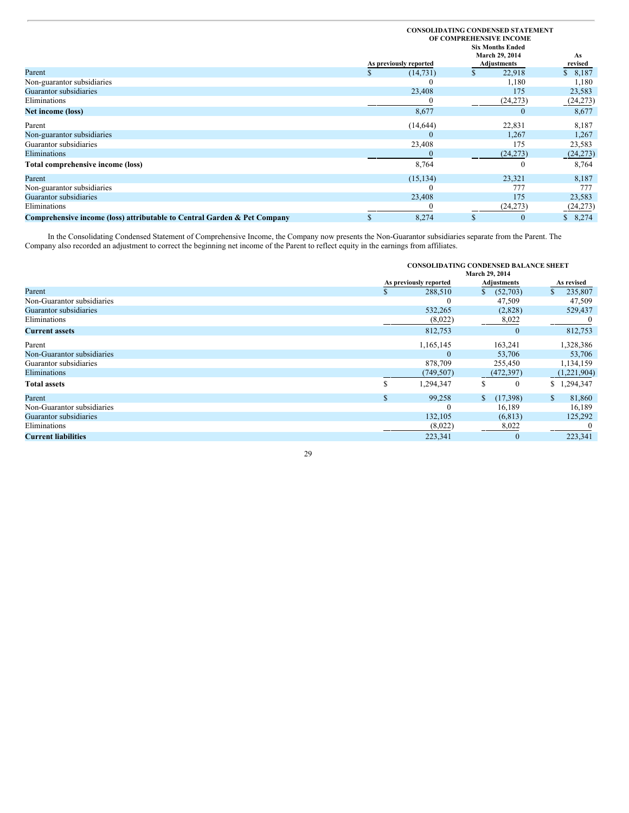|                                                                          | <b>CONSOLIDATING CONDENSED STATEMENT</b><br>OF COMPREHENSIVE INCOME |                        |  |                                           |          |
|--------------------------------------------------------------------------|---------------------------------------------------------------------|------------------------|--|-------------------------------------------|----------|
|                                                                          |                                                                     |                        |  | <b>Six Months Ended</b><br>March 29, 2014 | As       |
|                                                                          |                                                                     | As previously reported |  | <b>Adjustments</b>                        | revised  |
| Parent                                                                   |                                                                     | (14, 731)              |  | 22,918                                    | \$8,187  |
| Non-guarantor subsidiaries                                               |                                                                     |                        |  | 1,180                                     | 1,180    |
| Guarantor subsidiaries                                                   |                                                                     | 23,408                 |  | 175                                       | 23,583   |
| Eliminations                                                             |                                                                     |                        |  | (24, 273)                                 | (24,273) |
| Net income (loss)                                                        |                                                                     | 8,677                  |  | $\mathbf{0}$                              | 8,677    |
| Parent                                                                   |                                                                     | (14, 644)              |  | 22,831                                    | 8,187    |
| Non-guarantor subsidiaries                                               |                                                                     | $\Omega$               |  | 1,267                                     | 1,267    |
| Guarantor subsidiaries                                                   |                                                                     | 23,408                 |  | 175                                       | 23,583   |
| Eliminations                                                             |                                                                     | $\theta$               |  | (24, 273)                                 | (24,273) |
| Total comprehensive income (loss)                                        |                                                                     | 8,764                  |  | $\theta$                                  | 8,764    |
| Parent                                                                   |                                                                     | (15, 134)              |  | 23,321                                    | 8,187    |
| Non-guarantor subsidiaries                                               |                                                                     | $\theta$               |  | 777                                       | 777      |
| Guarantor subsidiaries                                                   |                                                                     | 23,408                 |  | 175                                       | 23,583   |
| Eliminations                                                             |                                                                     |                        |  | (24,273)                                  | (24,273) |
| Comprehensive income (loss) attributable to Central Garden & Pet Company |                                                                     | 8,274                  |  | $\mathbf{0}$                              | \$8,274  |

In the Consolidating Condensed Statement of Comprehensive Income, the Company now presents the Non-Guarantor subsidiaries separate from the Parent. The Company also recorded an adjustment to correct the beginning net income of the Parent to reflect equity in the earnings from affiliates.

|                            | <b>CONSOLIDATING CONDENSED BALANCE SHEET</b> |                        |    |              |               |             |
|----------------------------|----------------------------------------------|------------------------|----|--------------|---------------|-------------|
|                            | March 29, 2014                               |                        |    |              |               |             |
|                            |                                              | As previously reported |    | Adjustments  |               | As revised  |
| Parent                     |                                              | 288,510                | \$ | (52,703)     | \$.           | 235,807     |
| Non-Guarantor subsidiaries |                                              | $\bf{0}$               |    | 47,509       |               | 47,509      |
| Guarantor subsidiaries     |                                              | 532,265                |    | (2,828)      |               | 529,437     |
| Eliminations               |                                              | (8,022)                |    | 8,022        |               |             |
| <b>Current assets</b>      |                                              | 812,753                |    | $\mathbf{0}$ |               | 812,753     |
| Parent                     |                                              | 1,165,145              |    | 163,241      |               | 1,328,386   |
| Non-Guarantor subsidiaries |                                              | $\bf{0}$               |    | 53,706       |               | 53,706      |
| Guarantor subsidiaries     |                                              | 878,709                |    | 255,450      |               | 1,134,159   |
| Eliminations               |                                              | (749, 507)             |    | (472, 397)   |               | (1,221,904) |
| <b>Total assets</b>        | ъ.                                           | 1,294,347              | S  | $\mathbf{0}$ | S.            | 1,294,347   |
| Parent                     | \$.                                          | 99,258                 | \$ | (17, 398)    | <sup>\$</sup> | 81,860      |
| Non-Guarantor subsidiaries |                                              | $\theta$               |    | 16,189       |               | 16,189      |
| Guarantor subsidiaries     |                                              | 132,105                |    | (6, 813)     |               | 125,292     |
| Eliminations               |                                              | (8,022)                |    | 8,022        |               |             |
| <b>Current liabilities</b> |                                              | 223,341                |    | $\mathbf{0}$ |               | 223,341     |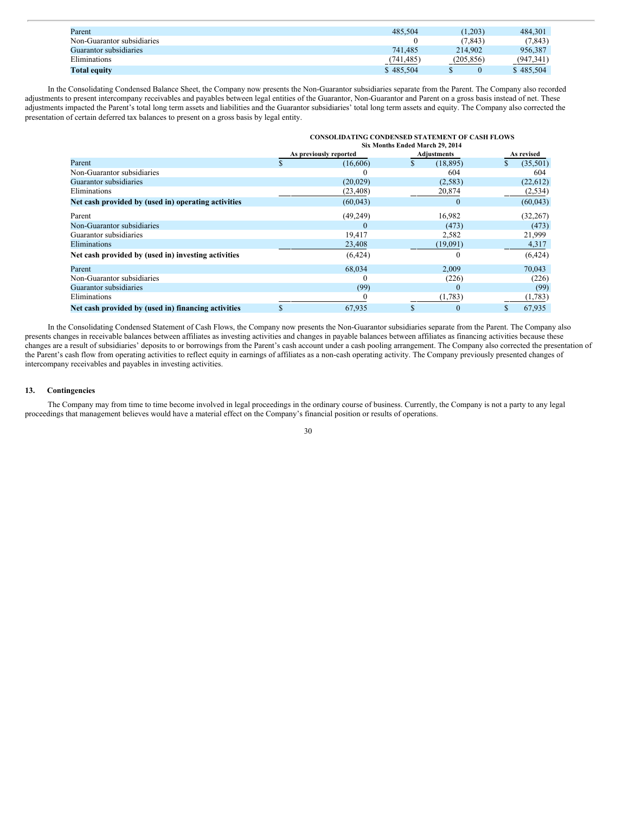| Parent                     | 485.504   | (1.203)   | 484.301   |
|----------------------------|-----------|-----------|-----------|
| Non-Guarantor subsidiaries |           | (7.843)   | (7, 843)  |
| Guarantor subsidiaries     | 741.485   | 214,902   | 956.387   |
| Eliminations               | (741.485) | (205.856) | (947.341) |
| <b>Total equity</b>        | \$485,504 |           | \$485,504 |

In the Consolidating Condensed Balance Sheet, the Company now presents the Non-Guarantor subsidiaries separate from the Parent. The Company also recorded adjustments to present intercompany receivables and payables between legal entities of the Guarantor, Non-Guarantor and Parent on a gross basis instead of net. These adjustments impacted the Parent's total long term assets and liabilities and the Guarantor subsidiaries' total long term assets and equity. The Company also corrected the presentation of certain deferred tax balances to present on a gross basis by legal entity.

|                                                     | <b>CONSOLIDATING CONDENSED STATEMENT OF CASH FLOWS</b><br>Six Months Ended March 29, 2014 |                        |    |              |    |                   |
|-----------------------------------------------------|-------------------------------------------------------------------------------------------|------------------------|----|--------------|----|-------------------|
|                                                     |                                                                                           | As previously reported |    | Adjustments  |    | <b>As revised</b> |
| Parent                                              |                                                                                           | (16,606)               | \$ | (18, 895)    | \$ | (35,501)          |
| Non-Guarantor subsidiaries                          |                                                                                           |                        |    | 604          |    | 604               |
| Guarantor subsidiaries                              |                                                                                           | (20, 029)              |    | (2, 583)     |    | (22, 612)         |
| Eliminations                                        |                                                                                           | (23, 408)              |    | 20,874       |    | (2, 534)          |
| Net cash provided by (used in) operating activities |                                                                                           | (60, 043)              |    | $\mathbf{0}$ |    | (60, 043)         |
| Parent                                              |                                                                                           | (49,249)               |    | 16,982       |    | (32, 267)         |
| Non-Guarantor subsidiaries                          |                                                                                           |                        |    | (473)        |    | (473)             |
| Guarantor subsidiaries                              |                                                                                           | 19,417                 |    | 2,582        |    | 21,999            |
| <b>Eliminations</b>                                 |                                                                                           | 23,408                 |    | (19,091)     |    | 4,317             |
| Net cash provided by (used in) investing activities |                                                                                           | (6,424)                |    | 0            |    | (6,424)           |
| Parent                                              |                                                                                           | 68,034                 |    | 2,009        |    | 70,043            |
| Non-Guarantor subsidiaries                          |                                                                                           |                        |    | (226)        |    | (226)             |
| Guarantor subsidiaries                              |                                                                                           | (99)                   |    | $\Omega$     |    | (99)              |
| Eliminations                                        |                                                                                           |                        |    | (1,783)      |    | (1,783)           |
| Net cash provided by (used in) financing activities |                                                                                           | 67,935                 |    | $\bf{0}$     | S  | 67,935            |

In the Consolidating Condensed Statement of Cash Flows, the Company now presents the Non-Guarantor subsidiaries separate from the Parent. The Company also presents changes in receivable balances between affiliates as investing activities and changes in payable balances between affiliates as financing activities because these changes are a result of subsidiaries' deposits to or borrowings from the Parent's cash account under a cash pooling arrangement. The Company also corrected the presentation of the Parent's cash flow from operating activities to reflect equity in earnings of affiliates as a non-cash operating activity. The Company previously presented changes of intercompany receivables and payables in investing activities.

## **13. Contingencies**

The Company may from time to time become involved in legal proceedings in the ordinary course of business. Currently, the Company is not a party to any legal proceedings that management believes would have a material effect on the Company's financial position or results of operations.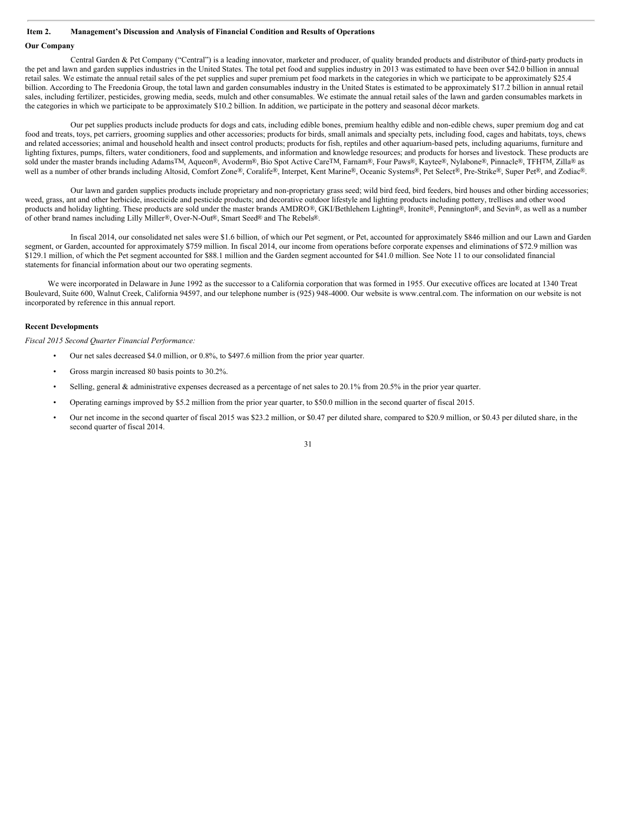#### <span id="page-30-0"></span>**Item 2. Management's Discussion and Analysis of Financial Condition and Results of Operations**

#### **Our Company**

Central Garden & Pet Company ("Central") is a leading innovator, marketer and producer, of quality branded products and distributor of third-party products in the pet and lawn and garden supplies industries in the United States. The total pet food and supplies industry in 2013 was estimated to have been over \$42.0 billion in annual retail sales. We estimate the annual retail sales of the pet supplies and super premium pet food markets in the categories in which we participate to be approximately \$25.4 billion. According to The Freedonia Group, the total lawn and garden consumables industry in the United States is estimated to be approximately \$17.2 billion in annual retail sales, including fertilizer, pesticides, growing media, seeds, mulch and other consumables. We estimate the annual retail sales of the lawn and garden consumables markets in the categories in which we participate to be approximately \$10.2 billion. In addition, we participate in the pottery and seasonal décor markets.

Our pet supplies products include products for dogs and cats, including edible bones, premium healthy edible and non-edible chews, super premium dog and cat food and treats, toys, pet carriers, grooming supplies and other accessories; products for birds, small animals and specialty pets, including food, cages and habitats, toys, chews and related accessories; animal and household health and insect control products; products for fish, reptiles and other aquarium-based pets, including aquariums, furniture and lighting fixtures, pumps, filters, water conditioners, food and supplements, and information and knowledge resources; and products for horses and livestock. These products are sold under the master brands including AdamsTM, Aqueon®, Avoderm®, Bio Spot Active CareTM, Farnam®, Four Paws®, Kaytee®, Nylabone®, Pinnacle®, TFHTM, Zilla® as well as a number of other brands including Altosid, Comfort Zone®, Coralife®, Interpet, Kent Marine®, Oceanic Systems®, Pet Select®, Pre-Strike®, Super Pet®, and Zodiac®.

Our lawn and garden supplies products include proprietary and non-proprietary grass seed; wild bird feed, bird feeders, bird houses and other birding accessories; weed, grass, ant and other herbicide, insecticide and pesticide products; and decorative outdoor lifestyle and lighting products including pottery, trellises and other wood products and holiday lighting. These products are sold under the master brands AMDRO®, GKI/Bethlehem Lighting®, Ironite®, Pennington®, and Sevin®, as well as a number of other brand names including Lilly Miller®, Over-N-Out®, Smart Seed® and The Rebels®.

In fiscal 2014, our consolidated net sales were \$1.6 billion, of which our Pet segment, or Pet, accounted for approximately \$846 million and our Lawn and Garden segment, or Garden, accounted for approximately \$759 million. In fiscal 2014, our income from operations before corporate expenses and eliminations of \$72.9 million was \$129.1 million, of which the Pet segment accounted for \$88.1 million and the Garden segment accounted for \$41.0 million. See Note 11 to our consolidated financial statements for financial information about our two operating segments.

We were incorporated in Delaware in June 1992 as the successor to a California corporation that was formed in 1955. Our executive offices are located at 1340 Treat Boulevard, Suite 600, Walnut Creek, California 94597, and our telephone number is (925) 948-4000. Our website is www.central.com. The information on our website is not incorporated by reference in this annual report.

#### **Recent Developments**

*Fiscal 2015 Second Quarter Financial Performance:*

- Our net sales decreased \$4.0 million, or 0.8%, to \$497.6 million from the prior year quarter.
- Gross margin increased 80 basis points to 30.2%.
- Selling, general & administrative expenses decreased as a percentage of net sales to 20.1% from 20.5% in the prior year quarter.
- Operating earnings improved by \$5.2 million from the prior year quarter, to \$50.0 million in the second quarter of fiscal 2015.
- Our net income in the second quarter of fiscal 2015 was \$23.2 million, or \$0.47 per diluted share, compared to \$20.9 million, or \$0.43 per diluted share, in the second quarter of fiscal 2014.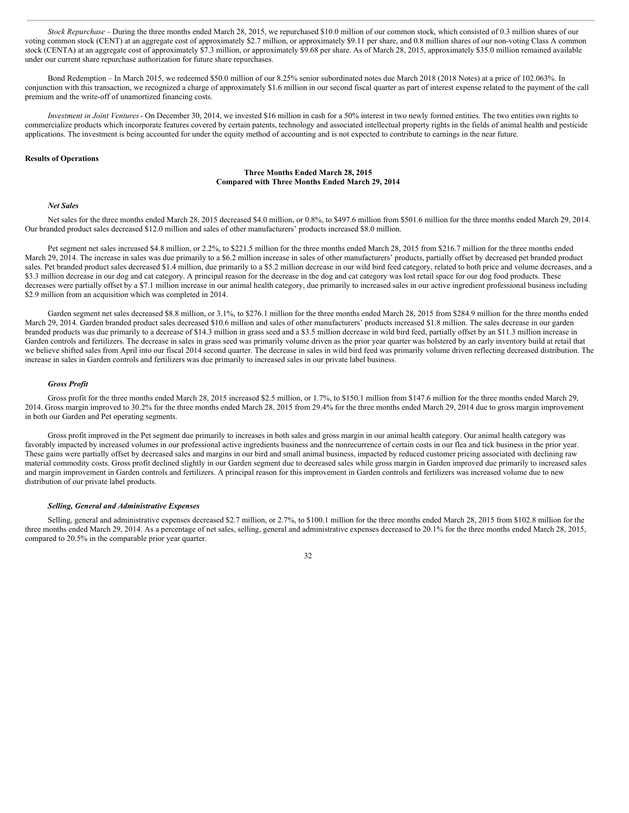*Stock Repurchase –* During the three months ended March 28, 2015, we repurchased \$10.0 million of our common stock, which consisted of 0.3 million shares of our voting common stock (CENT) at an aggregate cost of approximately \$2.7 million, or approximately \$9.11 per share, and 0.8 million shares of our non-voting Class A common stock (CENTA) at an aggregate cost of approximately \$7.3 million, or approximately \$9.68 per share. As of March 28, 2015, approximately \$35.0 million remained available under our current share repurchase authorization for future share repurchases.

Bond Redemption – In March 2015, we redeemed \$50.0 million of our 8.25% senior subordinated notes due March 2018 (2018 Notes) at a price of 102.063%. In conjunction with this transaction, we recognized a charge of approximately \$1.6 million in our second fiscal quarter as part of interest expense related to the payment of the call premium and the write-off of unamortized financing costs.

*Investment in Joint Ventures*- On December 30, 2014, we invested \$16 million in cash for a 50% interest in two newly formed entities. The two entities own rights to commercialize products which incorporate features covered by certain patents, technology and associated intellectual property rights in the fields of animal health and pesticide applications. The investment is being accounted for under the equity method of accounting and is not expected to contribute to earnings in the near future.

#### **Results of Operations**

#### **Three Months Ended March 28, 2015 Compared with Three Months Ended March 29, 2014**

#### *Net Sales*

Net sales for the three months ended March 28, 2015 decreased \$4.0 million, or 0.8%, to \$497.6 million from \$501.6 million for the three months ended March 29, 2014. Our branded product sales decreased \$12.0 million and sales of other manufacturers' products increased \$8.0 million.

Pet segment net sales increased \$4.8 million, or 2.2%, to \$221.5 million for the three months ended March 28, 2015 from \$216.7 million for the three months ended March 29, 2014. The increase in sales was due primarily to a \$6.2 million increase in sales of other manufacturers' products, partially offset by decreased pet branded product sales. Pet branded product sales decreased \$1.4 million, due primarily to a \$5.2 million decrease in our wild bird feed category, related to both price and volume decreases, and a \$3.3 million decrease in our dog and cat category. A principal reason for the decrease in the dog and cat category was lost retail space for our dog food products. These decreases were partially offset by a \$7.1 million increase in our animal health category, due primarily to increased sales in our active ingredient professional business including \$2.9 million from an acquisition which was completed in 2014.

Garden segment net sales decreased \$8.8 million, or 3.1%, to \$276.1 million for the three months ended March 28, 2015 from \$284.9 million for the three months ended March 29, 2014. Garden branded product sales decreased \$10.6 million and sales of other manufacturers' products increased \$1.8 million. The sales decrease in our garden branded products was due primarily to a decrease of \$14.3 million in grass seed and a \$3.5 million decrease in wild bird feed, partially offset by an \$11.3 million increase in Garden controls and fertilizers. The decrease in sales in grass seed was primarily volume driven as the prior year quarter was bolstered by an early inventory build at retail that we believe shifted sales from April into our fiscal 2014 second quarter. The decrease in sales in wild bird feed was primarily volume driven reflecting decreased distribution. The increase in sales in Garden controls and fertilizers was due primarily to increased sales in our private label business.

#### *Gross Profit*

Gross profit for the three months ended March 28, 2015 increased \$2.5 million, or 1.7%, to \$150.1 million from \$147.6 million for the three months ended March 29, 2014. Gross margin improved to 30.2% for the three months ended March 28, 2015 from 29.4% for the three months ended March 29, 2014 due to gross margin improvement in both our Garden and Pet operating segments.

Gross profit improved in the Pet segment due primarily to increases in both sales and gross margin in our animal health category. Our animal health category was favorably impacted by increased volumes in our professional active ingredients business and the nonrecurrence of certain costs in our flea and tick business in the prior year. These gains were partially offset by decreased sales and margins in our bird and small animal business, impacted by reduced customer pricing associated with declining raw material commodity costs. Gross profit declined slightly in our Garden segment due to decreased sales while gross margin in Garden improved due primarily to increased sales and margin improvement in Garden controls and fertilizers. A principal reason for this improvement in Garden controls and fertilizers was increased volume due to new distribution of our private label products.

#### *Selling, General and Administrative Expenses*

Selling, general and administrative expenses decreased \$2.7 million, or 2.7%, to \$100.1 million for the three months ended March 28, 2015 from \$102.8 million for the three months ended March 29, 2014. As a percentage of net sales, selling, general and administrative expenses decreased to 20.1% for the three months ended March 28, 2015, compared to 20.5% in the comparable prior year quarter.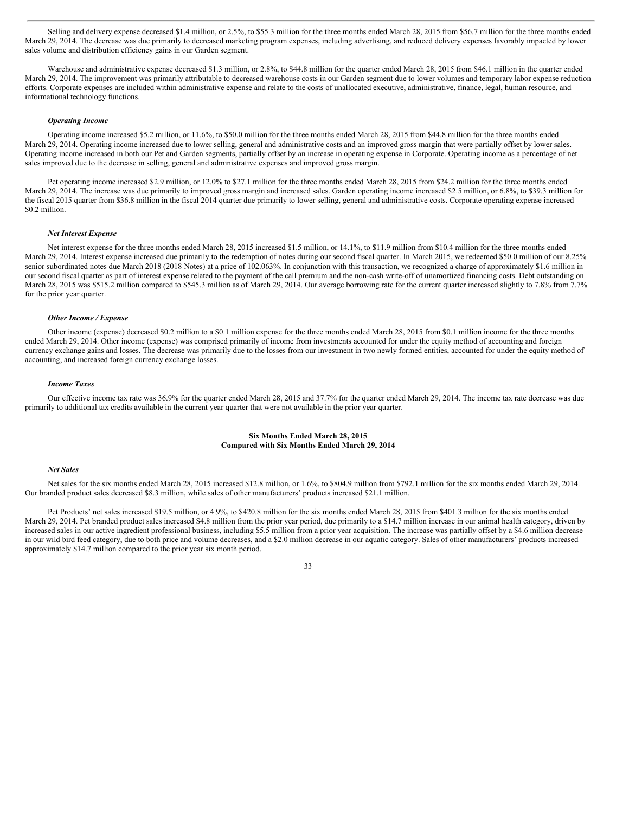Selling and delivery expense decreased \$1.4 million, or 2.5%, to \$55.3 million for the three months ended March 28, 2015 from \$56.7 million for the three months ended March 29, 2014. The decrease was due primarily to decreased marketing program expenses, including advertising, and reduced delivery expenses favorably impacted by lower sales volume and distribution efficiency gains in our Garden segment.

Warehouse and administrative expense decreased \$1.3 million, or 2.8%, to \$44.8 million for the quarter ended March 28, 2015 from \$46.1 million in the quarter ended March 29, 2014. The improvement was primarily attributable to decreased warehouse costs in our Garden segment due to lower volumes and temporary labor expense reduction efforts. Corporate expenses are included within administrative expense and relate to the costs of unallocated executive, administrative, finance, legal, human resource, and informational technology functions.

#### *Operating Income*

Operating income increased \$5.2 million, or 11.6%, to \$50.0 million for the three months ended March 28, 2015 from \$44.8 million for the three months ended March 29, 2014. Operating income increased due to lower selling, general and administrative costs and an improved gross margin that were partially offset by lower sales. Operating income increased in both our Pet and Garden segments, partially offset by an increase in operating expense in Corporate. Operating income as a percentage of net sales improved due to the decrease in selling, general and administrative expenses and improved gross margin.

Pet operating income increased \$2.9 million, or 12.0% to \$27.1 million for the three months ended March 28, 2015 from \$24.2 million for the three months ended March 29, 2014. The increase was due primarily to improved gross margin and increased sales. Garden operating income increased \$2.5 million, or 6.8%, to \$39.3 million for the fiscal 2015 quarter from \$36.8 million in the fiscal 2014 quarter due primarily to lower selling, general and administrative costs. Corporate operating expense increased \$0.2 million.

#### *Net Interest Expense*

Net interest expense for the three months ended March 28, 2015 increased \$1.5 million, or 14.1%, to \$11.9 million from \$10.4 million for the three months ended March 29, 2014. Interest expense increased due primarily to the redemption of notes during our second fiscal quarter. In March 2015, we redeemed \$50.0 million of our 8.25% senior subordinated notes due March 2018 (2018 Notes) at a price of 102.063%. In conjunction with this transaction, we recognized a charge of approximately \$1.6 million in our second fiscal quarter as part of interest expense related to the payment of the call premium and the non-cash write-off of unamortized financing costs. Debt outstanding on March 28, 2015 was \$515.2 million compared to \$545.3 million as of March 29, 2014. Our average borrowing rate for the current quarter increased slightly to 7.8% from 7.7% for the prior year quarter.

#### *Other Income / Expense*

Other income (expense) decreased \$0.2 million to a \$0.1 million expense for the three months ended March 28, 2015 from \$0.1 million income for the three months ended March 29, 2014. Other income (expense) was comprised primarily of income from investments accounted for under the equity method of accounting and foreign currency exchange gains and losses. The decrease was primarily due to the losses from our investment in two newly formed entities, accounted for under the equity method of accounting, and increased foreign currency exchange losses.

#### *Income Taxes*

Our effective income tax rate was 36.9% for the quarter ended March 28, 2015 and 37.7% for the quarter ended March 29, 2014. The income tax rate decrease was due primarily to additional tax credits available in the current year quarter that were not available in the prior year quarter.

### **Six Months Ended March 28, 2015 Compared with Six Months Ended March 29, 2014**

#### *Net Sales*

Net sales for the six months ended March 28, 2015 increased \$12.8 million, or 1.6%, to \$804.9 million from \$792.1 million for the six months ended March 29, 2014. Our branded product sales decreased \$8.3 million, while sales of other manufacturers' products increased \$21.1 million.

Pet Products' net sales increased \$19.5 million, or 4.9%, to \$420.8 million for the six months ended March 28, 2015 from \$401.3 million for the six months ended March 29, 2014. Pet branded product sales increased \$4.8 million from the prior year period, due primarily to a \$14.7 million increase in our animal health category, driven by increased sales in our active ingredient professional business, including \$5.5 million from a prior year acquisition. The increase was partially offset by a \$4.6 million decrease in our wild bird feed category, due to both price and volume decreases, and a \$2.0 million decrease in our aquatic category. Sales of other manufacturers' products increased approximately \$14.7 million compared to the prior year six month period.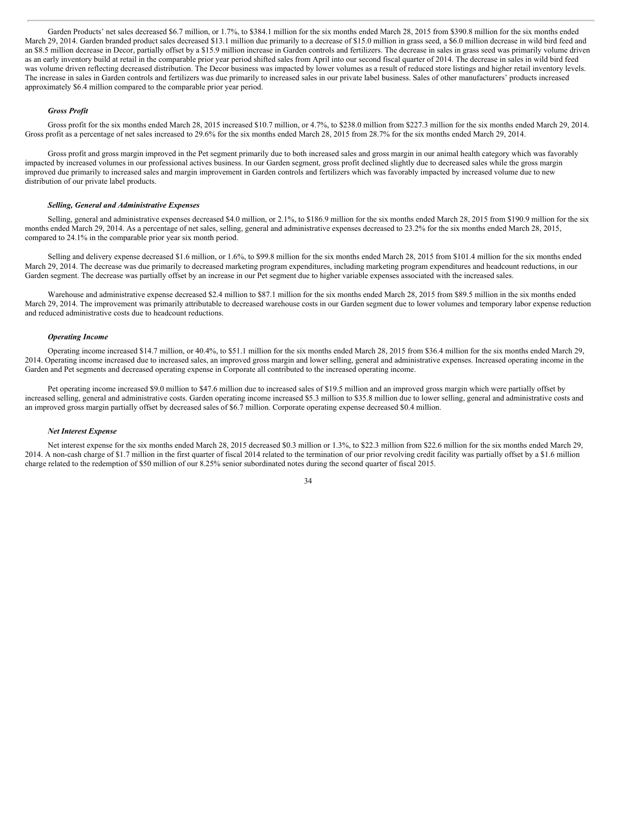Garden Products' net sales decreased \$6.7 million, or 1.7%, to \$384.1 million for the six months ended March 28, 2015 from \$390.8 million for the six months ended March 29, 2014. Garden branded product sales decreased \$13.1 million due primarily to a decrease of \$15.0 million in grass seed, a \$6.0 million decrease in wild bird feed and an \$8.5 million decrease in Decor, partially offset by a \$15.9 million increase in Garden controls and fertilizers. The decrease in sales in grass seed was primarily volume driven as an early inventory build at retail in the comparable prior year period shifted sales from April into our second fiscal quarter of 2014. The decrease in sales in wild bird feed was volume driven reflecting decreased distribution. The Decor business was impacted by lower volumes as a result of reduced store listings and higher retail inventory levels. The increase in sales in Garden controls and fertilizers was due primarily to increased sales in our private label business. Sales of other manufacturers' products increased approximately \$6.4 million compared to the comparable prior year period.

#### *Gross Profit*

Gross profit for the six months ended March 28, 2015 increased \$10.7 million, or 4.7%, to \$238.0 million from \$227.3 million for the six months ended March 29, 2014. Gross profit as a percentage of net sales increased to 29.6% for the six months ended March 28, 2015 from 28.7% for the six months ended March 29, 2014.

Gross profit and gross margin improved in the Pet segment primarily due to both increased sales and gross margin in our animal health category which was favorably impacted by increased volumes in our professional actives business. In our Garden segment, gross profit declined slightly due to decreased sales while the gross margin improved due primarily to increased sales and margin improvement in Garden controls and fertilizers which was favorably impacted by increased volume due to new distribution of our private label products.

#### *Selling, General and Administrative Expenses*

Selling, general and administrative expenses decreased \$4.0 million, or 2.1%, to \$186.9 million for the six months ended March 28, 2015 from \$190.9 million for the six months ended March 29, 2014. As a percentage of net sales, selling, general and administrative expenses decreased to 23.2% for the six months ended March 28, 2015, compared to 24.1% in the comparable prior year six month period.

Selling and delivery expense decreased \$1.6 million, or 1.6%, to \$99.8 million for the six months ended March 28, 2015 from \$101.4 million for the six months ended March 29, 2014. The decrease was due primarily to decreased marketing program expenditures, including marketing program expenditures and headcount reductions, in our Garden segment. The decrease was partially offset by an increase in our Pet segment due to higher variable expenses associated with the increased sales.

Warehouse and administrative expense decreased \$2.4 million to \$87.1 million for the six months ended March 28, 2015 from \$89.5 million in the six months ended March 29, 2014. The improvement was primarily attributable to decreased warehouse costs in our Garden segment due to lower volumes and temporary labor expense reduction and reduced administrative costs due to headcount reductions.

#### *Operating Income*

Operating income increased \$14.7 million, or 40.4%, to \$51.1 million for the six months ended March 28, 2015 from \$36.4 million for the six months ended March 29, 2014. Operating income increased due to increased sales, an improved gross margin and lower selling, general and administrative expenses. Increased operating income in the Garden and Pet segments and decreased operating expense in Corporate all contributed to the increased operating income.

Pet operating income increased \$9.0 million to \$47.6 million due to increased sales of \$19.5 million and an improved gross margin which were partially offset by increased selling, general and administrative costs. Garden operating income increased \$5.3 million to \$35.8 million due to lower selling, general and administrative costs and an improved gross margin partially offset by decreased sales of \$6.7 million. Corporate operating expense decreased \$0.4 million.

#### *Net Interest Expense*

Net interest expense for the six months ended March 28, 2015 decreased \$0.3 million or 1.3%, to \$22.3 million from \$22.6 million for the six months ended March 29, 2014. A non-cash charge of \$1.7 million in the first quarter of fiscal 2014 related to the termination of our prior revolving credit facility was partially offset by a \$1.6 million charge related to the redemption of \$50 million of our 8.25% senior subordinated notes during the second quarter of fiscal 2015.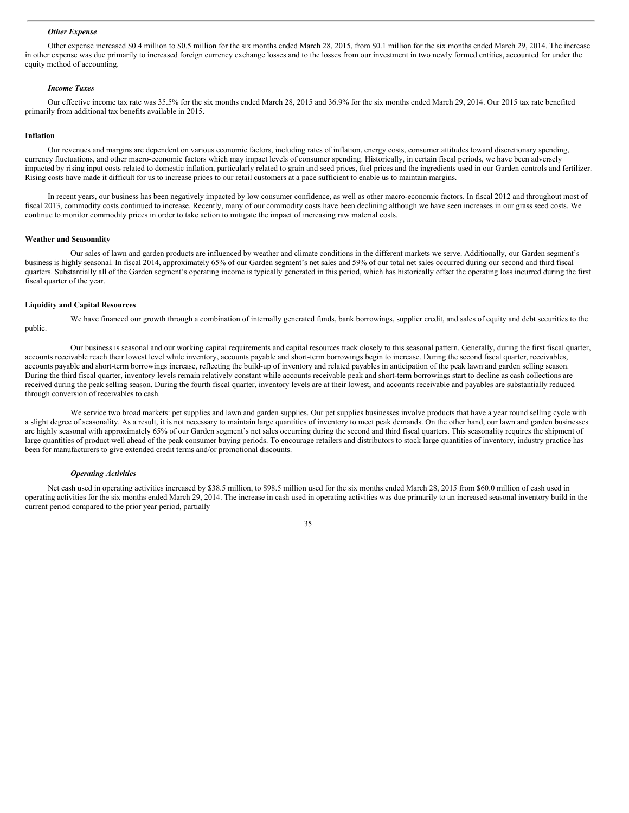#### *Other Expense*

Other expense increased \$0.4 million to \$0.5 million for the six months ended March 28, 2015, from \$0.1 million for the six months ended March 29, 2014. The increase in other expense was due primarily to increased foreign currency exchange losses and to the losses from our investment in two newly formed entities, accounted for under the equity method of accounting.

#### *Income Taxes*

Our effective income tax rate was 35.5% for the six months ended March 28, 2015 and 36.9% for the six months ended March 29, 2014. Our 2015 tax rate benefited primarily from additional tax benefits available in 2015.

#### **Inflation**

Our revenues and margins are dependent on various economic factors, including rates of inflation, energy costs, consumer attitudes toward discretionary spending, currency fluctuations, and other macro-economic factors which may impact levels of consumer spending. Historically, in certain fiscal periods, we have been adversely impacted by rising input costs related to domestic inflation, particularly related to grain and seed prices, fuel prices and the ingredients used in our Garden controls and fertilizer. Rising costs have made it difficult for us to increase prices to our retail customers at a pace sufficient to enable us to maintain margins.

In recent years, our business has been negatively impacted by low consumer confidence, as well as other macro-economic factors. In fiscal 2012 and throughout most of fiscal 2013, commodity costs continued to increase. Recently, many of our commodity costs have been declining although we have seen increases in our grass seed costs. We continue to monitor commodity prices in order to take action to mitigate the impact of increasing raw material costs.

#### **Weather and Seasonality**

Our sales of lawn and garden products are influenced by weather and climate conditions in the different markets we serve. Additionally, our Garden segment's business is highly seasonal. In fiscal 2014, approximately 65% of our Garden segment's net sales and 59% of our total net sales occurred during our second and third fiscal quarters. Substantially all of the Garden segment's operating income is typically generated in this period, which has historically offset the operating loss incurred during the first fiscal quarter of the year.

#### **Liquidity and Capital Resources**

We have financed our growth through a combination of internally generated funds, bank borrowings, supplier credit, and sales of equity and debt securities to the public.

Our business is seasonal and our working capital requirements and capital resources track closely to this seasonal pattern. Generally, during the first fiscal quarter, accounts receivable reach their lowest level while inventory, accounts payable and short-term borrowings begin to increase. During the second fiscal quarter, receivables, accounts payable and short-term borrowings increase, reflecting the build-up of inventory and related payables in anticipation of the peak lawn and garden selling season. During the third fiscal quarter, inventory levels remain relatively constant while accounts receivable peak and short-term borrowings start to decline as cash collections are received during the peak selling season. During the fourth fiscal quarter, inventory levels are at their lowest, and accounts receivable and payables are substantially reduced through conversion of receivables to cash.

We service two broad markets: pet supplies and lawn and garden supplies. Our pet supplies businesses involve products that have a year round selling cycle with a slight degree of seasonality. As a result, it is not necessary to maintain large quantities of inventory to meet peak demands. On the other hand, our lawn and garden businesses are highly seasonal with approximately 65% of our Garden segment's net sales occurring during the second and third fiscal quarters. This seasonality requires the shipment of large quantities of product well ahead of the peak consumer buying periods. To encourage retailers and distributors to stock large quantities of inventory, industry practice has been for manufacturers to give extended credit terms and/or promotional discounts.

#### *Operating Activities*

Net cash used in operating activities increased by \$38.5 million, to \$98.5 million used for the six months ended March 28, 2015 from \$60.0 million of cash used in operating activities for the six months ended March 29, 2014. The increase in cash used in operating activities was due primarily to an increased seasonal inventory build in the current period compared to the prior year period, partially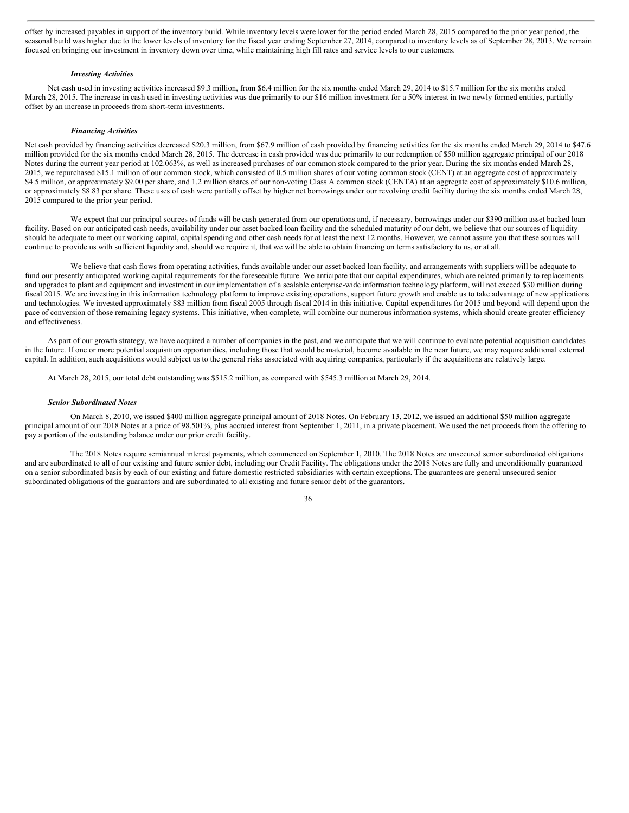offset by increased payables in support of the inventory build. While inventory levels were lower for the period ended March 28, 2015 compared to the prior year period, the seasonal build was higher due to the lower levels of inventory for the fiscal year ending September 27, 2014, compared to inventory levels as of September 28, 2013. We remain focused on bringing our investment in inventory down over time, while maintaining high fill rates and service levels to our customers.

#### *Investing Activities*

Net cash used in investing activities increased \$9.3 million, from \$6.4 million for the six months ended March 29, 2014 to \$15.7 million for the six months ended March 28, 2015. The increase in cash used in investing activities was due primarily to our \$16 million investment for a 50% interest in two newly formed entities, partially offset by an increase in proceeds from short-term investments.

#### *Financing Activities*

Net cash provided by financing activities decreased \$20.3 million, from \$67.9 million of cash provided by financing activities for the six months ended March 29, 2014 to \$47.6 million provided for the six months ended March 28, 2015. The decrease in cash provided was due primarily to our redemption of \$50 million aggregate principal of our 2018 Notes during the current year period at 102.063%, as well as increased purchases of our common stock compared to the prior year. During the six months ended March 28, 2015, we repurchased \$15.1 million of our common stock, which consisted of 0.5 million shares of our voting common stock (CENT) at an aggregate cost of approximately \$4.5 million, or approximately \$9.00 per share, and 1.2 million shares of our non-voting Class A common stock (CENTA) at an aggregate cost of approximately \$10.6 million, or approximately \$8.83 per share. These uses of cash were partially offset by higher net borrowings under our revolving credit facility during the six months ended March 28, 2015 compared to the prior year period.

We expect that our principal sources of funds will be cash generated from our operations and, if necessary, borrowings under our \$390 million asset backed loan facility. Based on our anticipated cash needs, availability under our asset backed loan facility and the scheduled maturity of our debt, we believe that our sources of liquidity should be adequate to meet our working capital, capital spending and other cash needs for at least the next 12 months. However, we cannot assure you that these sources will continue to provide us with sufficient liquidity and, should we require it, that we will be able to obtain financing on terms satisfactory to us, or at all.

We believe that cash flows from operating activities, funds available under our asset backed loan facility, and arrangements with suppliers will be adequate to fund our presently anticipated working capital requirements for the foreseeable future. We anticipate that our capital expenditures, which are related primarily to replacements and upgrades to plant and equipment and investment in our implementation of a scalable enterprise-wide information technology platform, will not exceed \$30 million during fiscal 2015. We are investing in this information technology platform to improve existing operations, support future growth and enable us to take advantage of new applications and technologies. We invested approximately \$83 million from fiscal 2005 through fiscal 2014 in this initiative. Capital expenditures for 2015 and beyond will depend upon the pace of conversion of those remaining legacy systems. This initiative, when complete, will combine our numerous information systems, which should create greater efficiency and effectiveness.

As part of our growth strategy, we have acquired a number of companies in the past, and we anticipate that we will continue to evaluate potential acquisition candidates in the future. If one or more potential acquisition opportunities, including those that would be material, become available in the near future, we may require additional external capital. In addition, such acquisitions would subject us to the general risks associated with acquiring companies, particularly if the acquisitions are relatively large.

At March 28, 2015, our total debt outstanding was \$515.2 million, as compared with \$545.3 million at March 29, 2014.

#### *Senior Subordinated Notes*

On March 8, 2010, we issued \$400 million aggregate principal amount of 2018 Notes. On February 13, 2012, we issued an additional \$50 million aggregate principal amount of our 2018 Notes at a price of 98.501%, plus accrued interest from September 1, 2011, in a private placement. We used the net proceeds from the offering to pay a portion of the outstanding balance under our prior credit facility.

The 2018 Notes require semiannual interest payments, which commenced on September 1, 2010. The 2018 Notes are unsecured senior subordinated obligations and are subordinated to all of our existing and future senior debt, including our Credit Facility. The obligations under the 2018 Notes are fully and unconditionally guaranteed on a senior subordinated basis by each of our existing and future domestic restricted subsidiaries with certain exceptions. The guarantees are general unsecured senior subordinated obligations of the guarantors and are subordinated to all existing and future senior debt of the guarantors.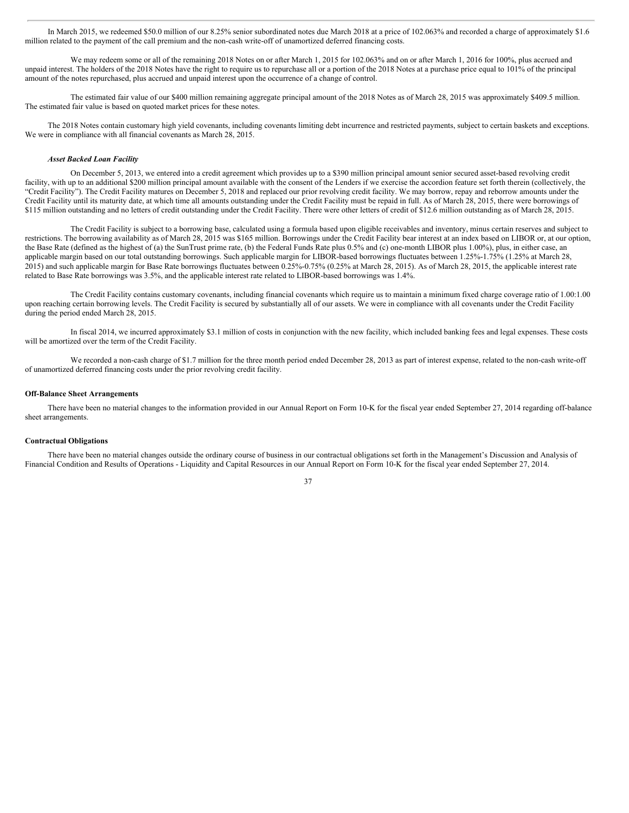In March 2015, we redeemed \$50.0 million of our 8.25% senior subordinated notes due March 2018 at a price of 102.063% and recorded a charge of approximately \$1.6 million related to the payment of the call premium and the non-cash write-off of unamortized deferred financing costs.

We may redeem some or all of the remaining 2018 Notes on or after March 1, 2015 for 102.063% and on or after March 1, 2016 for 100%, plus accrued and unpaid interest. The holders of the 2018 Notes have the right to require us to repurchase all or a portion of the 2018 Notes at a purchase price equal to 101% of the principal amount of the notes repurchased, plus accrued and unpaid interest upon the occurrence of a change of control.

The estimated fair value of our \$400 million remaining aggregate principal amount of the 2018 Notes as of March 28, 2015 was approximately \$409.5 million. The estimated fair value is based on quoted market prices for these notes.

The 2018 Notes contain customary high yield covenants, including covenants limiting debt incurrence and restricted payments, subject to certain baskets and exceptions. We were in compliance with all financial covenants as March 28, 2015.

#### *Asset Backed Loan Facility*

On December 5, 2013, we entered into a credit agreement which provides up to a \$390 million principal amount senior secured asset-based revolving credit facility, with up to an additional \$200 million principal amount available with the consent of the Lenders if we exercise the accordion feature set forth therein (collectively, the "Credit Facility"). The Credit Facility matures on December 5, 2018 and replaced our prior revolving credit facility. We may borrow, repay and reborrow amounts under the Credit Facility until its maturity date, at which time all amounts outstanding under the Credit Facility must be repaid in full. As of March 28, 2015, there were borrowings of \$115 million outstanding and no letters of credit outstanding under the Credit Facility. There were other letters of credit of \$12.6 million outstanding as of March 28, 2015.

The Credit Facility is subject to a borrowing base, calculated using a formula based upon eligible receivables and inventory, minus certain reserves and subject to restrictions. The borrowing availability as of March 28, 2015 was \$165 million. Borrowings under the Credit Facility bear interest at an index based on LIBOR or, at our option, the Base Rate (defined as the highest of (a) the SunTrust prime rate, (b) the Federal Funds Rate plus 0.5% and (c) one-month LIBOR plus 1.00%), plus, in either case, an applicable margin based on our total outstanding borrowings. Such applicable margin for LIBOR-based borrowings fluctuates between 1.25%-1.75% (1.25% at March 28,  $2015$ ) and such applicable margin for Base Rate borrowings fluctuates between 0.25%-0.75% (0.25% at March 28, 2015). As of March 28, 2015, the applicable interest rate related to Base Rate borrowings was 3.5%, and the applicable interest rate related to LIBOR-based borrowings was 1.4%.

The Credit Facility contains customary covenants, including financial covenants which require us to maintain a minimum fixed charge coverage ratio of 1.00:1.00 upon reaching certain borrowing levels. The Credit Facility is secured by substantially all of our assets. We were in compliance with all covenants under the Credit Facility during the period ended March 28, 2015.

In fiscal 2014, we incurred approximately \$3.1 million of costs in conjunction with the new facility, which included banking fees and legal expenses. These costs will be amortized over the term of the Credit Facility.

We recorded a non-cash charge of \$1.7 million for the three month period ended December 28, 2013 as part of interest expense, related to the non-cash write-off of unamortized deferred financing costs under the prior revolving credit facility.

#### **Off-Balance Sheet Arrangements**

There have been no material changes to the information provided in our Annual Report on Form 10-K for the fiscal year ended September 27, 2014 regarding off-balance sheet arrangements.

#### **Contractual Obligations**

There have been no material changes outside the ordinary course of business in our contractual obligations set forth in the Management's Discussion and Analysis of Financial Condition and Results of Operations - Liquidity and Capital Resources in our Annual Report on Form 10-K for the fiscal year ended September 27, 2014.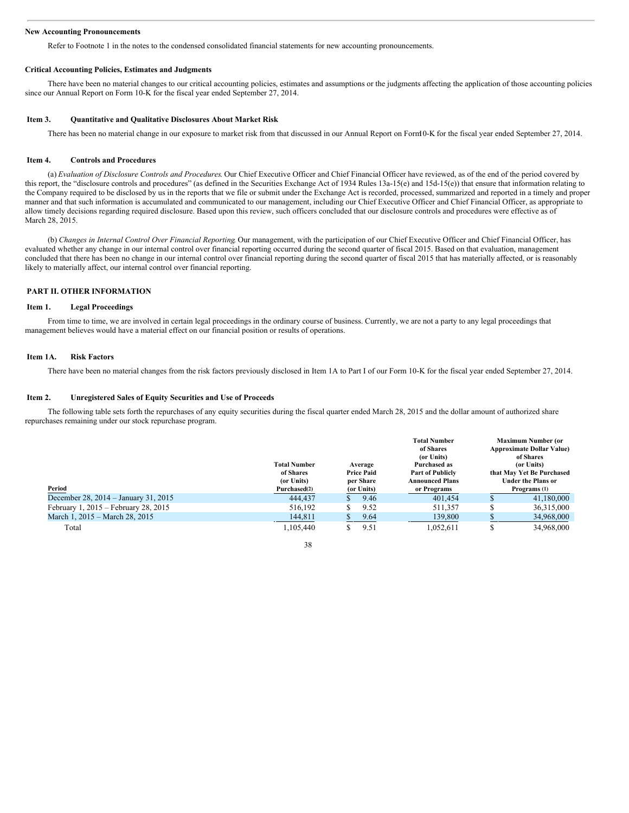#### **New Accounting Pronouncements**

Refer to Footnote 1 in the notes to the condensed consolidated financial statements for new accounting pronouncements.

#### **Critical Accounting Policies, Estimates and Judgments**

There have been no material changes to our critical accounting policies, estimates and assumptions or the judgments affecting the application of those accounting policies since our Annual Report on Form 10-K for the fiscal year ended September 27, 2014.

#### <span id="page-37-0"></span>**Item 3. Quantitative and Qualitative Disclosures About Market Risk**

There has been no material change in our exposure to market risk from that discussed in our Annual Report on Form10-K for the fiscal year ended September 27, 2014.

#### <span id="page-37-1"></span>**Item 4. Controls and Procedures**

(a) *Evaluation of Disclosure Controls and Procedures*. Our Chief Executive Officer and Chief Financial Officer have reviewed, as of the end of the period covered by this report, the "disclosure controls and procedures" (as defined in the Securities Exchange Act of 1934 Rules 13a-15(e) and 15d-15(e)) that ensure that information relating to the Company required to be disclosed by us in the reports that we file or submit under the Exchange Act is recorded, processed, summarized and reported in a timely and proper manner and that such information is accumulated and communicated to our management, including our Chief Executive Officer and Chief Financial Officer, as appropriate to allow timely decisions regarding required disclosure. Based upon this review, such officers concluded that our disclosure controls and procedures were effective as of March 28, 2015.

(b) *Changes in Internal Control Over Financial Reporting*. Our management, with the participation of our Chief Executive Officer and Chief Financial Officer, has evaluated whether any change in our internal control over financial reporting occurred during the second quarter of fiscal 2015. Based on that evaluation, management concluded that there has been no change in our internal control over financial reporting during the second quarter of fiscal 2015 that has materially affected, or is reasonably likely to materially affect, our internal control over financial reporting.

# <span id="page-37-2"></span>**PART II. OTHER INFORMATION**

#### <span id="page-37-3"></span>**Item 1. Legal Proceedings**

From time to time, we are involved in certain legal proceedings in the ordinary course of business. Currently, we are not a party to any legal proceedings that management believes would have a material effect on our financial position or results of operations.

#### <span id="page-37-4"></span>**Item 1A. Risk Factors**

There have been no material changes from the risk factors previously disclosed in Item 1A to Part I of our Form 10-K for the fiscal year ended September 27, 2014.

#### <span id="page-37-5"></span>**Item 2. Unregistered Sales of Equity Securities and Use of Proceeds**

The following table sets forth the repurchases of any equity securities during the fiscal quarter ended March 28, 2015 and the dollar amount of authorized share repurchases remaining under our stock repurchase program.

|                                      | <b>Total Number</b><br>of Shares<br>(or Units) | Average<br><b>Price Paid</b><br>per Share | <b>Total Number</b><br>of Shares<br>(or Units)<br>Purchased as<br><b>Part of Publicly</b><br><b>Announced Plans</b> |   | <b>Maximum Number (or</b><br><b>Approximate Dollar Value)</b><br>of Shares<br>(or Units)<br>that May Yet Be Purchased<br><b>Under the Plans or</b> |
|--------------------------------------|------------------------------------------------|-------------------------------------------|---------------------------------------------------------------------------------------------------------------------|---|----------------------------------------------------------------------------------------------------------------------------------------------------|
| Period                               | Purchased <sup>(2)</sup>                       | (or Units)                                | or Programs                                                                                                         |   | Programs (1)                                                                                                                                       |
| December 28, 2014 – January 31, 2015 | 444,437                                        | 9.46                                      | 401,454                                                                                                             | S | 41,180,000                                                                                                                                         |
| February 1, 2015 – February 28, 2015 | 516.192                                        | 9.52                                      | 511.357                                                                                                             |   | 36.315,000                                                                                                                                         |
| March 1, 2015 – March 28, 2015       | 144,811                                        | 9.64                                      | 139,800                                                                                                             |   | 34,968,000                                                                                                                                         |
| Total                                | 1.105.440                                      | 9.51                                      | 1.052.611                                                                                                           |   | 34,968,000                                                                                                                                         |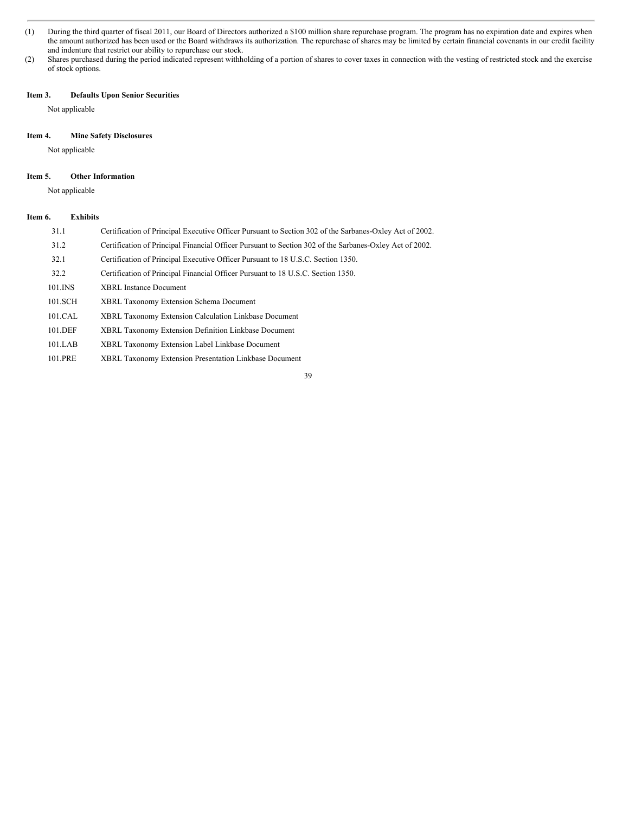- (1) During the third quarter of fiscal 2011, our Board of Directors authorized a \$100 million share repurchase program. The program has no expiration date and expires when the amount authorized has been used or the Board withdraws its authorization. The repurchase of shares may be limited by certain financial covenants in our credit facility and indenture that restrict our ability to repurchase our stock.
- (2) Shares purchased during the period indicated represent withholding of a portion of shares to cover taxes in connection with the vesting of restricted stock and the exercise of stock options.

# <span id="page-38-0"></span>**Item 3. Defaults Upon Senior Securities**

Not applicable

# <span id="page-38-1"></span>**Item 4. Mine Safety Disclosures**

Not applicable

#### <span id="page-38-2"></span>**Item 5. Other Information**

Not applicable

#### <span id="page-38-3"></span>**Item 6. Exhibits**

| 31.1    | Certification of Principal Executive Officer Pursuant to Section 302 of the Sarbanes-Oxley Act of 2002. |
|---------|---------------------------------------------------------------------------------------------------------|
| 31.2    | Certification of Principal Financial Officer Pursuant to Section 302 of the Sarbanes-Oxley Act of 2002. |
| 32.1    | Certification of Principal Executive Officer Pursuant to 18 U.S.C. Section 1350.                        |
| 32.2    | Certification of Principal Financial Officer Pursuant to 18 U.S.C. Section 1350.                        |
| 101.INS | <b>XBRL</b> Instance Document                                                                           |
| 101.SCH | <b>XBRL Taxonomy Extension Schema Document</b>                                                          |
| 101.CAL | XBRL Taxonomy Extension Calculation Linkbase Document                                                   |
| 101.DEF | XBRL Taxonomy Extension Definition Linkbase Document                                                    |
| 101.LAB | XBRL Taxonomy Extension Label Linkbase Document                                                         |
| 101.PRE | <b>XBRL Taxonomy Extension Presentation Linkbase Document</b>                                           |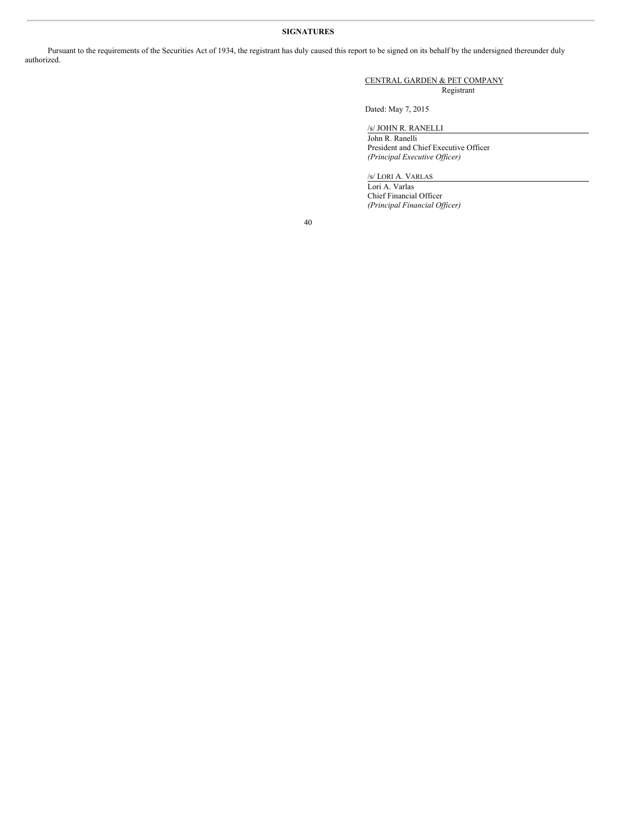# **SIGNATURES**

Pursuant to the requirements of the Securities Act of 1934, the registrant has duly caused this report to be signed on its behalf by the undersigned thereunder duly authorized.

# CENTRAL GARDEN & PET COMPANY Registrant

Dated: May 7, 2015

/s/ JOHN R. RANELLI

John R. Ranelli President and Chief Executive Officer *(Principal Executive Of icer)*

/s/ LORI A. VARLAS

Lori A. Varlas Chief Financial Officer *(Principal Financial Of icer)*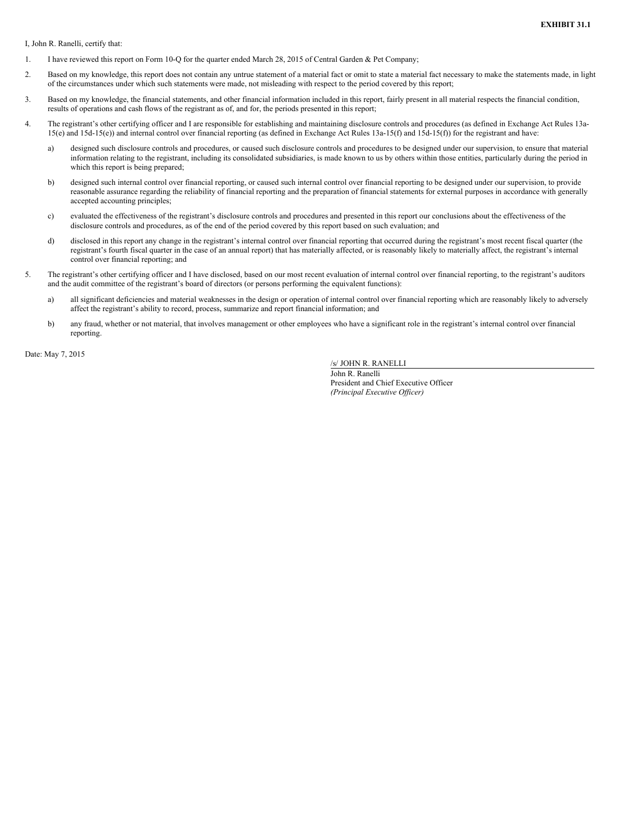I, John R. Ranelli, certify that:

- 1. I have reviewed this report on Form 10-Q for the quarter ended March 28, 2015 of Central Garden & Pet Company;
- 2. Based on my knowledge, this report does not contain any untrue statement of a material fact or omit to state a material fact necessary to make the statements made, in light of the circumstances under which such statements were made, not misleading with respect to the period covered by this report;
- 3. Based on my knowledge, the financial statements, and other financial information included in this report, fairly present in all material respects the financial condition, results of operations and cash flows of the registrant as of, and for, the periods presented in this report;
- 4. The registrant's other certifying officer and I are responsible for establishing and maintaining disclosure controls and procedures (as defined in Exchange Act Rules 13a- $15(e)$  and  $15d-15(e)$  and internal control over financial reporting (as defined in Exchange Act Rules  $13a-15(f)$  and  $15d-15(f)$ ) for the registrant and have:
	- a) designed such disclosure controls and procedures, or caused such disclosure controls and procedures to be designed under our supervision, to ensure that material information relating to the registrant, including its consolidated subsidiaries, is made known to us by others within those entities, particularly during the period in which this report is being prepared:
	- b) designed such internal control over financial reporting, or caused such internal control over financial reporting to be designed under our supervision, to provide reasonable assurance regarding the reliability of financial reporting and the preparation of financial statements for external purposes in accordance with generally accepted accounting principles;
	- c) evaluated the effectiveness of the registrant's disclosure controls and procedures and presented in this report our conclusions about the effectiveness of the disclosure controls and procedures, as of the end of the period covered by this report based on such evaluation; and
	- d) disclosed in this report any change in the registrant's internal control over financial reporting that occurred during the registrant's most recent fiscal quarter (the registrant's fourth fiscal quarter in the case of an annual report) that has materially affected, or is reasonably likely to materially affect, the registrant's internal control over financial reporting; and
- 5. The registrant's other certifying officer and I have disclosed, based on our most recent evaluation of internal control over financial reporting, to the registrant's auditors and the audit committee of the registrant's board of directors (or persons performing the equivalent functions):
	- a) all significant deficiencies and material weaknesses in the design or operation of internal control over financial reporting which are reasonably likely to adversely affect the registrant's ability to record, process, summarize and report financial information; and
	- b) any fraud, whether or not material, that involves management or other employees who have a significant role in the registrant's internal control over financial reporting.

Date: May 7, 2015

/s/ JOHN R. RANELLI

John R. Ranelli President and Chief Executive Officer *(Principal Executive Of icer)*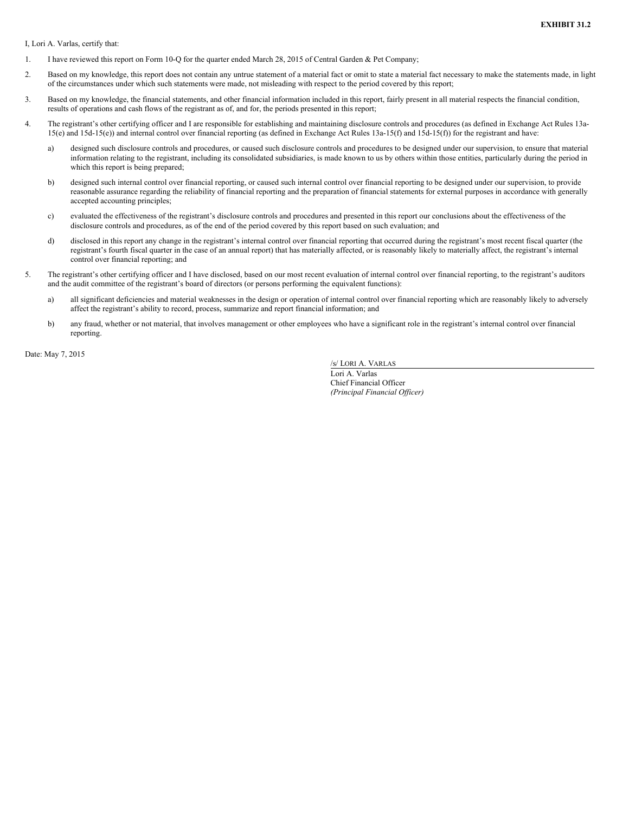I, Lori A. Varlas, certify that:

- 1. I have reviewed this report on Form 10-Q for the quarter ended March 28, 2015 of Central Garden & Pet Company;
- 2. Based on my knowledge, this report does not contain any untrue statement of a material fact or omit to state a material fact necessary to make the statements made, in light of the circumstances under which such statements were made, not misleading with respect to the period covered by this report;
- 3. Based on my knowledge, the financial statements, and other financial information included in this report, fairly present in all material respects the financial condition, results of operations and cash flows of the registrant as of, and for, the periods presented in this report;
- 4. The registrant's other certifying officer and I are responsible for establishing and maintaining disclosure controls and procedures (as defined in Exchange Act Rules 13a- $15(e)$  and  $15d-15(e)$  and internal control over financial reporting (as defined in Exchange Act Rules  $13a-15(f)$  and  $15d-15(f)$ ) for the registrant and have:
	- a) designed such disclosure controls and procedures, or caused such disclosure controls and procedures to be designed under our supervision, to ensure that material information relating to the registrant, including its consolidated subsidiaries, is made known to us by others within those entities, particularly during the period in which this report is being prepared:
	- b) designed such internal control over financial reporting, or caused such internal control over financial reporting to be designed under our supervision, to provide reasonable assurance regarding the reliability of financial reporting and the preparation of financial statements for external purposes in accordance with generally accepted accounting principles;
	- c) evaluated the effectiveness of the registrant's disclosure controls and procedures and presented in this report our conclusions about the effectiveness of the disclosure controls and procedures, as of the end of the period covered by this report based on such evaluation; and
	- d) disclosed in this report any change in the registrant's internal control over financial reporting that occurred during the registrant's most recent fiscal quarter (the registrant's fourth fiscal quarter in the case of an annual report) that has materially affected, or is reasonably likely to materially affect, the registrant's internal control over financial reporting; and
- 5. The registrant's other certifying officer and I have disclosed, based on our most recent evaluation of internal control over financial reporting, to the registrant's auditors and the audit committee of the registrant's board of directors (or persons performing the equivalent functions):
	- a) all significant deficiencies and material weaknesses in the design or operation of internal control over financial reporting which are reasonably likely to adversely affect the registrant's ability to record, process, summarize and report financial information; and
	- b) any fraud, whether or not material, that involves management or other employees who have a significant role in the registrant's internal control over financial reporting.

Date: May 7, 2015

/s/ LORI A. VARLAS

Lori A. Varlas Chief Financial Officer *(Principal Financial Of icer)*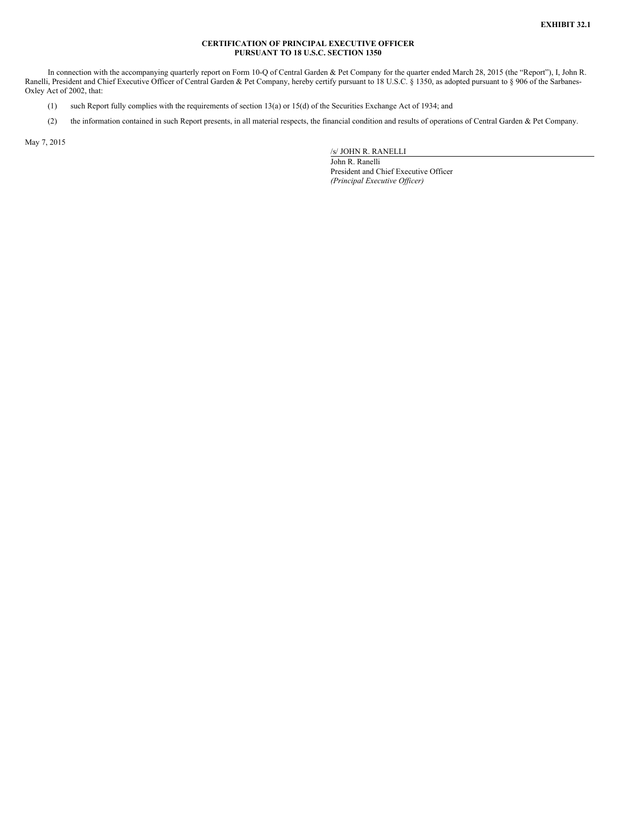#### **CERTIFICATION OF PRINCIPAL EXECUTIVE OFFICER PURSUANT TO 18 U.S.C. SECTION 1350**

In connection with the accompanying quarterly report on Form 10-Q of Central Garden & Pet Company for the quarter ended March 28, 2015 (the "Report"), I, John R. Ranelli, President and Chief Executive Officer of Central Garden & Pet Company, hereby certify pursuant to 18 U.S.C. § 1350, as adopted pursuant to § 906 of the Sarbanes-Oxley Act of 2002, that:

- (1) such Report fully complies with the requirements of section 13(a) or 15(d) of the Securities Exchange Act of 1934; and
- (2) the information contained in such Report presents, in all material respects, the financial condition and results of operations of Central Garden & Pet Company.

May 7, 2015

/s/ JOHN R. RANELLI

John R. Ranelli President and Chief Executive Officer *(Principal Executive Of icer)*